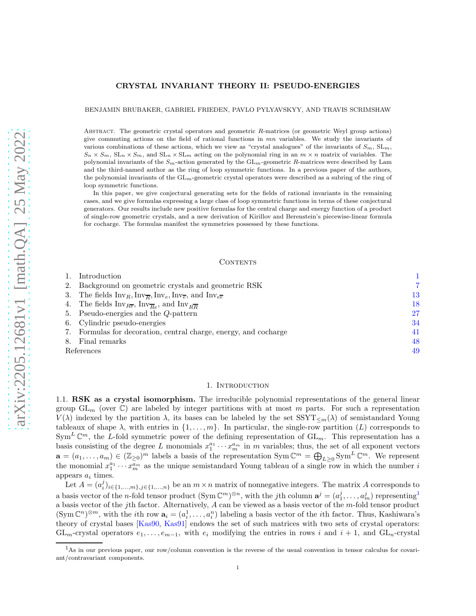## CRYSTAL INVARIANT THEORY II: PSEUDO-ENERGIES

BENJAMIN BRUBAKER, GABRIEL FRIEDEN, PAVLO PYLYAVSKYY, AND TRAVIS SCRIMSHAW

ABSTRACT. The geometric crystal operators and geometric R-matrices (or geometric Weyl group actions) give commuting actions on the field of rational functions in  $mn$  variables. We study the invariants of various combinations of these actions, which we view as "crystal analogues" of the invariants of  $S_m$ ,  $SL_m$ ,  $S_n \times S_m$ ,  $SL_n \times S_m$ , and  $SL_n \times SL_m$  acting on the polynomial ring in an  $m \times n$  matrix of variables. The polynomial invariants of the  $S_m$ -action generated by the  $GL_m$ -geometric R-matrices were described by Lam and the third-named author as the ring of loop symmetric functions. In a previous paper of the authors, the polynomial invariants of the  $GL_m$ -geometric crystal operators were described as a subring of the ring of loop symmetric functions.

In this paper, we give conjectural generating sets for the fields of rational invariants in the remaining cases, and we give formulas expressing a large class of loop symmetric functions in terms of these conjectural generators. Our results include new positive formulas for the central charge and energy function of a product of single-row geometric crystals, and a new derivation of Kirillov and Berenstein's piecewise-linear formula for cocharge. The formulas manifest the symmetries possessed by these functions.

#### CONTENTS

| Introduction                                                                                                                       |    |
|------------------------------------------------------------------------------------------------------------------------------------|----|
| 2. Background on geometric crystals and geometric RSK                                                                              | 7  |
| 3. The fields $\text{Inv}_R, \text{Inv}_{\overline{R}}, \text{Inv}_e, \text{Inv}_{\overline{e}},$ and $\text{Inv}_{e\overline{e}}$ | 13 |
| 4. The fields $Inv_{Re}$ , $Inv_{\overline{Re}}$ , and $Inv_{R\overline{R}}$                                                       | 18 |
| 5. Pseudo-energies and the Q-pattern                                                                                               | 27 |
| 6. Cylindric pseudo-energies                                                                                                       | 34 |
| 7. Formulas for decoration, central charge, energy, and cocharge                                                                   | 41 |
| 8. Final remarks                                                                                                                   | 48 |
| References                                                                                                                         | 49 |

#### 1. Introduction

<span id="page-0-2"></span><span id="page-0-0"></span>1.1. RSK as a crystal isomorphism. The irreducible polynomial representations of the general linear group  $GL_m$  (over  $\mathbb{C}$ ) are labeled by integer partitions with at most m parts. For such a representation  $V(\lambda)$  indexed by the partition  $\lambda$ , its bases can be labeled by the set  $SSTT_{\leq m}(\lambda)$  of semistandard Young tableaux of shape  $\lambda$ , with entries in  $\{1, \ldots, m\}$ . In particular, the single-row partition (L) corresponds to  $Sym^L \mathbb{C}^m$ , the L-fold symmetric power of the defining representation of  $GL_m$ . This representation has a basis consisting of the degree L monomials  $x_1^{a_1} \cdots x_m^{a_m}$  in m variables; thus, the set of all exponent vectors  $\mathbf{a} = (a_1, \ldots, a_m) \in (\mathbb{Z}_{\geq 0})^m$  labels a basis of the representation  $\text{Sym}\,\mathbb{C}^m = \bigoplus_{L\geq 0} \text{Sym}^L \mathbb{C}^m$ . We represent the monomial  $x_1^{a_1} \cdots x_m^{a_m}$  as the unique semistandard Young tableau of a single row in which the number is appears  $a_i$  times.

Let  $A = (a_i^j)_{i \in \{1,...,m\}, j \in \{1,...,n\}}$  be an  $m \times n$  matrix of nonnegative integers. The matrix A corresponds to a basis vector of the *n*-fold tensor product  $(\text{Sym}\,\mathbb{C}^m)^{\otimes n}$ , with the *j*th column  $\mathbf{a}^j = (a_1^j, \ldots, a_m^j)$  $\mathbf{a}^j = (a_1^j, \ldots, a_m^j)$  $\mathbf{a}^j = (a_1^j, \ldots, a_m^j)$  representing<sup>1</sup> a basis vector of the jth factor. Alternatively, A can be viewed as a basis vector of the m-fold tensor product  $(\text{Sym }\mathbb{C}^n)^{\otimes m}$ , with the *i*th row  $\mathbf{a}_i = (a_i^1, \ldots, a_i^n)$  labeling a basis vector of the *i*th factor. Thus, Kashiwara's theory of crystal bases [\[Kas90,](#page-49-0) [Kas91\]](#page-49-1) endows the set of such matrices with two sets of crystal operators:  $GL_m$ -crystal operators  $e_1, \ldots, e_{m-1}$ , with  $e_i$  modifying the entries in rows i and  $i+1$ , and  $GL_n$ -crystal

<span id="page-0-1"></span><sup>&</sup>lt;sup>1</sup>As in our previous paper, our row/column convention is the reverse of the usual convention in tensor calculus for covariant/contravariant components.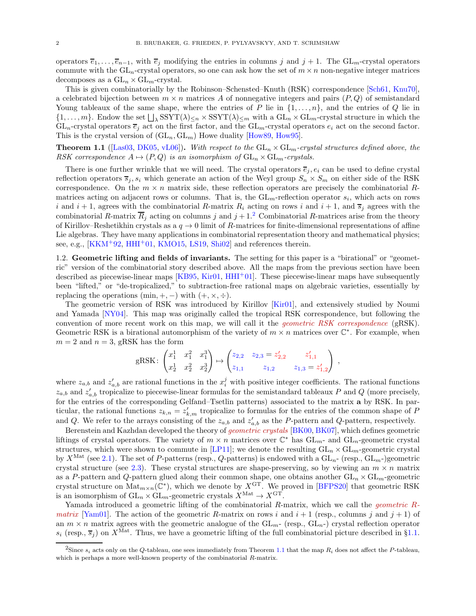operators  $\overline{e}_1, \ldots, \overline{e}_{n-1}$ , with  $\overline{e}_j$  modifying the entries in columns j and j + 1. The GL<sub>m</sub>-crystal operators commute with the  $GL_n$ -crystal operators, so one can ask how the set of  $m \times n$  non-negative integer matrices decomposes as a  $GL_n \times GL_m$ -crystal.

This is given combinatorially by the Robinson–Schensted–Knuth (RSK) correspondence [\[Sch61,](#page-50-0) [Knu70\]](#page-49-2), a celebrated bijection between  $m \times n$  matrices A of nonnegative integers and pairs  $(P, Q)$  of semistandard Young tableaux of the same shape, where the entries of P lie in  $\{1,\ldots,n\}$ , and the entries of Q lie in  $\{1,\ldots,m\}$ . Endow the set  $\bigsqcup_{\lambda}$  SSYT $(\lambda)_{\leq n}$  × SSYT $(\lambda)_{\leq m}$  with a  $\mathrm{GL}_n$  ×  $\mathrm{GL}_m$ -crystal structure in which the  $GL_n$ -crystal operators  $\overline{e}_j$  act on the first factor, and the  $GL_m$ -crystal operators  $e_i$  act on the second factor. This is the crystal version of  $(GL_n, GL_m)$  Howe duality [\[How89,](#page-49-3) [How95\]](#page-49-4).

<span id="page-1-1"></span>**Theorem 1.1** ([\[Las03,](#page-49-5) [DK05,](#page-48-1) [vL06\]](#page-50-1)). With respect to the  $GL_n \times GL_m$ -crystal structures defined above, the RSK correspondence  $A \mapsto (P, Q)$  is an isomorphism of  $GL_n \times GL_m$ -crystals.

There is one further wrinkle that we will need. The crystal operators  $\overline{e}_i, e_i$  can be used to define crystal reflection operators  $\overline{s}_j$ ,  $s_i$  which generate an action of the Weyl group  $S_n \times S_m$  on either side of the RSK correspondence. On the  $m \times n$  matrix side, these reflection operators are precisely the combinatorial Rmatrices acting on adjacent rows or columns. That is, the  $GL_m$ -reflection operator  $s_i$ , which acts on rows i and  $i + 1$ , agrees with the combinatorial R-matrix  $R_i$  acting on rows i and  $i + 1$ , and  $\overline{s}_i$  agrees with the combinatorial R-matrix  $\overline{R}_j$  acting on columns j and  $j+1$ <sup>[2](#page-1-0)</sup> Combinatorial R-matrices arise from the theory of Kirillov–Reshetikhin crystals as a  $q \to 0$  limit of R-matrices for finite-dimensional representations of affine Lie algebras. They have many applications in combinatorial representation theory and mathematical physics; see, e.g.,  $[KKM^+92, HHI^+01, KMO15, LS19, Shi02]$  $[KKM^+92, HHI^+01, KMO15, LS19, Shi02]$  $[KKM^+92, HHI^+01, KMO15, LS19, Shi02]$  $[KKM^+92, HHI^+01, KMO15, LS19, Shi02]$  $[KKM^+92, HHI^+01, KMO15, LS19, Shi02]$  $[KKM^+92, HHI^+01, KMO15, LS19, Shi02]$  $[KKM^+92, HHI^+01, KMO15, LS19, Shi02]$  $[KKM^+92, HHI^+01, KMO15, LS19, Shi02]$  and references therein.

1.2. Geometric lifting and fields of invariants. The setting for this paper is a "birational" or "geometric" version of the combinatorial story described above. All the maps from the previous section have been described as piecewise-linear maps  $[KB95, Kir01, HHI<sup>+</sup>01]$  $[KB95, Kir01, HHI<sup>+</sup>01]$  $[KB95, Kir01, HHI<sup>+</sup>01]$  $[KB95, Kir01, HHI<sup>+</sup>01]$  $[KB95, Kir01, HHI<sup>+</sup>01]$ . These piecewise-linear maps have subsequently been "lifted," or "de-tropicalized," to subtraction-free rational maps on algebraic varieties, essentially by replacing the operations  $(\min, +, -)$  with  $(+, \times, \div)$ .

The geometric version of RSK was introduced by Kirillov [\[Kir01\]](#page-49-10), and extensively studied by Noumi and Yamada [\[NY04\]](#page-50-4). This map was originally called the tropical RSK correspondence, but following the convention of more recent work on this map, we will call it the *geometric RSK correspondence* (gRSK). Geometric RSK is a birational automorphism of the variety of  $m \times n$  matrices over  $\mathbb{C}^*$ . For example, when  $m = 2$  and  $n = 3$ , gRSK has the form

$$
gRSK: \begin{pmatrix} x_1^1 & x_1^2 & x_1^3 \\ x_2^1 & x_2^2 & x_2^3 \end{pmatrix} \mapsto \begin{pmatrix} z_{2,2} & z_{2,3} = z_{2,2}' & z_{1,1}' \\ z_{1,1} & z_{1,2} & z_{1,3} = z_{1,2}' \end{pmatrix} ,
$$

where  $z_{a,b}$  and  $z'_{a,b}$  are rational functions in the  $x_i^j$  with positive integer coefficients. The rational functions  $z_{a,b}$  and  $z'_{a,b}$  tropicalize to piecewise-linear formulas for the semistandard tableaux P and Q (more precisely, for the entries of the corresponding Gelfand–Tsetlin patterns) associated to the matrix a by RSK. In particular, the rational functions  $z_{k,n} = z'_{k,m}$  tropicalize to formulas for the entries of the common shape of P and Q. We refer to the arrays consisting of the  $z_{a,b}$  and  $z'_{a,b}$  as the P-pattern and Q-pattern, respectively.

Berenstein and Kazhdan developed the theory of geometric crystals [\[BK00,](#page-48-2) [BK07\]](#page-48-3), which defines geometric liftings of crystal operators. The variety of  $m \times n$  matrices over  $\mathbb{C}^*$  has  $GL_{m}$ - and  $GL_{n}$ -geometric crystal structures, which were shown to commute in [\[LP11\]](#page-49-11); we denote the resulting  $GL_n \times GL_m$ -geometric crystal by  $X^{\text{Mat}}$  (see [2.1\)](#page-6-1). The set of P-patterns (resp., Q-patterns) is endowed with a  $GL_n$ - (resp.,  $GL_m$ -)geometric crystal structure (see [2.3\)](#page-8-0). These crystal structures are shape-preserving, so by viewing an  $m \times n$  matrix as a P-pattern and Q-pattern glued along their common shape, one obtains another  $GL_n \times GL_m$ -geometric crystal structure on  $\text{Mat}_{m \times n}(\mathbb{C}^*)$ , which we denote by  $X^{\text{GT}}$ . We proved in [\[BFPS20\]](#page-48-4) that geometric RSK is an isomorphism of  $\mathrm{GL}_n \times \mathrm{GL}_m$  -geometric crystals  $X^{\mathrm{Mat}} \to X^{\mathrm{GT}}$ 

Yamada introduced a geometric lifting of the combinatorial  $R$ -matrix, which we call the *geometric*  $R$ *matrix* [\[Yam01\]](#page-50-5). The action of the geometric R-matrix on rows i and  $i + 1$  (resp., columns j and  $j + 1$ ) of an  $m \times n$  matrix agrees with the geometric analogue of the  $GL_{m-}$  (resp.,  $GL_{n-}$ ) crystal reflection operator  $s_i$  (resp.,  $\overline{s}_j$ ) on  $X^{\text{Mat}}$ . Thus, we have a geometric lifting of the full combinatorial picture described in §[1.1.](#page-0-2)

<span id="page-1-0"></span><sup>&</sup>lt;sup>2</sup>Since  $s_i$  acts only on the Q-tableau, one sees immediately from Theorem [1.1](#page-1-1) that the map  $R_i$  does not affect the P-tableau, which is perhaps a more well-known property of the combinatorial R-matrix.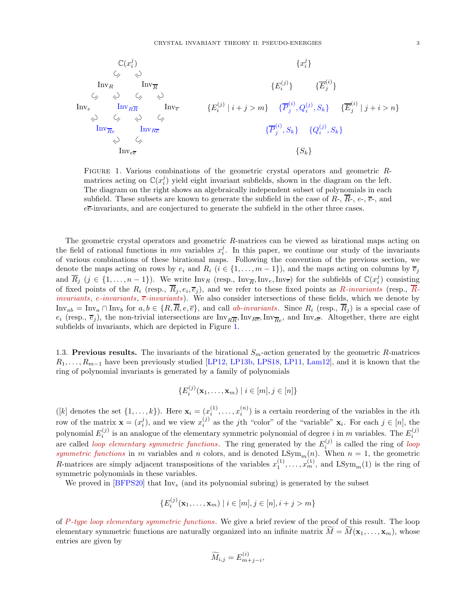$$
\begin{array}{cccc}\n\mathbb{C}(x_i^j) & \{x_i^j\} & & \\
& \swarrow & \searrow & \\
& \text{Inv}_R & \text{Inv}_{\overline{R}} & & \\
& \swarrow & \searrow & \searrow & \\
& \text{Inv}_e & \text{Inv}_{R\overline{R}} & \text{Inv}_\overline{e} & & \\
& \searrow & \swarrow & \searrow & \\
& \searrow & \swarrow & \searrow & \\
& \text{Inv}_{\overline{Re}} & \text{Inv}_{R\overline{e}} & & \\
& \searrow & \swarrow & & \\
& \text{Inv}_{\overline{Re}} & \text{Inv}_{R\overline{e}} & & \\
& \searrow & \swarrow & & \\
& \text{Inv}_{\overline{Re}} & \text{Inv}_{R\overline{e}} & & \\
& \searrow & \swarrow & & \\
& \text{Inv}_{\overline{e}} & & & \\
& \text{Inv}_{\overline{e}} & & & \\
& \text{Inv}_{\overline{e}} & & & \\
& \text{Inv}_{\overline{e}} & & & \\
& \text{Inv}_{\overline{e}} & & & \\
& \text{Inv}_{\overline{e}} & & & \\
& \text{Inv}_{\overline{e}} & & & \\
& \text{Div}_{\overline{e}} & & & \\
& \text{Div}_{\overline{e}} & & & \\
& \text{Div}_{\overline{e}} & & & \\
& \text{Div}_{\overline{e}} & & & \\
& \text{Div}_{\overline{e}} & & & \\
& \text{Div}_{\overline{e}} & & & \\
& \text{Div}_{\overline{e}} & & & \\
& \text{Div}_{\overline{e}} & & & \\
& \text{Div}_{\overline{e}} & & & \\
& \text{Div}_{\overline{e}} & & & \\
& \text{Div}_{\overline{e}} & & & \\
& \text{Div}_{\overline{e}} & & & \\
& \text{Div}_{\overline{e}} & & & \\
& \text{Div}_{\overline{e}} & & & \\
& \text{Div}_{\overline{e}} & & & \\
& \text{Div}_{\overline{e}} & & & \\
& \text{Div}_{\overline{e}} & & & \\
& \text{Div}_{\overline{e}} & & & \\
& \text{Div}_{\overline{e}} & & & \\
& \text{Div}_{\overline{e}} & & & \\
& \text{Div}_{\overline{e}} & & & \\
& \text{Div}_{\overline{e}} & & & \\
& \text{Div}_{\overline{e}} & & & \\
& \text{Div}_{\overline{e}} & & & \\
& \text{Div}_{\
$$

<span id="page-2-0"></span>Figure 1. Various combinations of the geometric crystal operators and geometric Rmatrices acting on  $\mathbb{C}(x_i^j)$  yield eight invariant subfields, shown in the diagram on the left. The diagram on the right shows an algebraically independent subset of polynomials in each subfield. These subsets are known to generate the subfield in the case of  $R_{\tau}$ ,  $R_{\tau}$ ,  $e_{\tau}$ ,  $\bar{e}_{\tau}$ , and  $e\overline{e}$ -invariants, and are conjectured to generate the subfield in the other three cases.

The geometric crystal operators and geometric R-matrices can be viewed as birational maps acting on the field of rational functions in  $mn$  variables  $x_i^j$ . In this paper, we continue our study of the invariants of various combinations of these birational maps. Following the convention of the previous section, we denote the maps acting on rows by  $e_i$  and  $R_i$  ( $i \in \{1, \ldots, m-1\}$ ), and the maps acting on columns by  $\overline{e}_i$ and  $\overline{R}_j$   $(j \in \{1, ..., n-1\})$ . We write  $\text{Inv}_R$  (resp.,  $\text{Inv}_{\overline{R}}$ ,  $\text{Inv}_e$ ,  $\text{Inv}_{\overline{e}}$ ) for the subfields of  $\mathbb{C}(x_i^j)$  consisting of fixed points of the  $R_i$  (resp.,  $R_j, e_i, \overline{e}_j$ ), and we refer to these fixed points as  $R$ -invariants (resp.,  $R$ invariants,  $\overline{e}$ -invariants,  $\overline{e}$ -invariants). We also consider intersections of these fields, which we denote by  $Inv_{ab} = Inv_a \cap Inv_b$  for  $a, b \in \{R, \overline{R}, e, \overline{e}\},$  and call ab-invariants. Since  $R_i$  (resp.,  $\overline{R}_i$ ) is a special case of  $e_i$  (resp.,  $\overline{e}_j$ ), the non-trivial intersections are  $Inv_{R\overline{R}}$ , Inv<sub>Re</sub>, Inv<sub>Re</sub>, and Inv<sub>ee</sub>. Altogether, there are eight subfields of invariants, which are depicted in Figure [1.](#page-2-0)

1.3. Previous results. The invariants of the birational  $S_m$ -action generated by the geometric R-matrices  $R_1, \ldots, R_{m-1}$  have been previously studied [\[LP12,](#page-49-12) [LP13b,](#page-49-13) [LPS18,](#page-49-14) [LP11,](#page-49-11) [Lam12\]](#page-49-15), and it is known that the ring of polynomial invariants is generated by a family of polynomials

$$
\{E_i^{(j)}(\mathbf{x}_1,\ldots,\mathbf{x}_m) \mid i \in [m], j \in [n]\}
$$

([k] denotes the set  $\{1,\ldots,k\}$ ). Here  $\mathbf{x}_i = (x_i^{(1)})$  $x_i^{(1)}, \ldots, x_i^{(n)}$  $i^{(n)}$ ) is a certain reordering of the variables in the *i*th row of the matrix  $\mathbf{x} = (x_i^j)$ , and we view  $x_i^{(j)}$  as the jth "color" of the "variable"  $\mathbf{x}_i$ . For each  $j \in [n]$ , the polynomial  $E_i^{(j)}$  is an analogue of the elementary symmetric polynomial of degree i in m variables. The  $E_i^{(j)}$ are called *loop elementary symmetric functions*. The ring generated by the  $E_i^{(j)}$  is called the ring of *loop* symmetric functions in m variables and n colors, and is denoted  $LSym_m(n)$ . When  $n = 1$ , the geometric R-matrices are simply adjacent transpositions of the variables  $x_1^{(1)}, \ldots, x_m^{(1)}$ , and  $LSym_m(1)$  is the ring of symmetric polynomials in these variables.

We proved in  $[BFFS20]$  that  $Inv_e$  (and its polynomial subring) is generated by the subset

$$
\{E_i^{(j)}(\mathbf{x}_1,\ldots,\mathbf{x}_m) \mid i \in [m], j \in [n], i+j > m\}
$$

of P-type loop elementary symmetric functions. We give a brief review of the proof of this result. The loop elementary symmetric functions are naturally organized into an infinite matrix  $\tilde{M} = \tilde{M}(\mathbf{x}_1, \dots, \mathbf{x}_m)$ , whose entries are given by

$$
\widetilde{M}_{i,j} = E_{m+j-i}^{(i)},
$$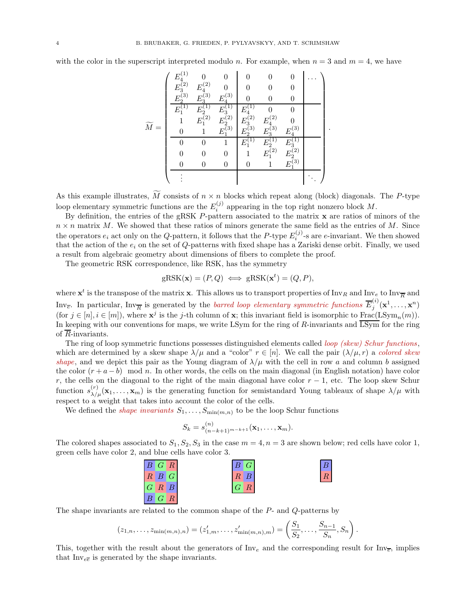with the color in the superscript interpreted modulo n. For example, when  $n = 3$  and  $m = 4$ , we have

Mf = E (1) 4 0 0 0 0 0 . . . E (2) <sup>3</sup> E (2) 4 0 0 0 0 E (3) <sup>2</sup> E (3) <sup>3</sup> E (3) 4 0 0 0 E (1) <sup>1</sup> E (1) <sup>2</sup> E (1) <sup>3</sup> E (1) 4 0 0 1 E (2) <sup>1</sup> E (2) <sup>2</sup> E (2) <sup>3</sup> E (2) 4 0 0 1 E (3) <sup>1</sup> E (3) <sup>2</sup> E (3) <sup>3</sup> E (3) 4 0 0 1 E (1) <sup>1</sup> E (1) <sup>2</sup> E (1) 3 0 0 0 1 E (2) <sup>1</sup> E (2) 2 0 0 0 0 1 E (3) 1 . . . . . . 

.

As this example illustrates,  $\widetilde{M}$  consists of  $n \times n$  blocks which repeat along (block) diagonals. The P-type loop elementary symmetric functions are the  $E_i^{(j)}$  $i^{(J)}$  appearing in the top right nonzero block M.

By definition, the entries of the gRSK P-pattern associated to the matrix x are ratios of minors of the  $n \times n$  matrix M. We showed that these ratios of minors generate the same field as the entries of M. Since the operators  $e_i$  act only on the Q-pattern, it follows that the P-type  $E_i^{(j)}$ -s are e-invariant. We then showed that the action of the  $e_i$  on the set of  $Q$ -patterns with fixed shape has a Zariski dense orbit. Finally, we used a result from algebraic geometry about dimensions of fibers to complete the proof.

The geometric RSK correspondence, like RSK, has the symmetry

$$
gRSK(\mathbf{x}) = (P, Q) \iff gRSK(\mathbf{x}^t) = (Q, P),
$$

where  $\mathbf{x}^t$  is the transpose of the matrix **x**. This allows us to transport properties of  $\text{Inv}_R$  and  $\text{Inv}_{\overline{R}}$  and Inv<sub>e</sub>. In particular, Inv<sub> $\overline{R}$ </sub> is generated by the *barred loop elementary symmetric functions*  $\overline{E}_j^{(i)}$  $j^{(t)}(\mathbf{x}^1, \dots, \mathbf{x}^n)$ (for  $j \in [n], i \in [m]$ ), where  $\mathbf{x}^j$  is the j-th column of  $\mathbf{x}$ ; this invariant field is isomorphic to  $\text{Frac}(\text{LSym}_n(m))$ . In keeping with our conventions for maps, we write LSym for the ring of R-invariants and  $\overline{\rm LSym}$  for the ring of  $\overline{R}$ -invariants.

The ring of loop symmetric functions possesses distinguished elements called loop (skew) Schur functions, which are determined by a skew shape  $\lambda/\mu$  and a "color"  $r \in [n]$ . We call the pair  $(\lambda/\mu, r)$  a colored skew shape, and we depict this pair as the Young diagram of  $\lambda/\mu$  with the cell in row a and column b assigned the color  $(r + a - b)$  mod n. In other words, the cells on the main diagonal (in English notation) have color r, the cells on the diagonal to the right of the main diagonal have color  $r - 1$ , etc. The loop skew Schur function  $s_{\lambda/\mu}^{(r)}(\mathbf{x}_1,\ldots,\mathbf{x}_m)$  is the generating function for semistandard Young tableaux of shape  $\lambda/\mu$  with respect to a weight that takes into account the color of the cells.

We defined the *shape invariants*  $S_1, \ldots, S_{\min(m,n)}$  to be the loop Schur functions

$$
S_k = s_{(n-k+1)^{m-k+1}}^{(n)}(\mathbf{x}_1,\ldots,\mathbf{x}_m).
$$

The colored shapes associated to  $S_1, S_2, S_3$  in the case  $m = 4, n = 3$  are shown below; red cells have color 1, green cells have color 2, and blue cells have color 3.



The shape invariants are related to the common shape of the P- and Q-patterns by

$$
(z_{1,n},...,z_{\min(m,n),n})=(z'_{1,m},...,z'_{\min(m,n),m})=\left(\frac{S_1}{S_2},..., \frac{S_{n-1}}{S_n},S_n\right).
$$

This, together with the result about the generators of  $\text{Inv}_e$  and the corresponding result for  $\text{Inv}_{\overline{e}}$ , implies that  $\text{Inv}_{ee}$  is generated by the shape invariants.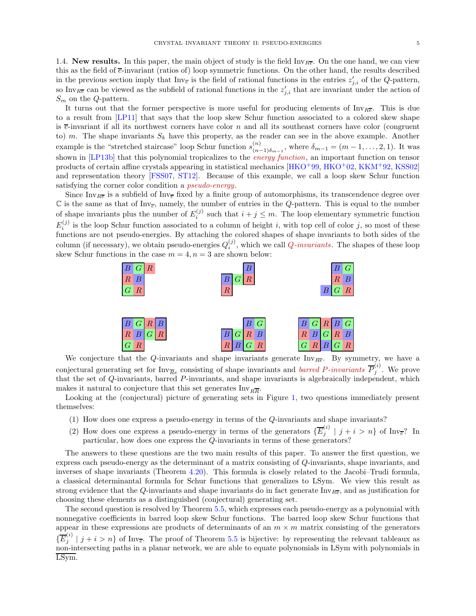1.4. New results. In this paper, the main object of study is the field  $\text{Inv}_{B\overline{e}}$ . On the one hand, we can view this as the field of  $\bar{e}$ -invariant (ratios of) loop symmetric functions. On the other hand, the results described in the previous section imply that  $\text{Inv}_{\overline{e}}$  is the field of rational functions in the entries  $z'_{j,i}$  of the Q-pattern, so Inv<sub>Re</sub> can be viewed as the subfield of rational functions in the  $z'_{j,i}$  that are invariant under the action of  $S_m$  on the Q-pattern.

It turns out that the former perspective is more useful for producing elements of  $\text{Inv}_{R\overline{e}}$ . This is due to a result from [\[LP11\]](#page-49-11) that says that the loop skew Schur function associated to a colored skew shape is  $\overline{e}$ -invariant if all its northwest corners have color n and all its southeast corners have color (congruent to) m. The shape invariants  $S_k$  have this property, as the reader can see in the above example. Another example is the "stretched staircase" loop Schur function  $s_{(n)}^{(n)}$  $\binom{n}{(n-1)\delta_{m-1}}$ , where  $\delta_{m-1} = (m-1,\ldots,2,1)$ . It was shown in [\[LP13b\]](#page-49-13) that this polynomial tropicalizes to the *energy function*, an important function on tensor products of certain affine crystals appearing in statistical mechanics [\[HKO](#page-49-16)<sup>+</sup>99, [HKO](#page-49-17)+02, [KKM](#page-49-6)+92, [KSS02\]](#page-49-18) and representation theory [\[FSS07,](#page-49-19) [ST12\]](#page-50-6). Because of this example, we call a loop skew Schur function satisfying the corner color condition a *pseudo-energy*.

Since Inv<sub>Re</sub> is a subfield of Inv<sub>e</sub> fixed by a finite group of automorphisms, its transcendence degree over  $\mathbb C$  is the same as that of Inv<sub> $\overline{e}$ </sub>, namely, the number of entries in the Q-pattern. This is equal to the number of shape invariants plus the number of  $E_i^{(j)}$  such that  $i + j \leq m$ . The loop elementary symmetric function  $E_i^{(j)}$  is the loop Schur function associated to a column of height i, with top cell of color j, so most of these functions are not pseudo-energies. By attaching the colored shapes of shape invariants to both sides of the column (if necessary), we obtain pseudo-energies  $Q_i^{(j)}$ , which we call  $Q$ -invariants. The shapes of these loop skew Schur functions in the case  $m = 4$ ,  $n = 3$  are shown below:



We conjecture that the Q-invariants and shape invariants generate  $\text{Inv}_{R\overline{e}}$ . By symmetry, we have a conjectural generating set for  $Inv_{\overline{Re}}$  consisting of shape invariants and *barred P-invariants*  $\overline{P}_j^{(i)}$  $j^{\binom{v}{j}}$ . We prove that the set of Q-invariants, barred P-invariants, and shape invariants is algebraically independent, which makes it natural to conjecture that this set generates  ${\rm Inv}_{R\overline{R}}.$ 

Looking at the (conjectural) picture of generating sets in Figure [1,](#page-2-0) two questions immediately present themselves:

- (1) How does one express a pseudo-energy in terms of the Q-invariants and shape invariants?
- (2) How does one express a pseudo-energy in terms of the generators  $\{ \overline{E}_i^{(i)} \}$  $j^{(i)}$  |  $j + i > n$ } of Inv<sub>e</sub>? In particular, how does one express the Q-invariants in terms of these generators?

The answers to these questions are the two main results of this paper. To answer the first question, we express each pseudo-energy as the determinant of a matrix consisting of Q-invariants, shape invariants, and inverses of shape invariants (Theorem [4.20\)](#page-22-0). This formula is closely related to the Jacobi–Trudi formula, a classical determinantal formula for Schur functions that generalizes to LSym. We view this result as strong evidence that the Q-invariants and shape invariants do in fact generate  $\text{Inv}_{R\overline{e}}$ , and as justification for choosing these elements as a distinguished (conjectural) generating set.

The second question is resolved by Theorem [5.5,](#page-29-0) which expresses each pseudo-energy as a polynomial with nonnegative coefficients in barred loop skew Schur functions. The barred loop skew Schur functions that appear in these expressions are products of determinants of an  $m \times m$  matrix consisting of the generators  $\{\overline{E}^{(i)}_i$  $j'$   $j + i > n$  of Inv<sub>e</sub>. The proof of Theorem [5.5](#page-29-0) is bijective: by representing the relevant tableaux as non-intersecting paths in a planar network, we are able to equate polynomials in LSym with polynomials in LSym.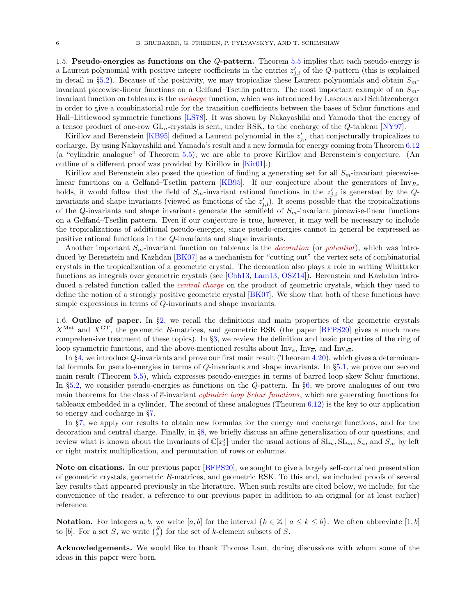1.5. Pseudo-energies as functions on the Q-pattern. Theorem [5.5](#page-29-0) implies that each pseudo-energy is a Laurent polynomial with positive integer coefficients in the entries  $z'_{j,i}$  of the Q-pattern (this is explained in detail in §[5.2\)](#page-31-0). Because of the positivity, we may tropicalize these Laurent polynomials and obtain  $S_{m}$ invariant piecewise-linear functions on a Gelfand–Tsetlin pattern. The most important example of an  $S_m$ invariant function on tableaux is the *cocharge* function, which was introduced by Lascoux and Schützenberger in order to give a combinatorial rule for the transition coefficients between the bases of Schur functions and Hall–Littlewood symmetric functions [\[LS78\]](#page-49-20). It was shown by Nakayashiki and Yamada that the energy of a tensor product of one-row  $GL_n$ -crystals is sent, under RSK, to the cocharge of the Q-tableau [\[NY97\]](#page-50-7).

Kirillov and Berenstein [\[KB95\]](#page-49-9) defined a Laurent polynomial in the  $z'_{j,i}$  that conjecturally tropicalizes to cocharge. By using Nakayashiki and Yamada's result and a new formula for energy coming from Theorem [6.12](#page-38-0) (a "cylindric analogue" of Theorem [5.5\)](#page-29-0), we are able to prove Kirillov and Berenstein's conjecture. (An outline of a different proof was provided by Kirillov in [\[Kir01\]](#page-49-10).)

Kirillov and Berenstein also posed the question of finding a generating set for all  $S_m$ -invariant piecewise-linear functions on a Gelfand–Tsetlin pattern [\[KB95\]](#page-49-9). If our conjecture about the generators of Inv<sub>Re</sub> holds, it would follow that the field of  $S_m$ -invariant rational functions in the  $z'_{j,i}$  is generated by the Qinvariants and shape invariants (viewed as functions of the  $z'_{j,i}$ ). It seems possible that the tropicalizations of the Q-invariants and shape invariants generate the semifield of  $S_m$ -invariant piecewise-linear functions on a Gelfand–Tsetlin pattern. Even if our conjecture is true, however, it may well be necessary to include the tropicalizations of additional pseudo-energies, since psuedo-energies cannot in general be expressed as positive rational functions in the Q-invariants and shape invariants.

Another important  $S_m$ -invariant function on tableaux is the *decoration* (or *potential*), which was introduced by Berenstein and Kazhdan [\[BK07\]](#page-48-3) as a mechanism for "cutting out" the vertex sets of combinatorial crystals in the tropicalization of a geometric crystal. The decoration also plays a role in writing Whittaker functions as integrals over geometric crystals (see [\[Chh13,](#page-48-5) [Lam13,](#page-49-21) [OSZ14\]](#page-50-8)). Berenstein and Kazhdan introduced a related function called the *central charge* on the product of geometric crystals, which they used to define the notion of a strongly positive geometric crystal [\[BK07\]](#page-48-3). We show that both of these functions have simple expressions in terms of Q-invariants and shape invariants.

1.6. Outline of paper. In  $\S2$ , we recall the definitions and main properties of the geometric crystals  $X^{\text{Mat}}$  and  $X^{\text{GT}}$ , the geometric R-matrices, and geometric RSK (the paper [\[BFPS20\]](#page-48-4) gives a much more comprehensive treatment of these topics). In §[3,](#page-12-0) we review the definition and basic properties of the ring of loop symmetric functions, and the above-mentioned results about  $\text{Inv}_{\epsilon}$ ,  $\text{Inv}_{\epsilon\bar{\epsilon}}$ , and  $\text{Inv}_{\epsilon\bar{\epsilon}}$ .

In §[4,](#page-17-0) we introduce Q-invariants and prove our first main result (Theorem [4.20\)](#page-22-0), which gives a determinantal formula for pseudo-energies in terms of Q-invariants and shape invariants. In §[5.1,](#page-26-1) we prove our second main result (Theorem [5.5\)](#page-29-0), which expresses pseudo-energies in terms of barred loop skew Schur functions. In §[5.2,](#page-31-0) we consider pseudo-energies as functions on the Q-pattern. In §[6,](#page-33-0) we prove analogues of our two main theorems for the class of  $\bar{e}$ -invariant *cylindric loop Schur functions*, which are generating functions for tableaux embedded in a cylinder. The second of these analogues (Theorem [6.12\)](#page-38-0) is the key to our application to energy and cocharge in §[7.](#page-40-0)

In §[7,](#page-40-0) we apply our results to obtain new formulas for the energy and cocharge functions, and for the decoration and central charge. Finally, in §[8,](#page-47-0) we briefly discuss an affine generalization of our questions, and review what is known about the invariants of  $\mathbb{C}[x_i^j]$  under the usual actions of  $SL_n, SL_m, S_n$ , and  $S_m$  by left or right matrix multiplication, and permutation of rows or columns.

Note on citations. In our previous paper [\[BFPS20\]](#page-48-4), we sought to give a largely self-contained presentation of geometric crystals, geometric R-matrices, and geometric RSK. To this end, we included proofs of several key results that appeared previously in the literature. When such results are cited below, we include, for the convenience of the reader, a reference to our previous paper in addition to an original (or at least earlier) reference.

**Notation.** For integers a, b, we write [a, b] for the interval  $\{k \in \mathbb{Z} \mid a \leq k \leq b\}$ . We often abbreviate [1, b] to [b]. For a set S, we write  $\binom{S}{k}$  for the set of k-element subsets of S.

Acknowledgements. We would like to thank Thomas Lam, during discussions with whom some of the ideas in this paper were born.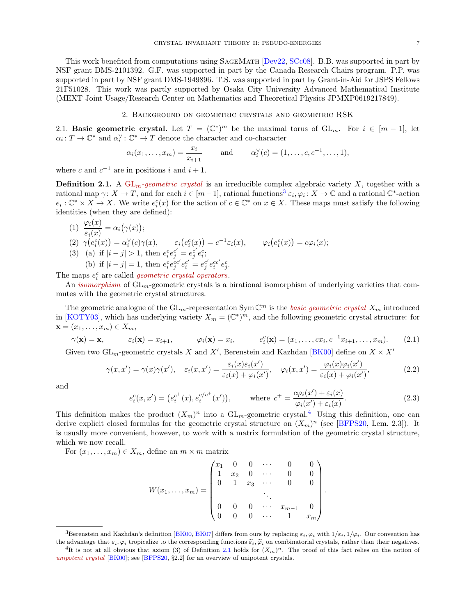This work benefited from computations using SageMath [\[Dev22,](#page-48-6) [SCc08\]](#page-50-9). B.B. was supported in part by NSF grant DMS-2101392. G.F. was supported in part by the Canada Research Chairs program. P.P. was supported in part by NSF grant DMS-1949896. T.S. was supported in part by Grant-in-Aid for JSPS Fellows 21F51028. This work was partly supported by Osaka City University Advanced Mathematical Institute (MEXT Joint Usage/Research Center on Mathematics and Theoretical Physics JPMXP0619217849).

### 2. Background on geometric crystals and geometric RSK

<span id="page-6-1"></span><span id="page-6-0"></span>2.1. Basic geometric crystal. Let  $T = (\mathbb{C}^*)^m$  be the maximal torus of  $GL_m$ . For  $i \in [m-1]$ , let  $\alpha_i \colon T \to \mathbb{C}^*$  and  $\alpha_i^{\vee} \colon \mathbb{C}^* \to T$  denote the character and co-character

$$
\alpha_i(x_1,...,x_m) = \frac{x_i}{x_{i+1}}
$$
 and  $\alpha_i^{\vee}(c) = (1,...,c,c^{-1},...,1),$ 

where c and  $c^{-1}$  are in positions i and  $i + 1$ .

<span id="page-6-4"></span>**Definition 2.1.** A  $GL_m$ -geometric crystal is an irreducible complex algebraic variety X, together with a rational map  $\gamma: X \to T$ , and for each  $i \in [m-1]$ , rational functions<sup>[3](#page-6-2)</sup>  $\varepsilon_i, \varphi_i: X \to \mathbb{C}$  and a rational  $\mathbb{C}^*$ -action  $e_i: \mathbb{C}^* \times X \to X$ . We write  $e_i^c(x)$  for the action of  $c \in \mathbb{C}^*$  on  $x \in X$ . These maps must satisfy the following identities (when they are defined):

(1) 
$$
\frac{\varphi_i(x)}{\varepsilon_i(x)} = \alpha_i(\gamma(x));
$$
  
\n(2) 
$$
\gamma(e_i^c(x)) = \alpha_i^{\vee}(c)\gamma(x), \qquad \varepsilon_i(e_i^c(x)) = c^{-1}\varepsilon_i(x), \qquad \varphi_i(e_i^c(x)) = c\varphi_i(x);
$$
  
\n(3) (a) if  $|i - j| > 1$ , then  $e_i^c e_j^{c'} = e_j^{c'} e_i^{c}$ ;  
\n(b) if  $|i - j| = 1$ , then  $e_i^c e_j^{c'} e_i^{c'} = e_j^{c'} e_i^{c'} e_j^{c}$ .  
\n(b)  $\text{as } i \in \mathbb{Z}$  and  $\text{as } j \in \mathbb{Z}$  and  $\text{as } j \in \mathbb{Z}$  and  $\text{as } j \in \mathbb{Z}$ .

The maps  $e_i^c$  are called *geometric crystal operators*.

An *isomorphism* of  $GL_m$ -geometric crystals is a birational isomorphism of underlying varieties that commutes with the geometric crystal structures.

The geometric analogue of the  $GL_m$ -representation Sym  $\mathbb{C}^m$  is the *basic geometric crystal*  $X_m$  introduced in [\[KOTY03\]](#page-49-22), which has underlying variety  $X_m = (\mathbb{C}^*)^m$ , and the following geometric crystal structure: for  $\mathbf{x} = (x_1, \ldots, x_m) \in X_m,$ 

$$
\gamma(\mathbf{x}) = \mathbf{x}, \qquad \varepsilon_i(\mathbf{x}) = x_{i+1}, \qquad \varphi_i(\mathbf{x}) = x_i, \qquad e_i^c(\mathbf{x}) = (x_1, \dots, cx_i, c^{-1}x_{i+1}, \dots, x_m). \tag{2.1}
$$

Given two  $\operatorname{GL}_m$ -geometric crystals X and X', Berenstein and Kazhdan [\[BK00\]](#page-48-2) define on  $X \times X'$ 

$$
\gamma(x, x') = \gamma(x)\gamma(x'), \quad \varepsilon_i(x, x') = \frac{\varepsilon_i(x)\varepsilon_i(x')}{\varepsilon_i(x) + \varphi_i(x')}, \quad \varphi_i(x, x') = \frac{\varphi_i(x)\varphi_i(x')}{\varepsilon_i(x) + \varphi_i(x')},\tag{2.2}
$$

and

$$
e_i^c(x, x') = (e_i^{c^+}(x), e_i^{c/c^+}(x')), \qquad \text{where } c^+ = \frac{c\varphi_i(x') + \varepsilon_i(x)}{\varphi_i(x') + \varepsilon_i(x)}.
$$
 (2.3)

This definition makes the product  $(X_m)^n$  into a  $GL_m$ -geometric crystal.<sup>[4](#page-6-3)</sup> Using this definition, one can derive explicit closed formulas for the geometric crystal structure on  $(X_m)^n$  (see [\[BFPS20,](#page-48-4) Lem. 2.3]). It is usually more convenient, however, to work with a matrix formulation of the geometric crystal structure, which we now recall.

For  $(x_1, \ldots, x_m) \in X_m$ , define an  $m \times m$  matrix

$$
W(x_1, \ldots, x_m) = \begin{pmatrix} x_1 & 0 & 0 & \cdots & 0 & 0 \\ 1 & x_2 & 0 & \cdots & 0 & 0 \\ 0 & 1 & x_3 & \cdots & 0 & 0 \\ & & & \ddots & & \\ 0 & 0 & 0 & \cdots & x_{m-1} & 0 \\ 0 & 0 & 0 & \cdots & 1 & x_m \end{pmatrix}.
$$

<span id="page-6-2"></span><sup>&</sup>lt;sup>3</sup>Berenstein and Kazhdan's definition [\[BK00,](#page-48-2) [BK07\]](#page-48-3) differs from ours by replacing  $\varepsilon_i, \varphi_i$  with  $1/\varepsilon_i, 1/\varphi_i$ . Our convention has the advantage that  $\varepsilon_i, \varphi_i$  tropicalize to the corresponding functions  $\tilde{\varepsilon}_i, \tilde{\varphi}_i$  on combinatorial crystals, rather than their negatives.

<span id="page-6-3"></span><sup>&</sup>lt;sup>4</sup>It is not at all obvious that axiom (3) of Definition [2.1](#page-6-4) holds for  $(X_m)^n$ . The proof of this fact relies on the notion of unipotent crystal [\[BK00\]](#page-48-2); see [\[BFPS20,](#page-48-4) §2.2] for an overview of unipotent crystals.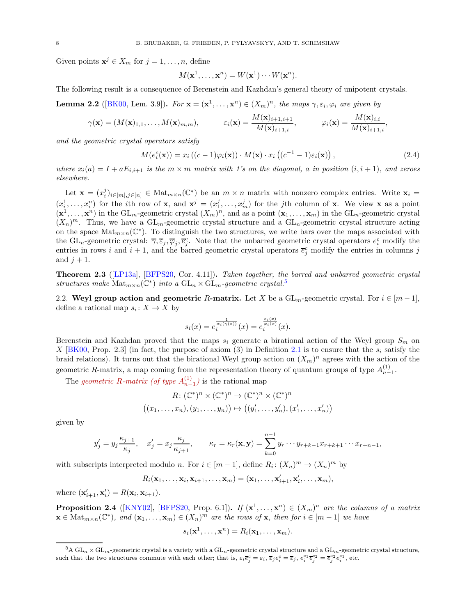Given points  $\mathbf{x}^j \in X_m$  for  $j = 1, \ldots, n$ , define

$$
M(\mathbf{x}^1, \dots, \mathbf{x}^n) = W(\mathbf{x}^1) \cdots W(\mathbf{x}^n).
$$

The following result is a consequence of Berenstein and Kazhdan's general theory of unipotent crystals.

**Lemma 2.2** ([\[BK00,](#page-48-2) Lem. 3.9]). For  $\mathbf{x} = (\mathbf{x}^1, \dots, \mathbf{x}^n) \in (X_m)^n$ , the maps  $\gamma, \varepsilon_i, \varphi_i$  are given by

$$
\gamma(\mathbf{x}) = (M(\mathbf{x})_{1,1},\ldots,M(\mathbf{x})_{m,m}), \qquad \varepsilon_i(\mathbf{x}) = \frac{M(\mathbf{x})_{i+1,i+1}}{M(\mathbf{x})_{i+1,i}}, \qquad \varphi_i(\mathbf{x}) = \frac{M(\mathbf{x})_{i,i}}{M(\mathbf{x})_{i+1,i}},
$$

and the geometric crystal operators satisfy

<span id="page-7-3"></span>
$$
M(e_i^c(\mathbf{x})) = x_i ((c-1)\varphi_i(\mathbf{x})) \cdot M(\mathbf{x}) \cdot x_i ((c^{-1} - 1)\varepsilon_i(\mathbf{x})), \qquad (2.4)
$$

where  $x_i(a) = I + aE_{i,i+1}$  is the  $m \times m$  matrix with 1's on the diagonal, a in position  $(i, i + 1)$ , and zeroes elsewhere.

Let  $\mathbf{x} = (x_i^j)_{i \in [m], j \in [n]} \in \text{Mat}_{m \times n}(\mathbb{C}^*)$  be an  $m \times n$  matrix with nonzero complex entries. Write  $\mathbf{x}_i =$  $(x_1^1, \ldots, x_i^n)$  for the *i*th row of **x**, and  $\mathbf{x}^j = (x_1^j, \ldots, x_m^j)$  for the *j*th column of **x**. We view **x** as a point  $(\mathbf{x}^1,\ldots,\mathbf{x}^n)$  in the GL<sub>m</sub>-geometric crystal  $(X_m)^n$ , and as a point  $(\mathbf{x}_1,\ldots,\mathbf{x}_m)$  in the GL<sub>n</sub>-geometric crystal  $(X_n)^m$ . Thus, we have a  $GL_m$ -geometric crystal structure and a  $GL_n$ -geometric crystal structure acting on the space  $\text{Mat}_{m\times n}(\mathbb{C}^*)$ . To distinguish the two structures, we write bars over the maps associated with the GL<sub>n</sub>-geometric crystal:  $\overline{\gamma}, \overline{\varepsilon}_j, \overline{\varphi}_j, \overline{e}_j^c$ . Note that the unbarred geometric crystal operators  $e_i^c$  modify the entries in rows i and  $i + 1$ , and the barred geometric crystal operators  $\overline{e}_j^c$  modify the entries in columns j and  $j+1$ .

<span id="page-7-1"></span>Theorem 2.3 ([\[LP13a\]](#page-49-23), [\[BFPS20,](#page-48-4) Cor. 4.11]). Taken together, the barred and unbarred geometric crystal structures make  $\text{Mat}_{m\times n}(\mathbb{C}^*)$  into a  $\text{GL}_n\times \text{GL}_m$ -geometric crystal.<sup>[5](#page-7-0)</sup>

2.2. Weyl group action and geometric R-matrix. Let X be a  $GL_m$ -geometric crystal. For  $i \in [m-1]$ , define a rational map  $s_i: X \to X$  by

$$
s_i(x) = e_i^{\frac{1}{\alpha_i(\gamma(x))}}(x) = e_i^{\frac{\varepsilon_i(x)}{\varphi_i(x)}}(x).
$$

Berenstein and Kazhdan proved that the maps  $s_i$  generate a birational action of the Weyl group  $S_m$  on X [\[BK00,](#page-48-2) Prop. 2.3] (in fact, the purpose of axiom (3) in Definition [2.1](#page-6-4) is to ensure that the  $s_i$  satisfy the braid relations). It turns out that the birational Weyl group action on  $(X_m)^n$  agrees with the action of the geometric R-matrix, a map coming from the representation theory of quantum groups of type  $A_{n-1}^{(1)}$ .

The geometric R-matrix (of type  $A_{n-1}^{(1)}$ ) is the rational map

$$
R: (\mathbb{C}^*)^n \times (\mathbb{C}^*)^n \to (\mathbb{C}^*)^n \times (\mathbb{C}^*)^n
$$

$$
((x_1, \ldots, x_n), (y_1, \ldots, y_n)) \mapsto ((y'_1, \ldots, y'_n), (x'_1, \ldots, x'_n))
$$

given by

$$
y'_j = y_j \frac{\kappa_{j+1}}{\kappa_j}, \quad x'_j = x_j \frac{\kappa_j}{\kappa_{j+1}}, \qquad \kappa_r = \kappa_r(\mathbf{x}, \mathbf{y}) = \sum_{k=0}^{n-1} y_r \cdots y_{r+k-1} x_{r+k+1} \cdots x_{r+n-1},
$$

with subscripts interpreted modulo *n*. For  $i \in [m-1]$ , define  $R_i: (X_n)^m \to (X_n)^m$  by

$$
R_i(\mathbf{x}_1,\ldots,\mathbf{x}_i,\mathbf{x}_{i+1},\ldots,\mathbf{x}_m)=(\mathbf{x}_1,\ldots,\mathbf{x}'_{i+1},\mathbf{x}'_i,\ldots,\mathbf{x}_m),
$$

where  $(\mathbf{x}'_{i+1}, \mathbf{x}'_i) = R(\mathbf{x}_i, \mathbf{x}_{i+1}).$ 

<span id="page-7-2"></span>**Proposition 2.4** ([\[KNY02\]](#page-49-24), [\[BFPS20,](#page-48-4) Prop. 6.1]). If  $(\mathbf{x}^1, \ldots, \mathbf{x}^n) \in (X_m)^n$  are the columns of a matrix  $\mathbf{x} \in \text{Mat}_{m \times n}(\mathbb{C}^*), \text{ and } (\mathbf{x}_1, \ldots, \mathbf{x}_m) \in (X_n)^m \text{ are the rows of } \mathbf{x}, \text{ then for } i \in [m-1] \text{ we have }$ 

$$
s_i(\mathbf{x}^1,\ldots,\mathbf{x}^n)=R_i(\mathbf{x}_1,\ldots,\mathbf{x}_m).
$$

<span id="page-7-0"></span> $^{5}A$  GL<sub>n</sub>  $\times$  GL<sub>m</sub>-geometric crystal is a variety with a GL<sub>n</sub>-geometric crystal structure and a GL<sub>m</sub>-geometric crystal structure, such that the two structures commute with each other; that is,  $\varepsilon_i \overline{e}_j^c = \varepsilon_i$ ,  $\overline{\varepsilon}_j e_i^c = \overline{\varepsilon}_j$ ,  $e_i^{c_1} \overline{e}_j^{c_2} = \overline{e}_j^{c_2} e_i^{c_1}$ , etc.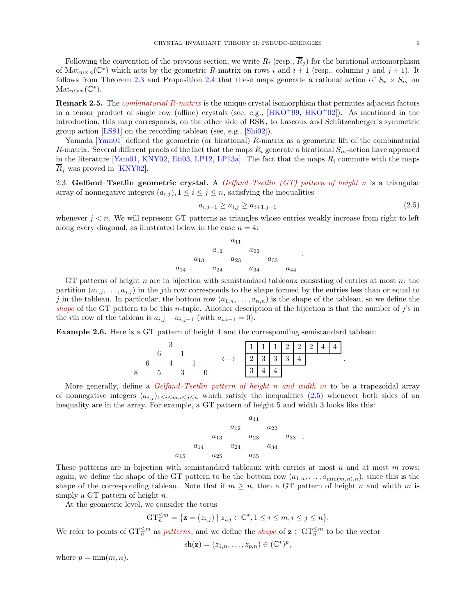Following the convention of the previous section, we write  $R_i$  (resp.,  $\overline{R}_i$ ) for the birational automorphism of  $\text{Mat}_{m\times n}(\mathbb{C}^*)$  which acts by the geometric R-matrix on rows i and  $i+1$  (resp., columns j and  $j+1$ ). It follows from Theorem [2.3](#page-7-1) and Proposition [2.4](#page-7-2) that these maps generate a rational action of  $S_n \times S_m$  on  $\mathrm{Mat}_{m \times n}(\mathbb{C}^*).$ 

Remark 2.5. The *combinatorial R-matrix* is the unique crystal isomorphism that permutes adjacent factors in a tensor product of single row (affine) crystals (see, e.g.,  $[HKO<sup>+</sup>99, HKO<sup>+</sup>02]$  $[HKO<sup>+</sup>99, HKO<sup>+</sup>02]$  $[HKO<sup>+</sup>99, HKO<sup>+</sup>02]$ ). As mentioned in the introduction, this map corresponds, on the other side of RSK, to Lascoux and Schützenberger's symmetric group action [\[LS81\]](#page-50-10) on the recording tableau (see, e.g., [\[Shi02\]](#page-50-3)).

Yamada [\[Yam01\]](#page-50-5) defined the geometric (or birational) R-matrix as a geometric lift of the combinatorial R-matrix. Several different proofs of the fact that the maps  $R_i$  generate a birational  $S_m$ -action have appeared in the literature [\[Yam01,](#page-50-5) [KNY02,](#page-49-24) [Eti03,](#page-48-7) [LP12,](#page-49-12) [LP13a\]](#page-49-23). The fact that the maps  $R_i$  commute with the maps  $R_i$  was proved in [\[KNY02\]](#page-49-24).

<span id="page-8-0"></span>2.3. Gelfand–Tsetlin geometric crystal. A Gelfand–Tsetlin (GT) pattern of height n is a triangular array of nonnegative integers  $(a_{i,j})$ ,  $1 \leq i \leq j \leq n$ , satisfying the inequalities

<span id="page-8-1"></span>
$$
a_{i,j+1} \ge a_{i,j} \ge a_{i+1,j+1} \tag{2.5}
$$

.

.

whenever  $j < n$ . We will represent GT patterns as triangles whose entries weakly increase from right to left along every diagonal, as illustrated below in the case  $n = 4$ :

$$
\begin{array}{cccc}\n & & a_{11} & & & \\
a_{12} & & a_{22} & & & \\
a_{13} & & a_{23} & & a_{33} & \\
a_{14} & & a_{24} & & a_{34} & & a_{44} & \\
\end{array}
$$

GT patterns of height n are in bijection with semistandard tableaux consisting of entries at most  $n$ : the partition  $(a_{1,j},...,a_{j,j})$  in the jth row corresponds to the shape formed by the entries less than or equal to j in the tableau. In particular, the bottom row  $(a_{1,n},\ldots,a_{n,n})$  is the shape of the tableau, so we define the shape of the GT pattern to be this n-tuple. Another description of the bijection is that the number of  $j$ 's in the *i*th row of the tableau is  $a_{i,j} - a_{i,j-1}$  (with  $a_{i,i-1} = 0$ ).

Example 2.6. Here is a GT pattern of height 4 and the corresponding semistandard tableau:

|   |  |  |  |  |  |                                      |  | 1111222444 |
|---|--|--|--|--|--|--------------------------------------|--|------------|
|   |  |  |  |  |  | $2 \mid 3 \mid 3 \mid 3 \mid 4 \mid$ |  |            |
| 8 |  |  |  |  |  |                                      |  |            |

More generally, define a *Gelfand–Tsetlin pattern of height n and width m* to be a trapezoidal array of nonnegative integers  $(a_{i,j})_{1\leq i\leq m,i\leq j\leq n}$  which satisfy the inequalities [\(2.5\)](#page-8-1) whenever both sides of an inequality are in the array. For example, a GT pattern of height 5 and width 3 looks like this:



These patterns are in bijection with semistandard tableaux with entries at most n and at most m rows; again, we define the shape of the GT pattern to be the bottom row  $(a_{1,n},\ldots,a_{\min(m,n),n})$ , since this is the shape of the corresponding tableau. Note that if  $m \geq n$ , then a GT pattern of height n and width m is simply a GT pattern of height  $n$ .

At the geometric level, we consider the torus

$$
GT_n^{\leq m} = \{ \mathbf{z} = (z_{i,j}) \mid z_{i,j} \in \mathbb{C}^*, 1 \leq i \leq m, i \leq j \leq n \}.
$$

We refer to points of  $GT_n^{\leq m}$  as *patterns*, and we define the *shape* of  $z \in GT_n^{\leq m}$  to be the vector

$$
sh(\mathbf{z})=(z_{1,n},\ldots,z_{p,n})\in(\mathbb{C}^*)^p,
$$

where  $p = \min(m, n)$ .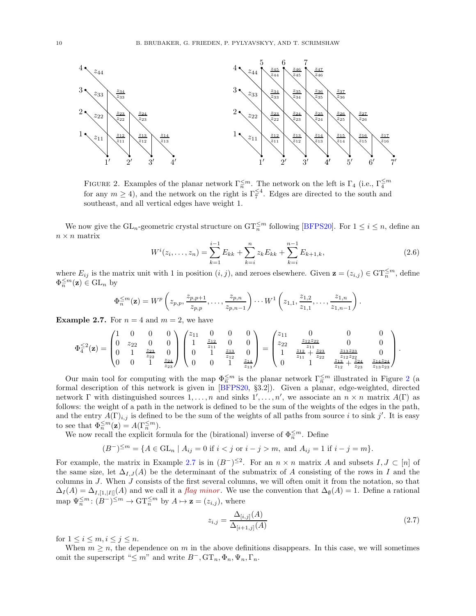

<span id="page-9-0"></span>FIGURE 2. Examples of the planar network  $\Gamma_n^{\leq m}$ . The network on the left is  $\Gamma_4$  (i.e.,  $\Gamma_4^{\leq m}$ for any  $m \geq 4$ ), and the network on the right is  $\Gamma_7^{\leq 4}$ . Edges are directed to the south and southeast, and all vertical edges have weight 1.

We now give the  $GL_n$ -geometric crystal structure on  $GT_n^{\leq m}$  following [\[BFPS20\]](#page-48-4). For  $1 \leq i \leq n$ , define an  $n \times n$  matrix

$$
W^{i}(z_{i},...,z_{n}) = \sum_{k=1}^{i-1} E_{kk} + \sum_{k=i}^{n} z_{k} E_{kk} + \sum_{k=i}^{n-1} E_{k+1,k},
$$
\n(2.6)

where  $E_{ij}$  is the matrix unit with 1 in position  $(i, j)$ , and zeroes elsewhere. Given  $\mathbf{z} = (z_{i,j}) \in \mathrm{GT}_n^{\leq m}$ , define  $\Phi_n^{\leq m}(\mathbf{z}) \in \mathrm{GL}_n$  by

$$
\Phi_n^{\leq m}(\mathbf{z}) = W^p\left(z_{p,p}, \frac{z_{p,p+1}}{z_{p,p}}, \ldots, \frac{z_{p,n}}{z_{p,n-1}}\right) \cdots W^1\left(z_{1,1}, \frac{z_{1,2}}{z_{1,1}}, \ldots, \frac{z_{1,n}}{z_{1,n-1}}\right).
$$

<span id="page-9-1"></span>**Example 2.7.** For  $n = 4$  and  $m = 2$ , we have

$$
\Phi_4^{\leq 2}(\mathbf{z}) = \begin{pmatrix} 1 & 0 & 0 & 0 \\ 0 & z_{22} & 0 & 0 \\ 0 & 1 & \frac{z_{23}}{z_{22}} & 0 \\ 0 & 0 & 1 & \frac{z_{24}}{z_{23}} \end{pmatrix} \begin{pmatrix} z_{11} & 0 & 0 & 0 \\ 1 & \frac{z_{12}}{z_{11}} & 0 & 0 \\ 0 & 1 & \frac{z_{13}}{z_{12}} & 0 \\ 0 & 0 & 1 & \frac{z_{14}}{z_{13}} \end{pmatrix} = \begin{pmatrix} z_{11} & 0 & 0 & 0 \\ z_{22} & \frac{z_{12}z_{22}}{z_{11}} & 0 & 0 \\ 1 & \frac{z_{12}}{z_{11}} + \frac{z_{23}}{z_{22}} & \frac{z_{13}z_{23}}{z_{12}z_{22}} & 0 \\ 0 & 1 & \frac{z_{13}z_{24}}{z_{12}} + \frac{z_{24}}{z_{23}} & \frac{z_{14}z_{24}}{z_{13}z_{23}} \end{pmatrix}.
$$

Our main tool for computing with the map  $\Phi_n^{\leq m}$  is the planar network  $\Gamma_n^{\leq m}$  illustrated in Figure [2](#page-9-0) (a formal description of this network is given in [\[BFPS20,](#page-48-4) §3.2]). Given a planar, edge-weighted, directed network  $\Gamma$  with distinguished sources  $1,\ldots,n$  and sinks  $1',\ldots,n'$ , we associate an  $n \times n$  matrix  $A(\Gamma)$  as follows: the weight of a path in the network is defined to be the sum of the weights of the edges in the path, and the entry  $A(\Gamma)_{i,j}$  is defined to be the sum of the weights of all paths from source i to sink j'. It is easy to see that  $\Phi_n^{\leq m}(\mathbf{z}) = A(\Gamma_n^{\leq m}).$ 

We now recall the explicit formula for the (birational) inverse of  $\Phi_n^{\leq m}$ . Define

$$
(B^-)^{\leq m} = \{ A \in GL_n \mid A_{ij} = 0 \text{ if } i < j \text{ or } i - j > m, \text{ and } A_{ij} = 1 \text{ if } i - j = m \}.
$$

For example, the matrix in Example [2.7](#page-9-1) is in  $(B^-)^{\leq 2}$ . For an  $n \times n$  matrix A and subsets  $I, J \subset [n]$  of the same size, let  $\Delta_{I,J}(A)$  be the determinant of the submatrix of A consisting of the rows in I and the columns in J. When J consists of the first several columns, we will often omit it from the notation, so that  $\Delta_I(A) = \Delta_{I,[1,|I|]}(A)$  and we call it a *flag minor*. We use the convention that  $\Delta_{\emptyset}(A) = 1$ . Define a rational map  $\Psi_n^{\leq m} : (B^-)^{\leq m} \to \mathrm{GT}_n^{\leq m}$  by  $A \mapsto \mathbf{z} = (z_{i,j}),$  where

$$
z_{i,j} = \frac{\Delta_{[i,j]}(A)}{\Delta_{[i+1,j]}(A)}
$$
(2.7)

for  $1 \leq i \leq m, i \leq j \leq n$ .

When  $m \geq n$ , the dependence on m in the above definitions disappears. In this case, we will sometimes omit the superscript " $\leq m$ " and write  $B^-$ ,  $\mathrm{GT}_n$ ,  $\Phi_n$ ,  $\Psi_n$ ,  $\Gamma_n$ .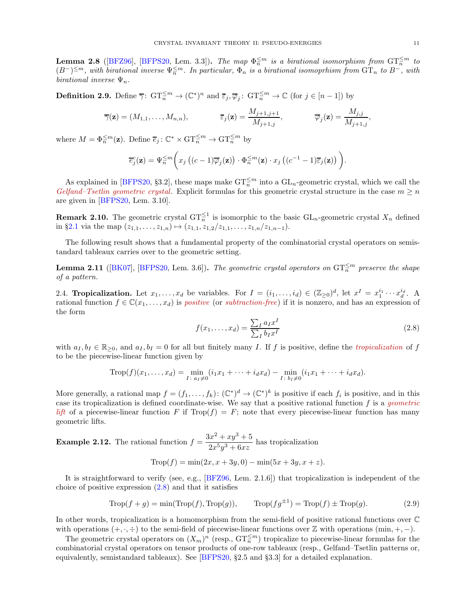<span id="page-10-1"></span>**Lemma 2.8** ([\[BFZ96\]](#page-48-8), [\[BFPS20,](#page-48-4) Lem. 3.3]). The map  $\Phi_n^{\leq m}$  is a birational isomorphism from  $\mathrm{GT}_n^{\leq m}$  to  $(B^-)^{\leq m}$ , with birational inverse  $\Psi_n^{\leq m}$ . In particular,  $\Phi_n$  is a birational isomoprhism from  $\mathrm{GT}_n$  to  $B^-$ , with birational inverse  $\Psi_n$ .

**Definition 2.9.** Define  $\overline{\gamma}$ :  $\mathrm{GT}_n^{\leq m} \to (\mathbb{C}^*)^n$  and  $\overline{\varepsilon}_j, \overline{\varphi}_j$ :  $\mathrm{GT}_n^{\leq m} \to \mathbb{C}$  (for  $j \in [n-1]$ ) by

$$
\overline{\gamma}(\mathbf{z}) = (M_{1,1}, \dots, M_{n,n}), \qquad \overline{\varepsilon}_j(\mathbf{z}) = \frac{M_{j+1,j+1}}{M_{j+1,j}}, \qquad \overline{\varphi}_j(\mathbf{z}) = \frac{M_{j,j}}{M_{j+1,j}},
$$

where  $M = \Phi_n^{\leq m}(\mathbf{z})$ . Define  $\overline{e}_j : \mathbb{C}^* \times \mathrm{GT}_n^{\leq m} \to \mathrm{GT}_n^{\leq m}$  by

$$
\overline{e}_j^c(\mathbf{z}) = \Psi_n^{\leq m} \bigg( x_j \left( (c-1) \overline{\varphi}_j(\mathbf{z}) \right) \cdot \Phi_n^{\leq m}(\mathbf{z}) \cdot x_j \left( (c^{-1} - 1) \overline{\varepsilon}_j(\mathbf{z}) \right) \bigg).
$$

As explained in [\[BFPS20,](#page-48-4) §3.2], these maps make  $GT_n^{\leq m}$  into a  $GL_n$ -geometric crystal, which we call the Gelfand–Tsetlin geometric crystal. Explicit formulas for this geometric crystal structure in the case  $m \geq n$ are given in [\[BFPS20,](#page-48-4) Lem. 3.10].

**Remark 2.10.** The geometric crystal  $GT_n^{\leq 1}$  is isomorphic to the basic  $GL_n$ -geometric crystal  $X_n$  defined in §[2.1](#page-6-1) via the map  $(z_{1,1},...,z_{1,n}) \mapsto (z_{1,1}, z_{1,2}/z_{1,1},...,z_{1,n}/z_{1,n-1}).$ 

The following result shows that a fundamental property of the combinatorial crystal operators on semistandard tableaux carries over to the geometric setting.

**Lemma 2.11** ([\[BK07\]](#page-48-3), [\[BFPS20,](#page-48-4) Lem. 3.6]). The geometric crystal operators on  $GT_n^{\leq m}$  preserve the shape of a pattern.

<span id="page-10-2"></span>2.4. **Tropicalization.** Let  $x_1, \ldots, x_d$  be variables. For  $I = (i_1, \ldots, i_d) \in (\mathbb{Z}_{\geq 0})^d$ , let  $x^I = x_1^{i_1} \cdots x_d^{i_d}$ . A rational function  $f \in \mathbb{C}(x_1, \ldots, x_d)$  is positive (or subtraction-free) if it is nonzero, and has an expression of the form

<span id="page-10-0"></span>
$$
f(x_1, \dots, x_d) = \frac{\sum_I a_I x^I}{\sum_I b_I x^I}
$$
\n(2.8)

with  $a_I, b_I \in \mathbb{R}_{\geq 0}$ , and  $a_I, b_I = 0$  for all but finitely many I. If f is positive, define the *tropicalization* of f to be the piecewise-linear function given by

$$
\text{Trop}(f)(x_1, \ldots, x_d) = \min_{I \colon a_I \neq 0} (i_1 x_1 + \cdots + i_d x_d) - \min_{I \colon b_I \neq 0} (i_1 x_1 + \cdots + i_d x_d).
$$

More generally, a rational map  $f = (f_1, \ldots, f_k) : (\mathbb{C}^*)^d \to (\mathbb{C}^*)^k$  is positive if each  $f_i$  is positive, and in this case its tropicalization is defined coordinate-wise. We say that a positive rational function  $f$  is a *geometric* lift of a piecewise-linear function F if  $\text{Top}(f) = F$ ; note that every piecewise-linear function has many geometric lifts.

**Example 2.12.** The rational function 
$$
f = \frac{3x^2 + xy^3 + 5}{2x^5y^3 + 6xz}
$$
 has tropicalization

$$
Trop(f) = \min(2x, x + 3y, 0) - \min(5x + 3y, x + z).
$$

It is straightforward to verify (see, e.g., [\[BFZ96,](#page-48-8) Lem. 2.1.6]) that tropicalization is independent of the choice of positive expression  $(2.8)$  and that it satisfies

$$
\text{Trop}(f+g) = \min(\text{Trop}(f), \text{Trop}(g)), \qquad \text{Trop}(fg^{\pm 1}) = \text{Trop}(f) \pm \text{Trop}(g). \tag{2.9}
$$

In other words, tropicalization is a homomorphism from the semi-field of positive rational functions over C with operations  $(+, \cdot, \div)$  to the semi-field of piecewise-linear functions over Z with operations  $(\min, +, -)$ .

The geometric crystal operators on  $(X_m)^n$  (resp.,  $\mathrm{GT}_n^{\leq m}$ ) tropicalize to piecewise-linear formulas for the combinatorial crystal operators on tensor products of one-row tableaux (resp., Gelfand–Tsetlin patterns or, equivalently, semistandard tableaux). See [\[BFPS20,](#page-48-4) §2.5 and §3.3] for a detailed explanation.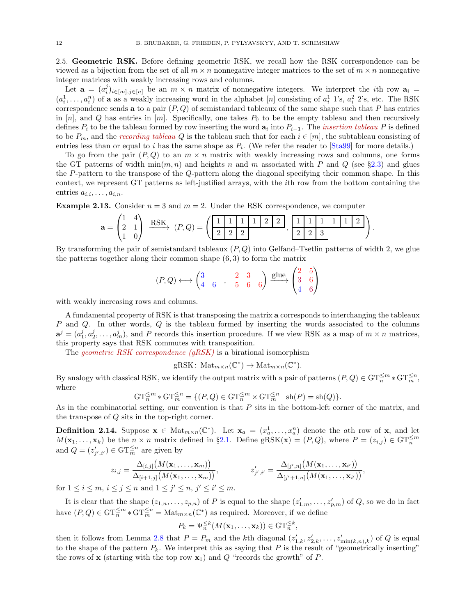<span id="page-11-0"></span>2.5. Geometric RSK. Before defining geometric RSK, we recall how the RSK correspondence can be viewed as a bijection from the set of all  $m \times n$  nonnegative integer matrices to the set of  $m \times n$  nonnegative integer matrices with weakly increasing rows and columns.

Let  $\mathbf{a} = (a_i^j)_{i \in [m], j \in [n]}$  be an  $m \times n$  matrix of nonnegative integers. We interpret the *i*th row  $\mathbf{a}_i =$  $(a_i^1, \ldots, a_i^n)$  of **a** as a weakly increasing word in the alphabet [n] consisting of  $a_i^1$  1's,  $a_i^2$  2's, etc. The RSK correspondence sends **a** to a pair  $(P,Q)$  of semistandard tableaux of the same shape such that P has entries in  $[n]$ , and Q has entries in  $[m]$ . Specifically, one takes  $P_0$  to be the empty tableau and then recursively defines  $P_i$  to be the tableau formed by row inserting the word  $a_i$  into  $P_{i-1}$ . The *insertion tableau* P is defined to be  $P_m$ , and the recording tableau Q is the tableau such that for each  $i \in [m]$ , the subtableau consisting of entries less than or equal to i has the same shape as  $P_i$ . (We refer the reader to [\[Sta99\]](#page-50-11) for more details.)

To go from the pair  $(P,Q)$  to an  $m \times n$  matrix with weakly increasing rows and columns, one forms the GT patterns of width  $\min(m, n)$  and heights n and m associated with P and Q (see §[2.3\)](#page-8-0) and glues the P-pattern to the transpose of the Q-pattern along the diagonal specifying their common shape. In this context, we represent GT patterns as left-justified arrays, with the ith row from the bottom containing the entries  $a_{i,i}, \ldots, a_{i,n}$ .

**Example 2.13.** Consider  $n = 3$  and  $m = 2$ . Under the RSK correspondence, we computer

$$
\mathbf{a} = \begin{pmatrix} 1 & 4 \\ 2 & 1 \\ 1 & 0 \end{pmatrix} \xrightarrow{\text{RSK}} (P,Q) = \left( \begin{array}{|c|c|c|c|c|} \hline 1 & 1 & 1 & 2 & 2 \\ \hline 2 & 2 & 2 & 2 \\ \hline \end{array} \right), \begin{array}{|c|c|c|c|c|c|c|} \hline 1 & 1 & 1 & 1 & 1 \\ \hline 2 & 2 & 3 & 3 \\ \hline \end{array} \right).
$$

By transforming the pair of semistandard tableaux  $(P, Q)$  into Gelfand–Tsetlin patterns of width 2, we glue the patterns together along their common shape  $(6, 3)$  to form the matrix

$$
(P,Q) \longleftrightarrow \begin{pmatrix} 3 & 2 & 3 \\ 4 & 6 & 5 & 6 \end{pmatrix} \xrightarrow{\text{glue}} \begin{pmatrix} 2 & 5 \\ 3 & 6 \\ 4 & 6 \end{pmatrix}
$$

with weakly increasing rows and columns.

A fundamental property of RSK is that transposing the matrix a corresponds to interchanging the tableaux P and Q. In other words, Q is the tableau formed by inserting the words associated to the columns  $\mathbf{a}^j = (a_1^j, a_2^j, \dots, a_m^j)$ , and P records this insertion procedure. If we view RSK as a map of  $m \times n$  matrices, this property says that RSK commutes with transposition.

The *geometric RSK correspondence (gRSK)* is a birational isomorphism

 $gRSK: Mat_{m\times n}(\mathbb{C}^*) \to Mat_{m\times n}(\mathbb{C}^*)$ .

By analogy with classical RSK, we identify the output matrix with a pair of patterns  $(P,Q) \in \mathrm{GT}_n^{\leq m} * \mathrm{GT}_m^{\leq n}$ , where

$$
GT_n^{\leq m} * GT_m^{\leq n} = \{ (P, Q) \in GT_n^{\leq m} \times GT_m^{\leq n} \mid \text{sh}(P) = \text{sh}(Q) \}.
$$

As in the combinatorial setting, our convention is that P sits in the bottom-left corner of the matrix, and the transpose of Q sits in the top-right corner.

**Definition 2.14.** Suppose  $\mathbf{x} \in \text{Mat}_{m \times n}(\mathbb{C}^*)$ . Let  $\mathbf{x}_a = (x_a^1, \ldots, x_a^n)$  denote the ath row of  $\mathbf{x}$ , and let  $M(\mathbf{x}_1,\ldots,\mathbf{x}_k)$  be the  $n \times n$  matrix defined in §[2.1.](#page-6-1) Define gRSK( $\mathbf{x}) = (P,Q)$ , where  $P = (z_{i,j}) \in \mathrm{GT}_n^{\leq m}$ and  $Q = (z'_{j',i'}) \in \mathrm{GT}_m^{\leq n}$  are given by

$$
z_{i,j} = \frac{\Delta_{[i,j]}\big(M(\mathbf{x}_1,\ldots,\mathbf{x}_m)\big)}{\Delta_{[i+1,j]}\big(M(\mathbf{x}_1,\ldots,\mathbf{x}_m)\big)}, \qquad z'_{j',i'} = \frac{\Delta_{[j',n]}\big(M(\mathbf{x}_1,\ldots,\mathbf{x}_{i'})\big)}{\Delta_{[j'+1,n]}\big(M(\mathbf{x}_1,\ldots,\mathbf{x}_{i'})\big)},
$$

for  $1 \leq i \leq m$ ,  $i \leq j \leq n$  and  $1 \leq j' \leq n$ ,  $j' \leq i' \leq m$ .

It is clear that the shape  $(z_{1,n},...,z_{p,n})$  of P is equal to the shape  $(z'_{1,m},...,z'_{p,m})$  of Q, so we do in fact have  $(P,Q) \in \mathrm{GT}_n^{\leq m} * \mathrm{GT}_m^{\leq n} = \mathrm{Mat}_{m \times n}(\mathbb{C}^*)$  as required. Moreover, if we define

$$
P_k = \Psi_n^{\leq k}(M(\mathbf{x}_1,\ldots,\mathbf{x}_k)) \in \mathrm{GT}_n^{\leq k},
$$

then it follows from Lemma [2.8](#page-10-1) that  $P = P_m$  and the kth diagonal  $(z'_{1,k}, z'_{2,k}, \ldots, z'_{\min(k,n),k})$  of Q is equal to the shape of the pattern  $P_k$ . We interpret this as saying that P is the result of "geometrically inserting" the rows of **x** (starting with the top row  $\mathbf{x}_1$ ) and Q "records the growth" of P.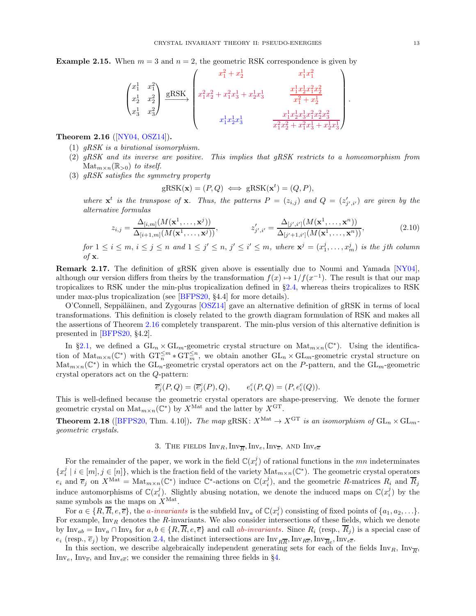**Example 2.15.** When  $m = 3$  and  $n = 2$ , the geometric RSK correspondence is given by

$$
\begin{pmatrix} x_1^1 & x_1^2 \\ x_2^1 & x_2^2 \\ x_3^1 & x_3^2 \end{pmatrix} \xrightarrow{\text{gRSK}} \begin{pmatrix} x_1^2 + x_2^1 & x_1^1 x_1^2 \\ x_1^2 x_2^2 + x_1^2 x_3^1 + x_2^1 x_3^1 & \frac{x_1^1 x_2^1 x_1^2 x_2^2}{x_1^2 + x_2^1} \\ x_1^1 x_2^1 x_3^1 & \frac{x_1^1 x_2^1 x_3^1 x_1^2 x_2^2 x_3^2}{x_1^2 x_2^2 + x_1^2 x_3^1 + x_2^1 x_3^1} \end{pmatrix}
$$

## <span id="page-12-1"></span>Theorem 2.16 ([\[NY04,](#page-50-4) [OSZ14\]](#page-50-8)).

- $(1)$  *qRSK is a birational isomorphism.*
- (2)  $qRSK$  and its inverse are positive. This implies that  $qRSK$  restricts to a homeomorphism from  $\text{Mat}_{m \times n}(\mathbb{R}_{>0})$  to itself.
- (3) gRSK satisfies the symmetry property

$$
gRSK(\mathbf{x}) = (P, Q) \iff gRSK(\mathbf{x}^t) = (Q, P),
$$

where  $\mathbf{x}^t$  is the transpose of  $\mathbf{x}$ . Thus, the patterns  $P = (z_{i,j})$  and  $Q = (z'_{j',i'})$  are given by the alternative formulas

$$
z_{i,j} = \frac{\Delta_{[i,m]}(M(\mathbf{x}^1, \dots, \mathbf{x}^j))}{\Delta_{[i+1,m]}(M(\mathbf{x}^1, \dots, \mathbf{x}^j))}, \qquad z'_{j',i'} = \frac{\Delta_{[j',i']}(M(\mathbf{x}^1, \dots, \mathbf{x}^n))}{\Delta_{[j'+1,i']}(M(\mathbf{x}^1, \dots, \mathbf{x}^n))},
$$
(2.10)

 $for 1 \leq i \leq m, i \leq j \leq n$  and  $1 \leq j' \leq n, j' \leq i' \leq m$ , where  $\mathbf{x}^{j} = (x_1^{j}, \ldots, x_m^{j})$  is the jth column of  $x$ .

Remark 2.17. The definition of gRSK given above is essentially due to Noumi and Yamada [\[NY04\]](#page-50-4), although our version differs from theirs by the transformation  $f(x) \mapsto 1/f(x^{-1})$ . The result is that our map tropicalizes to RSK under the min-plus tropicalization defined in §[2.4,](#page-10-2) whereas theirs tropicalizes to RSK under max-plus tropicalization (see [\[BFPS20,](#page-48-4) §4.4] for more details).

 $O'$ Connell, Seppäläinen, and Zygouras  $[OSZ14]$  gave an alternative definition of gRSK in terms of local transformations. This definition is closely related to the growth diagram formulation of RSK and makes all the assertions of Theorem [2.16](#page-12-1) completely transparent. The min-plus version of this alternative definition is presented in [\[BFPS20,](#page-48-4) §4.2].

In §[2.1,](#page-6-1) we defined a  $GL_n \times GL_m$ -geometric crystal structure on  $Mat_{m \times n}(\mathbb{C}^*)$ . Using the identification of  $\text{Mat}_{m\times n}(\mathbb{C}^*)$  with  $\text{GT}_n^{\leq m}*\text{GT}_m^{\leq n}$ , we obtain another  $\text{GL}_n\times \text{GL}_m$ -geometric crystal structure on  $\mathrm{Mat}_{m\times n}(\mathbb{C}^*)$  in which the  $\mathrm{GL}_n$ -geometric crystal operators act on the P-pattern, and the  $\mathrm{GL}_m$ -geometric crystal operators act on the Q-pattern:

$$
\overline{e}_{j}^{c}(P,Q) = (\overline{e}_{j}^{c}(P), Q), \qquad e_{i}^{c}(P,Q) = (P, e_{i}^{c}(Q)).
$$

This is well-defined because the geometric crystal operators are shape-preserving. We denote the former geometric crystal on  $\text{Mat}_{m \times n}(\mathbb{C}^*)$  by  $X^{\text{Mat}}$  and the latter by  $X^{\text{GT}}$ .

<span id="page-12-2"></span><span id="page-12-0"></span>**Theorem 2.18** ([\[BFPS20,](#page-48-4) Thm. 4.10]). The map gRSK:  $X^{\text{Mat}} \to X^{\text{GT}}$  is an isomorphism of  $GL_n \times GL_m$ geometric crystals.

# 3. The fields  $\text{Inv}_R, \text{Inv}_{\overline{R}}, \text{Inv}_e, \text{Inv}_{\overline{e}},$  and  $\text{Inv}_{e\overline{e}}$

For the remainder of the paper, we work in the field  $\mathbb{C}(x_i^j)$  of rational functions in the mn indeterminates  ${x_i^j \mid i \in [m], j \in [n]}$ , which is the fraction field of the variety  $\text{Mat}_{m \times n}(\mathbb{C}^*)$ . The geometric crystal operators  $e_i$  and  $\overline{e}_j$  on  $X^{\text{Mat}} = \text{Mat}_{m \times n}(\mathbb{C}^*)$  induce  $\mathbb{C}^*$ -actions on  $\mathbb{C}(x_i^j)$ , and the geometric R-matrices  $R_i$  and  $\overline{R}_j$ induce automorphisms of  $\mathbb{C}(x_i^j)$ . Slightly abusing notation, we denote the induced maps on  $\mathbb{C}(x_i^j)$  by the same symbols as the maps on  $X^{\text{Mat}}$ .

For  $a \in \{R, \overline{R}, e, \overline{e}\},\$  the *a-invariants* is the subfield  $\text{Inv}_a$  of  $\mathbb{C}(x_i^j)$  consisting of fixed points of  $\{a_1, a_2, \ldots\}$ . For example, Inv<sub>R</sub> denotes the R-invariants. We also consider intersections of these fields, which we denote by  $\text{Inv}_{ab} = \text{Inv}_{a} \cap \text{Inv}_{b}$  for  $a, b \in \{R, \overline{R}, e, \overline{e}\}$  and call ab-invariants. Since  $R_i$  (resp.,  $\overline{R}_j$ ) is a special case of  $e_i$  (resp.,  $\overline{e}_j$ ) by Proposition [2.4,](#page-7-2) the distinct intersections are  $Inv_{R\overline{R}}$ ,  $Inv_{R\overline{e}}$ ,  $Inv_{\overline{Re}}$ ,  $Inv_{e\overline{e}}$ .

In this section, we describe algebraically independent generating sets for each of the fields  $\text{Inv}_R$ ,  $\text{Inv}_{\overline{R}}$ ,  $Inv_e$ ,  $Inv_{\overline{e}}$ , and  $Inv_{e\overline{e}}$ ; we consider the remaining three fields in §[4.](#page-17-0)

.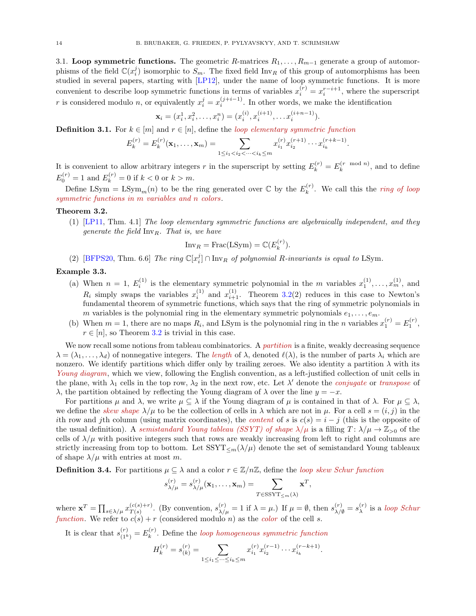3.1. Loop symmetric functions. The geometric R-matrices  $R_1, \ldots, R_{m-1}$  generate a group of automorphisms of the field  $\mathbb{C}(x_i^j)$  isomorphic to  $S_m$ . The fixed field  $\text{Inv}_R$  of this group of automorphisms has been studied in several papers, starting with [\[LP12\]](#page-49-12), under the name of loop symmetric functions. It is more convenient to describe loop symmetric functions in terms of variables  $x_i^{(r)} = x_i^{r-i+1}$ , where the superscript r is considered modulo n, or equivalently  $x_i^j = x_i^{(j+i-1)}$  $i^{(j+i-1)}$ . In other words, we make the identification

$$
\mathbf{x}_i = (x_i^1, x_i^2, \dots, x_i^n) = (x_i^{(i)}, x_i^{(i+1)}, \dots x_i^{(i+n-1)}).
$$

**Definition 3.1.** For  $k \in [m]$  and  $r \in [n]$ , define the *loop elementary symmetric function* 

$$
E_k^{(r)} = E_k^{(r)}(\mathbf{x}_1, \dots, \mathbf{x}_m) = \sum_{1 \le i_1 < i_2 < \dots < i_k \le m} x_{i_1}^{(r)} x_{i_2}^{(r+1)} \cdots x_{i_k}^{(r+k-1)}.
$$

It is convenient to allow arbitrary integers r in the superscript by setting  $E_k^{(r)} = E_k^{(r \mod n)}$  $\kappa^{(r \mod n)}$ , and to define  $E_0^{(r)} = 1$  and  $E_k^{(r)} = 0$  if  $k < 0$  or  $k > m$ .

Define LSym = LSym<sub>m</sub> $(n)$  to be the ring generated over  $\mathbb C$  by the  $E_k^{(r)}$  $\kappa_k^{(r)}$ . We call this the *ring of loop* symmetric functions in m variables and n colors.

#### <span id="page-13-0"></span>Theorem 3.2.

(1) [\[LP11,](#page-49-11) Thm. 4.1] The loop elementary symmetric functions are algebraically independent, and they generate the field  $\text{Inv}_R$ . That is, we have

$$
Inv_R = Frac(LSym) = \mathbb{C}(E_k^{(r)}).
$$

(2) [\[BFPS20,](#page-48-4) Thm. 6.6] The ring  $\mathbb{C}[x_i^j] \cap \text{Inv}_R$  of polynomial R-invariants is equal to LSym.

### Example 3.3.

- (a) When  $n = 1, E_i^{(1)}$  is the elementary symmetric polynomial in the m variables  $x_1^{(1)}, \ldots, x_m^{(1)}$ , and  $R_i$  simply swaps the variables  $x_i^{(1)}$  and  $x_{i+1}^{(1)}$ . Theorem [3.2\(](#page-13-0)2) reduces in this case to Newton's fundamental theorem of symmetric functions, which says that the ring of symmetric polynomials in m variables is the polynomial ring in the elementary symmetric polynomials  $e_1, \ldots, e_m$ .
- (b) When  $m = 1$ , there are no maps  $R_i$ , and LSym is the polynomial ring in the *n* variables  $x_1^{(r)} = E_1^{(r)}$ ,  $r \in [n]$ , so Theorem [3.2](#page-13-0) is trivial in this case.

We now recall some notions from tableau combinatorics. A *partition* is a finite, weakly decreasing sequence  $\lambda = (\lambda_1, \ldots, \lambda_d)$  of nonnegative integers. The length of  $\lambda$ , denoted  $\ell(\lambda)$ , is the number of parts  $\lambda_i$  which are nonzero. We identify partitions which differ only by trailing zeroes. We also identity a partition  $\lambda$  with its Young diagram, which we view, following the English convention, as a left-justified collection of unit cells in the plane, with  $\lambda_1$  cells in the top row,  $\lambda_2$  in the next row, etc. Let  $\lambda'$  denote the *conjugate* or *transpose* of λ, the partition obtained by reflecting the Young diagram of λ over the line  $y = -x$ .

For partitions  $\mu$  and  $\lambda$ , we write  $\mu \subseteq \lambda$  if the Young diagram of  $\mu$  is contained in that of  $\lambda$ . For  $\mu \subseteq \lambda$ , we define the skew shape  $\lambda/\mu$  to be the collection of cells in  $\lambda$  which are not in  $\mu$ . For a cell  $s = (i, j)$  in the ith row and jth column (using matrix coordinates), the *content* of s is  $c(s) = i - j$  (this is the opposite of the usual definition). A semistandard Young tableau (SSYT) of shape  $\lambda/\mu$  is a filling  $T: \lambda/\mu \to \mathbb{Z}_{>0}$  of the cells of  $\lambda/\mu$  with positive integers such that rows are weakly increasing from left to right and columns are strictly increasing from top to bottom. Let  $SSTT_{\leq m}(\lambda/\mu)$  denote the set of semistandard Young tableaux of shape  $\lambda/\mu$  with entries at most m.

**Definition 3.4.** For partitions  $\mu \subseteq \lambda$  and a color  $r \in \mathbb{Z}/n\mathbb{Z}$ , define the loop skew Schur function

$$
s_{\lambda/\mu}^{(r)} = s_{\lambda/\mu}^{(r)}(\mathbf{x}_1,\ldots,\mathbf{x}_m) = \sum_{T \in \text{SSYT}_{\leq m}(\lambda)} \mathbf{x}^T,
$$

where  $\mathbf{x}^T = \prod_{s \in \lambda/\mu} x_{T(s)}^{(c(s)+r)}$  $T(s)$ . (By convention,  $s_{\lambda/\mu}^{(r)} = 1$  if  $\lambda = \mu$ .) If  $\mu = \emptyset$ , then  $s_{\lambda/\emptyset}^{(r)} = s_{\lambda}^{(r)}$  $\lambda^{(r)}$  is a *loop Schur* function. We refer to  $c(s) + r$  (considered modulo n) as the color of the cell s.

It is clear that  $s_{(1^k)}^{(r)} = E_k^{(r)}$  $\mathbf{k}^{(r)}$ . Define the *loop homogeneous symmetric function* 

$$
H_k^{(r)} = s_{(k)}^{(r)} = \sum_{1 \le i_1 \le \dots \le i_k \le m} x_{i_1}^{(r)} x_{i_2}^{(r-1)} \dots x_{i_k}^{(r-k+1)}.
$$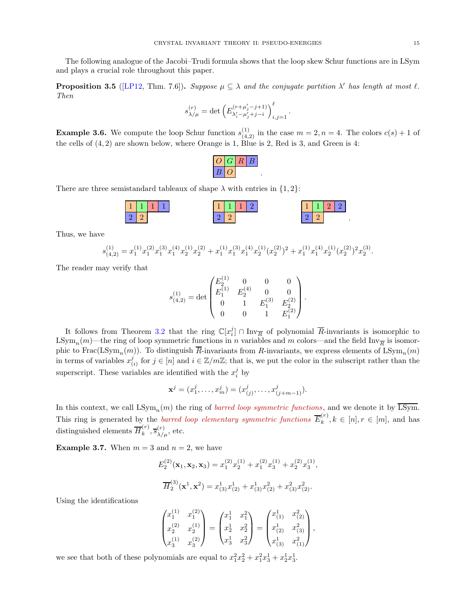The following analogue of the Jacobi–Trudi formula shows that the loop skew Schur functions are in LSym and plays a crucial role throughout this paper.

<span id="page-14-0"></span>**Proposition 3.5** ([\[LP12,](#page-49-12) Thm. 7.6]). Suppose  $\mu \subseteq \lambda$  and the conjugate partition  $\lambda'$  has length at most  $\ell$ . Then

$$
s_{\lambda/\mu}^{(r)} = \det \left( E_{\lambda_i' - \mu_j' + j - i}^{(r + \mu_j' - j + 1)} \right)_{i,j=1}^{\ell}
$$

.

**Example 3.6.** We compute the loop Schur function  $s_{(4,2)}^{(1)}$  in the case  $m = 2, n = 4$ . The colors  $c(s) + 1$  of the cells of (4, 2) are shown below, where Orange is 1, Blue is 2, Red is 3, and Green is 4:

.

There are three semistandard tableaux of shape  $\lambda$  with entries in  $\{1, 2\}$ :

| $\blacktriangleleft$<br>w                  | - |  | <b>THE</b><br>Œ. | - | - |  | $-1$<br>-- |  |  |
|--------------------------------------------|---|--|------------------|---|---|--|------------|--|--|
| $\overline{Q}$<br>$\overline{\phantom{a}}$ |   |  |                  |   |   |  |            |  |  |

Thus, we have

$$
s^{(1)}_{(4,2)}=x^{(1)}_1x^{(2)}_1x^{(3)}_1x^{(4)}_1x^{(1)}_2x^{(2)}_2+x^{(1)}_1x^{(3)}_1x^{(4)}_1x^{(1)}_2(x^{(2)}_2)^2+x^{(1)}_1x^{(4)}_1x^{(1)}_2(x^{(2)}_2)^2x^{(3)}_2.
$$

The reader may verify that

$$
s_{(4,2)}^{(1)}=\det \begin{pmatrix} E_2^{(1)} & 0 & 0 & 0 \\ E_1^{(1)} & E_2^{(4)} & 0 & 0 \\ 0 & 1 & E_1^{(3)} & E_2^{(2)} \\ 0 & 0 & 1 & E_1^{(2)} \end{pmatrix}.
$$

It follows from Theorem [3.2](#page-13-0) that the ring  $\mathbb{C}[x_i^j] \cap \text{Inv}_{\overline{R}}$  of polynomial  $\overline{R}$ -invariants is isomorphic to LSym<sub>n</sub>(m)—the ring of loop symmetric functions in n variables and m colors—and the field  $\text{Inv}_{\overline{R}}$  is isomorphic to  $\text{Frac}(\text{LSym}_n(m))$ . To distinguish R-invariants from R-invariants, we express elements of  $\text{LSym}_n(m)$ in terms of variables  $x_i^j$  $(i)$  for  $j \in [n]$  and  $i \in \mathbb{Z}/m\mathbb{Z}$ ; that is, we put the color in the subscript rather than the superscript. These variables are identified with the  $x_i^j$  by

$$
\mathbf{x}^{j} = (x_1^{j}, \dots, x_m^{j}) = (x_{(j)}^{j}, \dots, x_{(j+m-1)}^{j}).
$$

In this context, we call  $LSym_n(m)$  the ring of *barred loop symmetric functions*, and we denote it by  $\overline{LSym}$ . This ring is generated by the *barred loop elementary symmetric functions*  $\overline{E}_k^{(r)}$  $k^{\prime\prime}, k \in [n], r \in [m]$ , and has distinguished elements  $\overline{H}_k^{(r)}$  $_k^{(r)}, \overline{s}_{\lambda/\mu}^{(r)},$  etc.

**Example 3.7.** When  $m = 3$  and  $n = 2$ , we have

$$
E_2^{(2)}(\mathbf{x}_1, \mathbf{x}_2, \mathbf{x}_3) = x_1^{(2)} x_2^{(1)} + x_1^{(2)} x_3^{(1)} + x_2^{(2)} x_3^{(1)},
$$
  

$$
\overline{H}_2^{(3)}(\mathbf{x}^1, \mathbf{x}^2) = x_{(3)}^1 x_{(2)}^1 + x_{(3)}^1 x_{(2)}^2 + x_{(3)}^2 x_{(2)}^2.
$$

Using the identifications

$$
\begin{pmatrix} x_1^{(1)} & x_1^{(2)} \\ x_2^{(2)} & x_2^{(1)} \\ x_3^{(1)} & x_3^{(2)} \end{pmatrix} = \begin{pmatrix} x_1^1 & x_1^2 \\ x_2^1 & x_2^2 \\ x_3^1 & x_3^2 \end{pmatrix} = \begin{pmatrix} x_{(1)}^1 & x_{(2)}^2 \\ x_{(2)}^1 & x_{(3)}^2 \\ x_{(3)}^1 & x_{(1)}^2 \end{pmatrix},
$$

we see that both of these polynomials are equal to  $x_1^2x_2^2 + x_1^2x_3^1 + x_2^1x_3^1$ .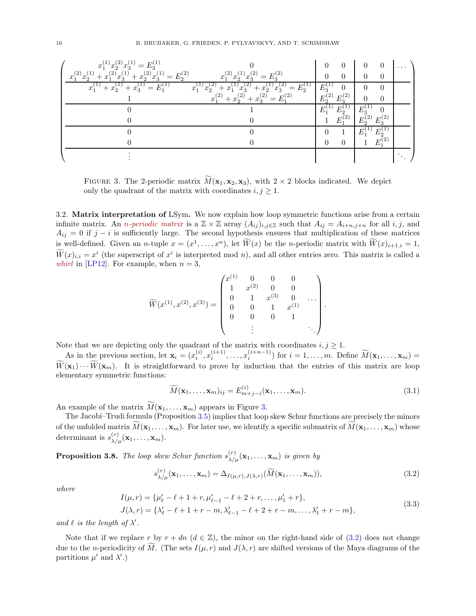

<span id="page-15-0"></span>FIGURE 3. The 2-periodic matrix  $\overline{M}(\mathbf{x}_1, \mathbf{x}_2, \mathbf{x}_3)$ , with  $2 \times 2$  blocks indicated. We depict only the quadrant of the matrix with coordinates  $i, j \geq 1$ .

<span id="page-15-3"></span>3.2. Matrix interpretation of LSym. We now explain how loop symmetric functions arise from a certain infinite matrix. An *n-periodic matrix* is a  $\mathbb{Z} \times \mathbb{Z}$  array  $(A_{ij})_{i,j \in \mathbb{Z}}$  such that  $A_{ij} = A_{i+n,j+n}$  for all  $i, j$ , and  $A_{ij} = 0$  if  $j - i$  is sufficiently large. The second hypothesis ensures that multiplication of these matrices is well-defined. Given an *n*-tuple  $x = (x^1, \ldots, x^n)$ , let  $\overline{W}(x)$  be the *n*-periodic matrix with  $\overline{W}(x)_{i+1,i} = 1$ ,  $W(x)_{i,i} = x^i$  (the superscript of  $x^i$  is interpreted mod n), and all other entries zero. This matrix is called a *whirl* in [\[LP12\]](#page-49-12). For example, when  $n = 3$ ,

$$
\widetilde{W}(x^{(1)}, x^{(2)}, x^{(3)}) = \begin{pmatrix} x^{(1)} & 0 & 0 & 0 \\ 1 & x^{(2)} & 0 & 0 \\ 0 & 1 & x^{(3)} & 0 & \dots \\ 0 & 0 & 1 & x^{(1)} \\ 0 & 0 & 0 & 1 & \dots \\ \vdots & \vdots & \ddots & \vdots & \ddots \end{pmatrix}.
$$

Note that we are depicting only the quadrant of the matrix with coordinates  $i, j \geq 1$ .

As in the previous section, let  $\mathbf{x}_i = (x_i^{(i)}, x_i^{(i+1)}, \dots, x_i^{(i+n-1)})$  for  $i = 1, \dots, m$ . Define  $\widetilde{M}(\mathbf{x}_1, \dots, \mathbf{x}_m) =$  $\widetilde{W}(\mathbf{x}_1)\cdots\widetilde{W}(\mathbf{x}_m)$ . It is straightforward to prove by induction that the entries of this matrix are loop elementary symmetric functions:

<span id="page-15-2"></span>
$$
\widetilde{M}(\mathbf{x}_1,\ldots,\mathbf{x}_m)_{ij} = E_{m+j-i}^{(i)}(\mathbf{x}_1,\ldots,\mathbf{x}_m). \tag{3.1}
$$

An example of the matrix  $\widetilde{M}(\mathbf{x}_1, \dots, \mathbf{x}_m)$  appears in Figure [3.](#page-15-0)

The Jacobi–Trudi formula (Proposition [3.5\)](#page-14-0) implies that loop skew Schur functions are precisely the minors of the unfolded matrix  $M(\mathbf{x}_1, \ldots, \mathbf{x}_m)$ . For later use, we identify a specific submatrix of  $M(\mathbf{x}_1, \ldots, \mathbf{x}_m)$  whose determinant is  $s_{\lambda/\mu}^{(r)}(\mathbf{x}_1,\ldots,\mathbf{x}_m)$ .

<span id="page-15-4"></span>**Proposition 3.8.** The loop skew Schur function  $s_{\lambda/\mu}^{(r)}(\mathbf{x}_1,\ldots,\mathbf{x}_m)$  is given by

<span id="page-15-1"></span>
$$
s_{\lambda/\mu}^{(r)}(\mathbf{x}_1,\ldots,\mathbf{x}_m)=\Delta_{I(\mu,r),J(\lambda,r)}(\widetilde{M}(\mathbf{x}_1,\ldots,\mathbf{x}_m)),
$$
\n(3.2)

where

<span id="page-15-5"></span>
$$
I(\mu, r) = {\mu'_\ell - \ell + 1 + r, \mu'_{\ell-1} - \ell + 2 + r, ..., \mu'_1 + r},
$$
  
\n
$$
J(\lambda, r) = {\lambda'_\ell - \ell + 1 + r - m, \lambda'_{\ell-1} - \ell + 2 + r - m, ..., \lambda'_1 + r - m},
$$
\n(3.3)

and  $\ell$  is the length of  $\lambda'$ .

Note that if we replace r by  $r + dn$   $(d \in \mathbb{Z})$ , the minor on the right-hand side of [\(3.2\)](#page-15-1) does not change due to the n-periodicity of M. (The sets  $I(\mu, r)$  and  $J(\lambda, r)$  are shifted versions of the Maya diagrams of the partitions  $\mu'$  and  $\lambda'$ .)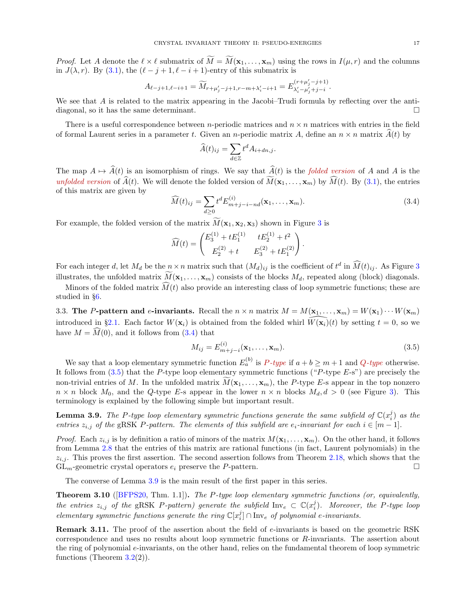*Proof.* Let A denote the  $\ell \times \ell$  submatrix of  $\widetilde{M} = \widetilde{M}(\mathbf{x}_1,\ldots,\mathbf{x}_m)$  using the rows in  $I(\mu, r)$  and the columns in  $J(\lambda, r)$ . By [\(3.1\)](#page-15-2), the  $(\ell - j + 1, \ell - i + 1)$ -entry of this submatrix is

$$
A_{\ell-j+1,\ell-i+1} = \widetilde M_{r+\mu'_j-j+1,r-m+\lambda'_i-i+1} = E^{(r+\mu'_j-j+1)}_{\lambda'_i-\mu'_j+j-i}.
$$

We see that A is related to the matrix appearing in the Jacobi–Trudi formula by reflecting over the antidiagonal, so it has the same determinant.

There is a useful correspondence between *n*-periodic matrices and  $n \times n$  matrices with entries in the field of formal Laurent series in a parameter t. Given an n-periodic matrix A, define an  $n \times n$  matrix  $\widehat{A}(t)$  by

$$
\widehat{A}(t)_{ij} = \sum_{d \in \mathbb{Z}} t^d A_{i+dn,j}.
$$

The map  $A \mapsto \hat{A}(t)$  is an isomorphism of rings. We say that  $\hat{A}(t)$  is the folded version of A and A is the unfolded version of  $\widehat{A}(t)$ . We will denote the folded version of  $\widetilde{M}(\mathbf{x}_1,\ldots,\mathbf{x}_m)$  by  $\widehat{M}(t)$ . By [\(3.1\)](#page-15-2), the entries of this matrix are given by

<span id="page-16-0"></span>
$$
\widehat{M}(t)_{ij} = \sum_{d \ge 0} t^d E_{m+j-i-nd}^{(i)}(\mathbf{x}_1, \dots, \mathbf{x}_m).
$$
\n(3.4)

For example, the folded version of the matrix  $\widetilde{M}(\mathbf{x}_1, \mathbf{x}_2, \mathbf{x}_3)$  $\widetilde{M}(\mathbf{x}_1, \mathbf{x}_2, \mathbf{x}_3)$  $\widetilde{M}(\mathbf{x}_1, \mathbf{x}_2, \mathbf{x}_3)$  shown in Figure 3 is

$$
\widehat{M}(t) = \begin{pmatrix} E_3^{(1)} + tE_1^{(1)} & tE_2^{(1)} + t^2 \\ E_2^{(2)} + t & E_3^{(2)} + tE_1^{(2)} \end{pmatrix}.
$$

For each integer d, let  $M_d$  be the  $n \times n$  matrix such that  $(M_d)_{ij}$  is the coefficient of  $t^d$  in  $\widehat{M}(t)_{ij}$ . As Figure [3](#page-15-0) illustrates, the unfolded matrix  $M(\mathbf{x}_1, \ldots, \mathbf{x}_m)$  consists of the blocks  $M_d$ , repeated along (block) diagonals.

Minors of the folded matrix  $\widehat{M}(t)$  also provide an interesting class of loop symmetric functions; these are studied in §[6.](#page-33-0)

3.3. The P-pattern and e-invariants. Recall the  $n \times n$  matrix  $M = M(\mathbf{x}_1, ..., \mathbf{x}_m) = W(\mathbf{x}_1) \cdots W(\mathbf{x}_m)$ introduced in §[2.1.](#page-6-1) Each factor  $W(\mathbf{x}_i)$  is obtained from the folded whirl  $\overline{W(\mathbf{x}_i)}(t)$  by setting  $t = 0$ , so we have  $M = \widehat{M}(0)$ , and it follows from  $(3.4)$  that

<span id="page-16-1"></span>
$$
M_{ij} = E_{m+j-i}^{(i)}(\mathbf{x}_1, \dots, \mathbf{x}_m). \tag{3.5}
$$

We say that a loop elementary symmetric function  $E_a^{(b)}$  is  $P$ -type if  $a + b \ge m + 1$  and  $Q$ -type otherwise. It follows from  $(3.5)$  that the P-type loop elementary symmetric functions ("P-type E-s") are precisely the non-trivial entries of M. In the unfolded matrix  $\widetilde{M}(\mathbf{x}_1,\ldots,\mathbf{x}_m)$ , the P-type E-s appear in the top nonzero  $n \times n$  block  $M_0$ , and the Q-type E-s appear in the lower  $n \times n$  blocks  $M_d, d > 0$  (see Figure [3\)](#page-15-0). This terminology is explained by the following simple but important result.

<span id="page-16-2"></span>**Lemma 3.9.** The P-type loop elementary symmetric functions generate the same subfield of  $\mathbb{C}(x_i^j)$  as the entries  $z_{i,j}$  of the gRSK P-pattern. The elements of this subfield are  $e_i$ -invariant for each  $i \in [m-1]$ .

*Proof.* Each  $z_{i,j}$  is by definition a ratio of minors of the matrix  $M(\mathbf{x}_1, \ldots, \mathbf{x}_m)$ . On the other hand, it follows from Lemma [2.8](#page-10-1) that the entries of this matrix are rational functions (in fact, Laurent polynomials) in the  $z_{i,j}$ . This proves the first assertion. The second assertion follows from Theorem [2.18,](#page-12-2) which shows that the  $GL_m$ -geometric crystal operators  $e_i$  preserve the P-pattern.

The converse of Lemma [3.9](#page-16-2) is the main result of the first paper in this series.

<span id="page-16-3"></span>Theorem 3.10 ([\[BFPS20,](#page-48-4) Thm. 1.1]). The P-type loop elementary symmetric functions (or, equivalently, the entries  $z_{i,j}$  of the gRSK P-pattern) generate the subfield  $\text{Inv}_e \subset \mathbb{C}(x_i^j)$ . Moreover, the P-type loop elementary symmetric functions generate the ring  $\mathbb{C}[x_i^j] \cap \text{Inv}_e$  of polynomial e-invariants.

**Remark 3.11.** The proof of the assertion about the field of  $e$ -invariants is based on the geometric RSK correspondence and uses no results about loop symmetric functions or R-invariants. The assertion about the ring of polynomial e-invariants, on the other hand, relies on the fundamental theorem of loop symmetric functions (Theorem  $3.2(2)$  $3.2(2)$ ).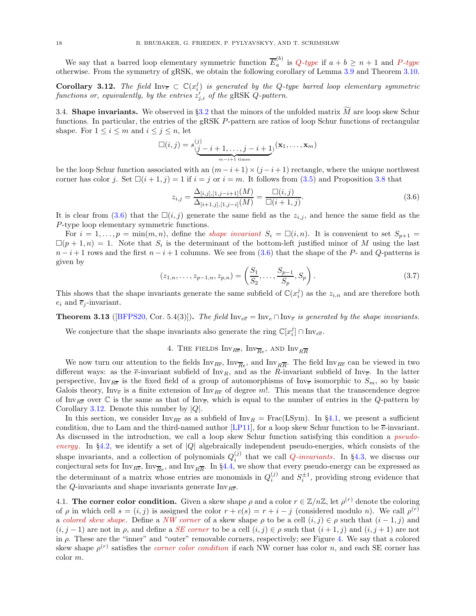We say that a barred loop elementary symmetric function  $\overline{E}_a^{(b)}$  $a_a^{(0)}$  is Q-type if  $a + b \geq n + 1$  and P-type otherwise. From the symmetry of gRSK, we obtain the following corollary of Lemma [3.9](#page-16-2) and Theorem [3.10.](#page-16-3)

<span id="page-17-2"></span>**Corollary 3.12.** The field  $\text{Inv}_{\overline{e}} \subset \mathbb{C}(x_i^j)$  is generated by the Q-type barred loop elementary symmetric functions or, equivalently, by the entries  $z'_{j,i}$  of the gRSK Q-pattern.

3.4. Shape invariants. We observed in §[3.2](#page-15-3) that the minors of the unfolded matrix  $\tilde{M}$  are loop skew Schur functions. In particular, the entries of the gRSK P-pattern are ratios of loop Schur functions of rectangular shape. For  $1 \leq i \leq m$  and  $i \leq j \leq n$ , let

$$
\Box(i,j) = s_{\underbrace{(j-i+1,\ldots,j-i+1)}_{m-i+1 \text{ times}}}^{(j)}(\mathbf{x}_1,\ldots,\mathbf{x}_m)
$$

be the loop Schur function associated with an  $(m - i + 1) \times (j - i + 1)$  rectangle, where the unique northwest corner has color j. Set  $\Box(i + 1, j) = 1$  if  $i = j$  or  $i = m$ . It follows from  $(3.5)$  and Proposition [3.8](#page-15-4) that

<span id="page-17-1"></span>
$$
z_{i,j} = \frac{\Delta_{[i,j],[1,j-i+1]}(M)}{\Delta_{[i+1,j],[1,j-i]}(M)} = \frac{\Box(i,j)}{\Box(i+1,j)}.
$$
\n(3.6)

It is clear from [\(3.6\)](#page-17-1) that the  $\square(i, j)$  generate the same field as the  $z_{i,j}$ , and hence the same field as the P-type loop elementary symmetric functions.

For  $i = 1, \ldots, p = \min(m, n)$ , define the *shape invariant*  $S_i = \square(i, n)$ . It is convenient to set  $S_{p+1}$  $\square(p+1,n) = 1$ . Note that  $S_i$  is the determinant of the bottom-left justified minor of M using the last  $n-i+1$  rows and the first  $n-i+1$  columns. We see from [\(3.6\)](#page-17-1) that the shape of the P- and Q-patterns is given by

<span id="page-17-4"></span>
$$
(z_{1,n},\ldots,z_{p-1,n},z_{p,n}) = \left(\frac{S_1}{S_2},\ldots,\frac{S_{p-1}}{S_p},S_p\right). \tag{3.7}
$$

This shows that the shape invariants generate the same subfield of  $\mathbb{C}(x_i^j)$  as the  $z_{i,n}$  and are therefore both  $e_i$  and  $\overline{e}_i$ -invariant.

**Theorem 3.13** ([\[BFPS20,](#page-48-4) Cor. 5.4(3)]). The field  $\text{Inv}_{e\bar{e}} = \text{Inv}_{e} \cap \text{Inv}_{\bar{e}}$  is generated by the shape invariants.

<span id="page-17-0"></span>We conjecture that the shape invariants also generate the ring  $\mathbb{C}[x_i^j] \cap \text{Inv}_{e\overline{e}}$ .

# 4. THE FIELDS  $\text{Inv}_{R\overline{e}}$ ,  $\text{Inv}_{\overline{Re}}$ , AND  $\text{Inv}_{R\overline{R}}$

We now turn our attention to the fields  $Inv_{R\overline{e}}$ ,  $Inv_{\overline{Re}}$ , and  $Inv_{R\overline{R}}$ . The field  $Inv_{R\overline{e}}$  can be viewed in two different ways: as the  $\overline{e}$ -invariant subfield of Inv<sub>R</sub>, and as the R-invariant subfield of Inv<sub> $\overline{e}$ </sub>. In the latter perspective, Inv<sub>Re</sub> is the fixed field of a group of automorphisms of Inv<sub>e</sub> isomorphic to  $S_m$ , so by basic Galois theory, Inv<sub>e</sub> is a finite extension of Inv<sub>Re</sub> of degree m!. This means that the transcendence degree of Inv<sub>RE</sub> over  $\mathbb C$  is the same as that of Inv<sub>E</sub>, which is equal to the number of entries in the Q-pattern by Corollary [3.12.](#page-17-2) Denote this number by  $|Q|$ .

In this section, we consider  $\text{Inv}_{R\overline{e}}$  as a subfield of  $\text{Inv}_{R} = \text{Frac}(\text{LSym})$ . In §[4.1,](#page-17-3) we present a sufficient condition, due to Lam and the third-named author [\[LP11\]](#page-49-11), for a loop skew Schur function to be  $\overline{e}$ -invariant. As discussed in the introduction, we call a loop skew Schur function satisfying this condition a *pseudo-*energy. In §[4.2,](#page-19-0) we identify a set of  $|Q|$  algebraically independent pseudo-energies, which consists of the shape invariants, and a collection of polynomials  $Q_i^{(j)}$  $i_j^{(j)}$  that we call *Q-invariants*. In §[4.3,](#page-21-0) we discuss our conjectural sets for  $Inv_{R\overline{e}}$ ,  $Inv_{\overline{Re}}$ , and  $Inv_{R\overline{R}}$ . In §[4.4,](#page-22-1) we show that every pseudo-energy can be expressed as the determinant of a matrix whose entries are monomials in  $Q_i^{(j)}$  and  $S_i^{\pm 1}$ , providing strong evidence that the Q-invariants and shape invariants generate  $\text{Inv}_{R\overline{e}}$ .

<span id="page-17-3"></span>4.1. The corner color condition. Given a skew shape  $\rho$  and a color  $r \in \mathbb{Z}/n\mathbb{Z}$ , let  $\rho^{(r)}$  denote the coloring of  $\rho$  in which cell  $s = (i, j)$  is assigned the color  $r + c(s) = r + i - j$  (considered modulo n). We call  $\rho^{(r)}$ a colored skew shape. Define a NW corner of a skew shape  $\rho$  to be a cell  $(i, j) \in \rho$  such that  $(i - 1, j)$  and  $(i, j - 1)$  are not in  $\rho$ , and define a *SE corner* to be a cell  $(i, j) \in \rho$  such that  $(i + 1, j)$  and  $(i, j + 1)$  are not in  $\rho$ . These are the "inner" and "outer" removable corners, respectively; see Figure [4.](#page-18-0) We say that a colored skew shape  $\rho^{(r)}$  satisfies the *corner color condition* if each NW corner has color n, and each SE corner has color m.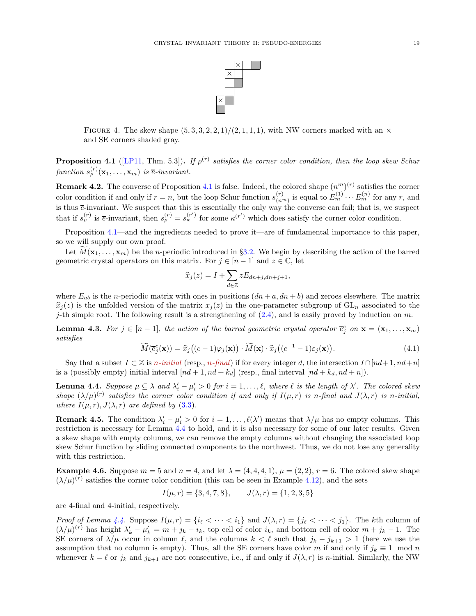

<span id="page-18-0"></span>FIGURE 4. The skew shape  $(5, 3, 3, 2, 2, 1)/(2, 1, 1, 1)$ , with NW corners marked with an  $\times$ and SE corners shaded gray.

<span id="page-18-1"></span>**Proposition 4.1** ([\[LP11,](#page-49-11) Thm. 5.3]). If  $\rho^{(r)}$  satisfies the corner color condition, then the loop skew Schur function  $s_{\rho}^{(r)}(\mathbf{x}_1,\ldots,\mathbf{x}_m)$  is  $\overline{e}$ -invariant.

**Remark 4.2.** The converse of Proposition [4.1](#page-18-1) is false. Indeed, the colored shape  $(n^m)^{(r)}$  satisfies the corner color condition if and only if  $r = n$ , but the loop Schur function  $s_{(n)}^{(r)}$  $\binom{(r)}{(n^m)}$  is equal to  $E_m^{(1)} \cdots E_m^{(n)}$  for any r, and is thus  $\bar{e}$ -invariant. We suspect that this is essentially the only way the converse can fail; that is, we suspect that if  $s_{\rho}^{(r)}$  is  $\bar{e}$ -invariant, then  $s_{\rho}^{(r)} = s_{\kappa}^{(r')}$  for some  $\kappa^{(r')}$  which does satisfy the corner color condition.

Proposition [4.1—](#page-18-1)and the ingredients needed to prove it—are of fundamental importance to this paper, so we will supply our own proof.

Let  $M(\mathbf{x}_1, \dots, \mathbf{x}_m)$  be the *n*-periodic introduced in §[3.2.](#page-15-3) We begin by describing the action of the barred geometric crystal operators on this matrix. For  $j \in [n-1]$  and  $z \in \mathbb{C}$ , let

$$
\widehat{x}_j(z) = I + \sum_{d \in \mathbb{Z}} z E_{dn+j, dn+j+1},
$$

where  $E_{ab}$  is the n-periodic matrix with ones in positions  $(dn + a, dn + b)$  and zeroes elsewhere. The matrix  $\hat{x}_i(z)$  is the unfolded version of the matrix  $x_i(z)$  in the one-parameter subgroup of  $GL_n$  associated to the j-th simple root. The following result is a strengthening of  $(2.4)$ , and is easily proved by induction on m.

<span id="page-18-4"></span>**Lemma 4.3.** For  $j \in [n-1]$ , the action of the barred geometric crystal operator  $\overline{e}_j^c$  on  $\mathbf{x} = (\mathbf{x}_1, ..., \mathbf{x}_m)$ satisfies

<span id="page-18-5"></span>
$$
\widetilde{M}(\overline{e}_j^c(\mathbf{x})) = \widehat{x}_j\big((c-1)\varphi_j(\mathbf{x})\big) \cdot \widetilde{M}(\mathbf{x}) \cdot \widehat{x}_j\big((c^{-1}-1)\varepsilon_j(\mathbf{x})\big). \tag{4.1}
$$

Say that a subset  $I \subset \mathbb{Z}$  is n-initial (resp., n-final) if for every integer d, the intersection  $I \cap [nd+1, nd+n]$ is a (possibly empty) initial interval  $[nd + 1, nd + k_d]$  (resp., final interval  $[nd + k_d, nd + n]$ ).

<span id="page-18-2"></span>**Lemma 4.4.** Suppose  $\mu \subseteq \lambda$  and  $\lambda'_i - \mu'_i > 0$  for  $i = 1, \ldots, \ell$ , where  $\ell$  is the length of  $\lambda'$ . The colored skew shape  $(\lambda/\mu)^{(r)}$  satisfies the corner color condition if and only if  $I(\mu,r)$  is n-final and  $J(\lambda,r)$  is n-initial, where  $I(\mu, r)$ ,  $J(\lambda, r)$  are defined by [\(3.3\)](#page-15-5).

<span id="page-18-3"></span>**Remark 4.5.** The condition  $\lambda'_i - \mu'_i > 0$  for  $i = 1, ..., \ell(\lambda')$  means that  $\lambda/\mu$  has no empty columns. This restriction is necessary for Lemma [4.4](#page-18-2) to hold, and it is also necessary for some of our later results. Given a skew shape with empty columns, we can remove the empty columns without changing the associated loop skew Schur function by sliding connected components to the northwest. Thus, we do not lose any generality with this restriction.

**Example 4.6.** Suppose  $m = 5$  and  $n = 4$ , and let  $\lambda = (4, 4, 4, 1)$ ,  $\mu = (2, 2)$ ,  $r = 6$ . The colored skew shape  $(\lambda/\mu)^{(r)}$  satisfies the corner color condition (this can be seen in Example [4.12\)](#page-20-0), and the sets

$$
I(\mu, r) = \{3, 4, 7, 8\}, \qquad J(\lambda, r) = \{1, 2, 3, 5\}
$$

are 4-final and 4-initial, respectively.

Proof of Lemma [4.4.](#page-18-2) Suppose  $I(\mu, r) = \{i_\ell < \cdots < i_1\}$  and  $J(\lambda, r) = \{j_\ell < \cdots < j_1\}$ . The kth column of  $(\lambda/\mu)^{(r)}$  has height  $\lambda'_k - \mu'_k = m + j_k - i_k$ , top cell of color  $i_k$ , and bottom cell of color  $m + j_k - 1$ . The SE corners of  $\lambda/\mu$  occur in column  $\ell$ , and the columns  $k < \ell$  such that  $j_k - j_{k+1} > 1$  (here we use the assumption that no column is empty). Thus, all the SE corners have color m if and only if  $j_k \equiv 1 \mod n$ whenever  $k = \ell$  or  $j_k$  and  $j_{k+1}$  are not consecutive, i.e., if and only if  $J(\lambda, r)$  is n-initial. Similarly, the NW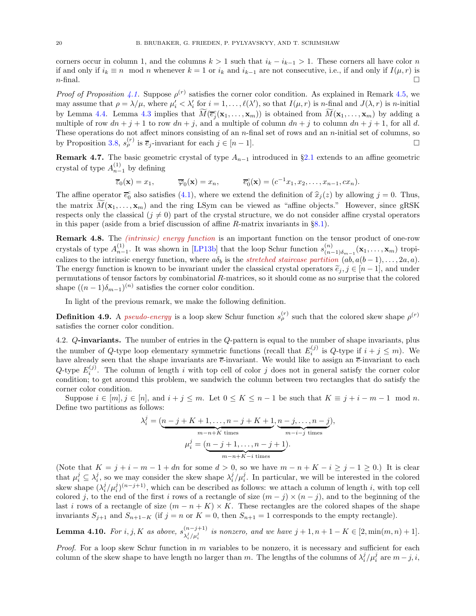corners occur in column 1, and the columns  $k > 1$  such that  $i_k - i_{k-1} > 1$ . These corners all have color n if and only if  $i_k \equiv n \mod n$  whenever  $k = 1$  or  $i_k$  and  $i_{k-1}$  are not consecutive, i.e., if and only if  $I(\mu, r)$  is  $n$ -final.

*Proof of Proposition [4.1.](#page-18-1)* Suppose  $\rho^{(r)}$  satisfies the corner color condition. As explained in Remark [4.5,](#page-18-3) we may assume that  $\rho = \lambda/\mu$ , where  $\mu'_i < \lambda'_i$  for  $i = 1, \ldots, \ell(\lambda')$ , so that  $I(\mu, r)$  is n-final and  $J(\lambda, r)$  is n-initial by Lemma [4.4.](#page-18-2) Lemma [4.3](#page-18-4) implies that  $M(\overline{e}_j^c(\mathbf{x}_1,\ldots,\mathbf{x}_m))$  is obtained from  $M(\mathbf{x}_1,\ldots,\mathbf{x}_m)$  by adding a multiple of row  $dn + j + 1$  to row  $dn + j$ , and a multiple of column  $dn + j$  to column  $dn + j + 1$ , for all d. These operations do not affect minors consisting of an n-final set of rows and an n-initial set of columns, so by Proposition [3.8,](#page-15-4)  $s_{\rho}^{(r)}$  is  $\overline{e}_j$ -invariant for each  $j \in [n-1]$ .

<span id="page-19-1"></span>Remark 4.7. The basic geometric crystal of type  $A_{n-1}$  introduced in §[2.1](#page-6-1) extends to an affine geometric crystal of type  $A_{n-1}^{(1)}$  by defining

$$
\overline{\varepsilon}_0(\mathbf{x}) = x_1, \qquad \overline{\varphi}_0(\mathbf{x}) = x_n, \qquad \overline{e}_0^c(\mathbf{x}) = (c^{-1}x_1, x_2, \dots, x_{n-1}, cx_n).
$$

The affine operator  $\overline{e}_0^c$  also satisfies [\(4.1\)](#page-18-5), where we extend the definition of  $\hat{x}_j(z)$  by allowing  $j = 0$ . Thus, the matrix  $\widetilde{M}(\mathbf{x}_1,\ldots,\mathbf{x}_m)$  and the ring LSym can be viewed as "affine objects." However, since gRSK respects only the classical  $(j \neq 0)$  part of the crystal structure, we do not consider affine crystal operators in this paper (aside from a brief discussion of affine R-matrix invariants in §[8.1\)](#page-47-1).

**Remark 4.8.** The *(intrinsic) energy function* is an important function on the tensor product of one-row crystals of type  $A_{n-1}^{(1)}$ . It was shown in [\[LP13b\]](#page-49-13) that the loop Schur function  $s_{(n-1)}^{(n)}$  $\binom{n}{(n-1)\delta_{m-1}}(\mathbf{x}_1,\ldots,\mathbf{x}_m)$  tropicalizes to the intrinsic energy function, where  $a\delta_b$  is the *stretched staircase partition*  $(a\delta, a(b-1), \ldots, 2a, a)$ . The energy function is known to be invariant under the classical crystal operators  $\tilde{e}_j$ ,  $j \in [n-1]$ , and under permutations of tensor factors by combinatorial R-matrices, so it should come as no surprise that the colored shape  $((n-1)\delta_{m-1})^{(n)}$  satisfies the corner color condition.

In light of the previous remark, we make the following definition.

**Definition 4.9.** A *pseudo-energy* is a loop skew Schur function  $s_{\rho}^{(r)}$  such that the colored skew shape  $\rho^{(r)}$ satisfies the corner color condition.

<span id="page-19-0"></span>4.2. Q-invariants. The number of entries in the Q-pattern is equal to the number of shape invariants, plus the number of Q-type loop elementary symmetric functions (recall that  $E_i^{(j)}$  is Q-type if  $i + j \leq m$ ). We have already seen that the shape invariants are  $\bar{e}$ -invariant. We would like to assign an  $\bar{e}$ -invariant to each Q-type  $E_i^{(j)}$ . The column of length i with top cell of color j does not in general satisfy the corner color condition; to get around this problem, we sandwich the column between two rectangles that do satisfy the corner color condition.

Suppose  $i \in [m], j \in [n]$ , and  $i + j \le m$ . Let  $0 \le K \le n - 1$  be such that  $K \equiv j + i - m - 1 \mod n$ . Define two partitions as follows:

$$
\lambda_i^j = \underbrace{(n-j+K+1,\dots,n-j+K+1}_{m-n+K \text{ times}}, \underbrace{n-j,\dots,n-j}_{m-i-j \text{ times}}),
$$

$$
\mu_i^j = \underbrace{(n-j+1,\dots,n-j+1)}_{m-n+K-i \text{ times}}.
$$

(Note that  $K = j + i - m - 1 + dn$  for some  $d > 0$ , so we have  $m - n + K - i \geq j - 1 \geq 0$ .) It is clear that  $\mu_i^j \subseteq \lambda_i^j$ , so we may consider the skew shape  $\lambda_i^j/\mu_i^j$ . In particular, we will be interested in the colored skew shape  $(\lambda_i^j/\mu_i^j)^{(n-j+1)}$ , which can be described as follows: we attach a column of length i, with top cell colored j, to the end of the first i rows of a rectangle of size  $(m - j) \times (n - j)$ , and to the beginning of the last i rows of a rectangle of size  $(m - n + K) \times K$ . These rectangles are the colored shapes of the shape invariants  $S_{j+1}$  and  $S_{n+1-K}$  (if  $j = n$  or  $K = 0$ , then  $S_{n+1} = 1$  corresponds to the empty rectangle).

**Lemma 4.10.** For i, j, K as above,  $s_{i,j}^{(n-j+1)}$  $\sum_{i,j}^{(n-j+1)}$  is nonzero, and we have  $j+1, n+1-K \in [2, \min(m,n)+1].$ 

*Proof.* For a loop skew Schur function in  $m$  variables to be nonzero, it is necessary and sufficient for each column of the skew shape to have length no larger than m. The lengths of the columns of  $\lambda_i^j/\mu_i^j$  are  $m-j, i$ ,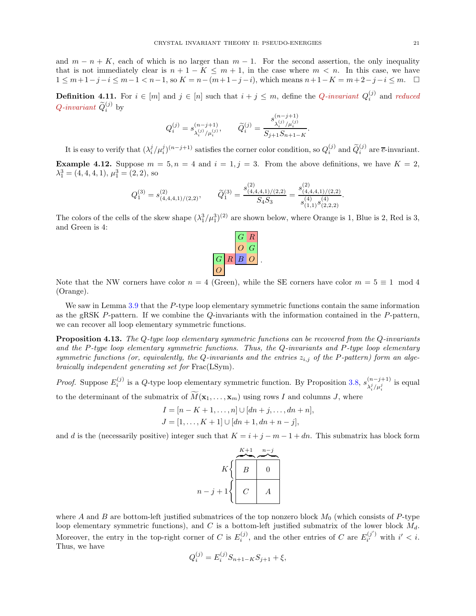and  $m - n + K$ , each of which is no larger than  $m - 1$ . For the second assertion, the only inequality that is not immediately clear is  $n + 1 - K \leq m + 1$ , in the case where  $m < n$ . In this case, we have  $1 \leq m+1-j-i \leq m-1 < n-1$ , so  $K = n-(m+1-j-i)$ , which means  $n+1-K = m+2-j-i \leq m$ .  $\Box$ 

**Definition 4.11.** For  $i \in [m]$  and  $j \in [n]$  such that  $i + j \leq m$ , define the *Q*-invariant  $Q_i^{(j)}$  $i^{(J)}$  and reduced  $Q$ -invariant  $\widetilde{Q}_i^{(j)}$  by

$$
Q_i^{(j)} = s^{(n-j+1)}_{\lambda_i^{(j)}/\mu_i^{(j)}}, \qquad \widetilde{Q}_i^{(j)} = \frac{s^{(n-j+1)}_{\lambda_i^{(j)}/\mu_i^{(j)}}}{S_{j+1}S_{n+1-K}}.
$$

<span id="page-20-0"></span>It is easy to verify that  $(\lambda_i^j/\mu_i^j)^{(n-j+1)}$  satisfies the corner color condition, so  $Q_i^{(j)}$  $i^{(j)}$  and  $\widetilde{Q}_i^{(j)}$  are  $\overline{e}$ -invariant. **Example 4.12.** Suppose  $m = 5$ ,  $n = 4$  and  $i = 1$ ,  $j = 3$ . From the above definitions, we have  $K = 2$ ,  $\lambda_1^3 = (4, 4, 4, 1), \mu_1^3 = (2, 2),$  so

$$
Q_1^{(3)} = s_{(4,4,4,1)/(2,2)}^{(2)}, \qquad \widetilde{Q}_1^{(3)} = \frac{s_{(4,4,4,1)/(2,2)}^{(2)}}{S_4 S_3} = \frac{s_{(4,4,4,1)/(2,2)}^{(2)}}{s_{(1,1)}^{(4)} s_{(2,2,2)}^{(4)}}.
$$

The colors of the cells of the skew shape  $(\lambda_1^3/\mu_1^3)^{(2)}$  are shown below, where Orange is 1, Blue is 2, Red is 3, and Green is 4:



Note that the NW corners have color  $n = 4$  (Green), while the SE corners have color  $m = 5 \equiv 1 \mod 4$ (Orange).

We saw in Lemma [3.9](#page-16-2) that the P-type loop elementary symmetric functions contain the same information as the gRSK P-pattern. If we combine the Q-invariants with the information contained in the P-pattern, we can recover all loop elementary symmetric functions.

<span id="page-20-1"></span>Proposition 4.13. The Q-type loop elementary symmetric functions can be recovered from the Q-invariants and the P-type loop elementary symmetric functions. Thus, the Q-invariants and P-type loop elementary symmetric functions (or, equivalently, the Q-invariants and the entries  $z_{i,j}$  of the P-pattern) form an algebraically independent generating set for Frac(LSym).

*Proof.* Suppose  $E_i^{(j)}$  is a Q-type loop elementary symmetric function. By Proposition [3.8,](#page-15-4)  $s_{\lambda^j/\mu^j}^{(n-j+1)}$  $\lambda_i^j/\mu_i^j$  is equal to the determinant of the submatrix of  $\widetilde{M}(\mathbf{x}_1,\ldots,\mathbf{x}_m)$  using rows I and columns J, where

$$
I = [n - K + 1, ..., n] \cup [dn + j, ..., dn + n],
$$
  
\n
$$
J = [1, ..., K + 1] \cup [dn + 1, dn + n - j],
$$

and d is the (necessarily positive) integer such that  $K = i + j - m - 1 + dn$ . This submatrix has block form



where A and B are bottom-left justified submatrices of the top nonzero block  $M_0$  (which consists of P-type loop elementary symmetric functions), and  $C$  is a bottom-left justified submatrix of the lower block  $M_d$ . Moreover, the entry in the top-right corner of C is  $E_i^{(j)}$ , and the other entries of C are  $E_{i'}^{(j')}$  $i^{(j')}$  with  $i' < i$ . Thus, we have

$$
Q_i^{(j)} = E_i^{(j)} S_{n+1-K} S_{j+1} + \xi,
$$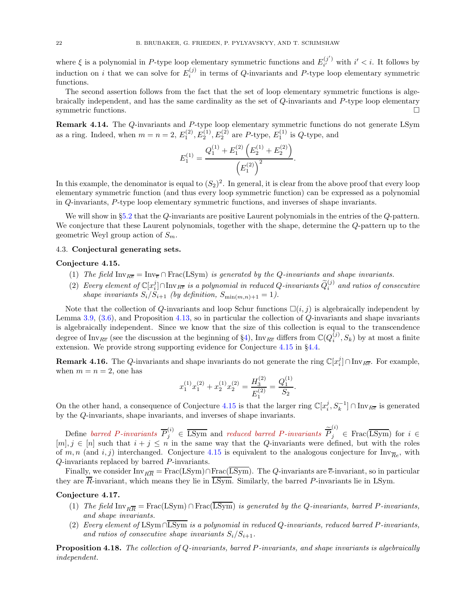where  $\xi$  is a polynomial in P-type loop elementary symmetric functions and  $E_{ii}^{(j')}$  $i^{(j)}$  with  $i' < i$ . It follows by induction on i that we can solve for  $E_i^{(j)}$  $i_j^{(J)}$  in terms of Q-invariants and P-type loop elementary symmetric functions.

The second assertion follows from the fact that the set of loop elementary symmetric functions is algebraically independent, and has the same cardinality as the set of Q-invariants and P-type loop elementary symmetric functions.

Remark 4.14. The Q-invariants and P-type loop elementary symmetric functions do not generate LSym as a ring. Indeed, when  $m = n = 2$ ,  $E_1^{(2)}$ ,  $E_2^{(1)}$ ,  $E_2^{(2)}$  are P-type,  $E_1^{(1)}$  is Q-type, and

$$
E_1^{(1)} = \frac{Q_1^{(1)} + E_1^{(2)} \left( E_2^{(1)} + E_2^{(2)} \right)}{\left( E_1^{(2)} \right)^2}.
$$

In this example, the denominator is equal to  $(S_2)^2$ . In general, it is clear from the above proof that every loop elementary symmetric function (and thus every loop symmetric function) can be expressed as a polynomial in Q-invariants, P-type loop elementary symmetric functions, and inverses of shape invariants.

We will show in §[5.2](#page-31-0) that the Q-invariants are positive Laurent polynomials in the entries of the Q-pattern. We conjecture that these Laurent polynomials, together with the shape, determine the Q-pattern up to the geometric Weyl group action of  $S_m$ .

#### <span id="page-21-0"></span>4.3. Conjectural generating sets.

#### <span id="page-21-1"></span>Conjecture 4.15.

- (1) The field  $\text{Inv}_{\overline{R}} = \text{Inv}_{\overline{R}} \cap \text{Frac}(\text{LSym})$  is generated by the Q-invariants and shape invariants.
- (2) Every element of  $\mathbb{C}[x_i^j] \cap \text{Inv}_{R\overline{e}}$  is a polynomial in reduced Q-invariants  $\widetilde{Q}_i^{(j)}$  and ratios of consecutive shape invariants  $S_i/S_{i+1}$  (by definition,  $S_{\min(m,n)+1} = 1$ ).

Note that the collection of Q-invariants and loop Schur functions  $\Box(i, j)$  is algebraically independent by Lemma [3.9,](#page-16-2) [\(3.6\)](#page-17-1), and Proposition [4.13,](#page-20-1) so in particular the collection of Q-invariants and shape invariants is algebraically independent. Since we know that the size of this collection is equal to the transcendence degree of Inv<sub>Re</sub> (see the discussion at the beginning of §[4\)](#page-17-0), Inv<sub>Re</sub> differs from  $\mathbb{C}(Q_i^{(j)}, S_k)$  by at most a finite extension. We provide strong supporting evidence for Conjecture [4.15](#page-21-1) in §[4.4.](#page-22-1)

**Remark 4.16.** The Q-invariants and shape invariants do not generate the ring  $\mathbb{C}[x_i^j] \cap \text{Inv}_{R\overline{e}}$ . For example, when  $m = n = 2$ , one has

$$
x_1^{(1)}x_1^{(2)} + x_2^{(1)}x_2^{(2)} = \frac{H_3^{(2)}}{E_1^{(2)}} = \frac{Q_1^{(1)}}{S_2}
$$

.

On the other hand, a consequence of Conjecture [4.15](#page-21-1) is that the larger ring  $\mathbb{C}[x_i^j, S_k^{-1}] \cap \text{Inv}_{R\overline{e}}$  is generated by the Q-invariants, shape invariants, and inverses of shape invariants.

Define barred P-invariants  $\overline{P}_j^{(i)} \in \overline{\text{LSym}}$  and reduced barred P-invariants  $\widetilde{\overline{P}}_j^{(i)} \in \text{Frac}(\overline{\text{LSym}})$  for  $i \in$  $[m], j \in [n]$  such that  $i + j \leq n$  in the same way that the Q-invariants were defined, but with the roles of m, n (and i, j) interchanged. Conjecture [4.15](#page-21-1) is equivalent to the analogous conjecture for  $\text{Inv}_{\overline{Re}}$ , with Q-invariants replaced by barred P-invariants.

Finally, we consider  $\text{Inv}_{R\overline{R}} = \text{Frac}(\text{LSym}) \cap \text{Frac}(\overline{\text{LSym}})$ . The Q-invariants are  $\overline{e}$ -invariant, so in particular they are  $\overline{R}$ -invariant, which means they lie in  $\overline{\text{LSym}}$ . Similarly, the barred P-invariants lie in LSym.

## Conjecture 4.17.

- (1) The field  $\text{Inv}_{R\overline{R}} = \text{Frac}(\text{LSym}) \cap \text{Frac}(\overline{\text{LSym}})$  is generated by the Q-invariants, barred P-invariants, and shape invariants.
- (2) Every element of LSym ∩LSym is a polynomial in reduced Q-invariants, reduced barred P-invariants, and ratios of consecutive shape invariants  $S_i/S_{i+1}$ .

<span id="page-21-2"></span>Proposition 4.18. The collection of Q-invariants, barred P-invariants, and shape invariants is algebraically independent.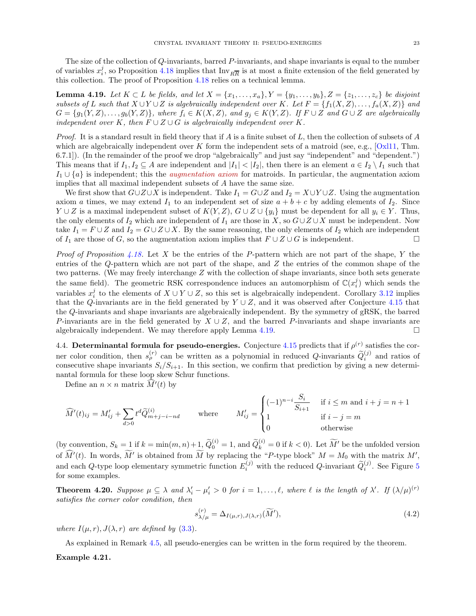The size of the collection of  $Q$ -invariants, barred  $P$ -invariants, and shape invariants is equal to the number of variables  $x_i^j$ , so Proposition [4.18](#page-21-2) implies that  $\text{Inv}_{R\overline{R}}$  is at most a finite extension of the field generated by this collection. The proof of Proposition [4.18](#page-21-2) relies on a technical lemma.

<span id="page-22-2"></span>**Lemma 4.19.** Let  $K \subset L$  be fields, and let  $X = \{x_1, \ldots, x_a\}$ ,  $Y = \{y_1, \ldots, y_b\}$ ,  $Z = \{z_1, \ldots, z_c\}$  be disjoint subsets of L such that  $X \cup Y \cup Z$  is algebraically independent over K. Let  $F = \{f_1(X, Z), \ldots, f_a(X, Z)\}$  and  $G = \{g_1(Y, Z), \ldots, g_b(Y, Z)\}\$ , where  $f_i \in K(X, Z)$ , and  $g_j \in K(Y, Z)$ . If  $F \cup Z$  and  $G \cup Z$  are algebraically independent over K, then  $F \cup Z \cup G$  is algebraically independent over K.

*Proof.* It is a standard result in field theory that if A is a finite subset of L, then the collection of subsets of A which are algebraically independent over K form the independent sets of a matroid (see, e.g.,  $[Ox]$ 11, Thm. 6.7.1]). (In the remainder of the proof we drop "algebraically" and just say "independent" and "dependent.") This means that if  $I_1, I_2 \subseteq A$  are independent and  $|I_1| < |I_2|$ , then there is an element  $a \in I_2 \setminus I_1$  such that  $I_1 \cup \{a\}$  is independent; this the *augmentation axiom* for matroids. In particular, the augmentation axiom implies that all maximal independent subsets of A have the same size.

We first show that  $G\cup Z\cup X$  is independent. Take  $I_1 = G\cup Z$  and  $I_2 = X\cup Y\cup Z$ . Using the augmentation axiom a times, we may extend  $I_1$  to an independent set of size  $a + b + c$  by adding elements of  $I_2$ . Since  $Y \cup Z$  is a maximal independent subset of  $K(Y, Z)$ ,  $G \cup Z \cup \{y_i\}$  must be dependent for all  $y_i \in Y$ . Thus, the only elements of  $I_2$  which are independent of  $I_1$  are those in X, so  $G \cup Z \cup X$  must be independent. Now take  $I_1 = F \cup Z$  and  $I_2 = G \cup Z \cup X$ . By the same reasoning, the only elements of  $I_2$  which are independent of  $I_1$  are those of G, so the augmentation axiom implies that  $F \cup Z \cup G$  is independent.

*Proof of Proposition [4.18.](#page-21-2)* Let X be the entries of the P-pattern which are not part of the shape, Y the entries of the Q-pattern which are not part of the shape, and Z the entries of the common shape of the two patterns. (We may freely interchange  $Z$  with the collection of shape invariants, since both sets generate the same field). The geometric RSK correspondence induces an automorphism of  $\mathbb{C}(x_i^j)$  which sends the variables  $x_i^j$  to the elements of  $X \cup Y \cup Z$ , so this set is algebraically independent. Corollary [3.12](#page-17-2) implies that the Q-invariants are in the field generated by  $Y \cup Z$ , and it was observed after Conjecture [4.15](#page-21-1) that the Q-invariants and shape invariants are algebraically independent. By the symmetry of gRSK, the barred P-invariants are in the field generated by  $X \cup Z$ , and the barred P-invariants and shape invariants are algebraically independent. We may therefore apply Lemma  $4.19$ .

<span id="page-22-1"></span>4.4. Determinantal formula for pseudo-energies. Conjecture [4.15](#page-21-1) predicts that if  $\rho^{(r)}$  satisfies the corner color condition, then  $s_{\rho}^{(r)}$  can be written as a polynomial in reduced Q-invariants  $\tilde{Q}_{i}^{(j)}$  and ratios of consecutive shape invariants  $S_i/S_{i+1}$ . In this section, we confirm that prediction by giving a new determinantal formula for these loop skew Schur functions.

Define an  $n \times n$  matrix  $\widehat{M}'(t)$  by

$$
\widehat{M}'(t)_{ij} = M'_{ij} + \sum_{d>0} t^d \widetilde{Q}_{m+j-i-nd}^{(i)}
$$
 where 
$$
M'_{ij} = \begin{cases} (-1)^{n-i} \frac{S_i}{S_{i+1}} & \text{if } i \le m \text{ and } i+j = n+1\\ 1 & \text{if } i-j = m\\ 0 & \text{otherwise} \end{cases}
$$

(by convention,  $S_k = 1$  if  $k = \min(m, n) + 1$ ,  $\tilde{Q}_0^{(i)} = 1$ , and  $\tilde{Q}_k^{(i)} = 0$  if  $k < 0$ ). Let  $\widetilde{M}'$  be the unfolded version of  $\widehat{M}'(t)$ . In words,  $\widehat{M}'$  is obtained from  $\widehat{M}$  by replacing the "P-type block"  $M = M_0$  with the matrix  $M'$ , and each Q-type loop elementary symmetric function  $E_i^{(j)}$  with the reduced Q-invariant  $\tilde{Q}_i^{(j)}$ . See Figure [5](#page-23-0) for some examples.

<span id="page-22-0"></span>**Theorem 4.20.** Suppose  $\mu \subseteq \lambda$  and  $\lambda'_i - \mu'_i > 0$  for  $i = 1, \ldots, \ell$ , where  $\ell$  is the length of  $\lambda'$ . If  $(\lambda/\mu)^{(r)}$ satisfies the corner color condition, then

$$
s_{\lambda/\mu}^{(r)} = \Delta_{I(\mu,r),J(\lambda,r)}(\widetilde{M}'),
$$
\n(4.2)

where  $I(\mu, r)$ ,  $J(\lambda, r)$  are defined by [\(3.3\)](#page-15-5).

As explained in Remark [4.5,](#page-18-3) all pseudo-energies can be written in the form required by the theorem.

### Example 4.21.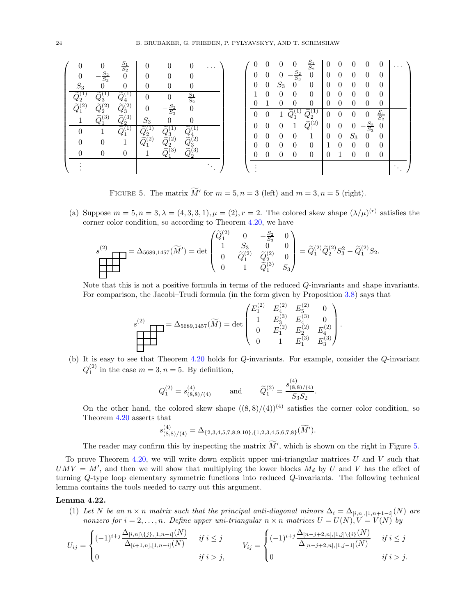| 0                   | $\Omega$                                                  | $rac{S_1}{S_2}$<br>$\overline{0}$          | $\theta$<br>0                                                                          | $\theta$                                                                        | $\overline{0}$<br>0                 | $\cdots$ | 0<br>0 | 0<br>$\overline{0}$ | 0<br>$\overline{0}$  | $\overline{0}$<br>$-\frac{S_2}{S_3}$ | $rac{S_1}{S_2}$<br>$\boldsymbol{0}$ | $\overline{0}$<br>$\overline{0}$ | 0<br>$\theta$         | 0<br>0                       | $\mathbf{0}$<br>$\theta$            | $\theta$<br>$\theta$        | . |
|---------------------|-----------------------------------------------------------|--------------------------------------------|----------------------------------------------------------------------------------------|---------------------------------------------------------------------------------|-------------------------------------|----------|--------|---------------------|----------------------|--------------------------------------|-------------------------------------|----------------------------------|-----------------------|------------------------------|-------------------------------------|-----------------------------|---|
| $S_3$               | $rac{S_2}{S_3}$<br>$\theta$                               | $\theta$                                   |                                                                                        | $\theta$                                                                        | $\theta$                            |          | 0      | $\overline{0}$      | $S_3$                | $\boldsymbol{0}$                     | $\boldsymbol{0}$                    | $\theta$                         | $\theta$              | $\overline{0}$               | $\theta$                            | $\theta$                    |   |
| $\tilde{Q}^{(2)}_1$ | $Q_3^{\scriptscriptstyle\vee}$<br>$\widetilde{Q}^{(2)}_2$ | $\tilde{Q}_4^0$<br>$\widetilde{Q}^{(2)}_3$ | $\overline{0}$<br>$\theta$                                                             | $\boldsymbol{0}$<br>$\frac{S_2}{S_3}$                                           | $\frac{S_1}{S_2}$<br>$\theta$       |          | 0      | $\Omega$            | $\Omega$<br>$\Omega$ | $\Omega$<br>$\Omega$                 | $\theta$<br>$\Omega$                | $\theta$                         | $\Omega$<br>$\Omega$  | $\theta$<br>$\theta$         | $\Omega$<br>$\Omega$                | $\theta$<br>$\theta$        |   |
|                     | $\widetilde{O}^{(3)}$                                     | $\widetilde{Q}^{(3)}_2$                    | $S_3$                                                                                  | $\overline{0}$                                                                  | $\theta$                            |          | 0<br>0 | 0<br>$\theta$       | $\theta$             |                                      | $\widetilde{Q}_1^{(2)}$             | $\theta$<br>$\overline{0}$       | 0<br>$\boldsymbol{0}$ | $\theta$<br>0                | $\overline{0}$<br>$\frac{S_2}{S_3}$ | $rac{S_1}{S_2}$<br>$\theta$ |   |
| 0<br>0              | 0                                                         | Ŧ.                                         | $\widetilde{Q}^{\mathbb{C}}_2$<br>$\tilde{\widetilde{Q}}_1^{\tilde{\left( 2\right) }}$ | $\begin{matrix} Q_3 \ \widetilde{Q}_2^{(2)} \ \widetilde{O}^{(3)} \end{matrix}$ | $\tilde{\widetilde{\Omega}}^{4}(2)$ |          | 0      | $\overline{0}$      | $\theta$             | $\theta$                             | 1                                   | $\overline{0}$                   | $\boldsymbol{0}$      | $\mathcal{S}_3$              | $\theta$                            | $\theta$                    |   |
|                     | $\overline{0}$                                            | 0                                          |                                                                                        |                                                                                 | $\frac{83}{0}(3)$                   |          | 0<br>O | $\overline{0}$<br>∩ | $\theta$<br>0        | $\theta$<br>$\Omega$                 | $\theta$<br>0                       |                                  | $\theta$              | $\boldsymbol{0}$<br>$\Omega$ | $\theta$<br>$\Omega$                | $\theta$<br>$\Omega$        |   |
|                     |                                                           |                                            |                                                                                        |                                                                                 |                                     |          |        |                     |                      |                                      |                                     |                                  |                       |                              |                                     |                             |   |

<span id="page-23-0"></span>FIGURE 5. The matrix  $M'$  for  $m = 5, n = 3$  (left) and  $m = 3, n = 5$  (right).

(a) Suppose  $m = 5, n = 3, \lambda = (4, 3, 3, 1), \mu = (2), r = 2$ . The colored skew shape  $(\lambda/\mu)^{(r)}$  satisfies the corner color condition, so according to Theorem [4.20,](#page-22-0) we have

$$
s^{(2)} = \Delta_{5689,1457}(\widetilde{M}') = \det \begin{pmatrix} \widetilde{Q}_1^{(2)} & 0 & -\frac{S_2}{S_3} & 0 \\ 1 & S_3 & 0 & 0 \\ 0 & \widetilde{Q}_1^{(2)} & \widetilde{Q}_2^{(2)} & 0 \\ 0 & 1 & \widetilde{Q}_1^{(3)} & S_3 \end{pmatrix} = \widetilde{Q}_1^{(2)}\widetilde{Q}_2^{(2)}S_3^2 - \widetilde{Q}_1^{(2)}S_2.
$$

Note that this is not a positive formula in terms of the reduced *Q*-invariants and shape invariants. For comparison, the Jacobi–Trudi formula (in the form given by Proposition [3.8\)](#page-15-4) says that

$$
s^{(2)} \qquad \qquad = \Delta_{5689,1457}(\widetilde{M}) = \det \begin{pmatrix} E_1^{(2)} & E_4^{(2)} & E_5^{(2)} & 0 \\ 1 & E_3^{(3)} & E_4^{(3)} & 0 \\ 0 & E_1^{(2)} & E_2^{(2)} & E_4^{(2)} \\ 0 & 1 & E_1^{(3)} & E_3^{(3)} \end{pmatrix}.
$$

(b) It is easy to see that Theorem [4.20](#page-22-0) holds for  $Q$ -invariants. For example, consider the  $Q$ -invariant  $Q_1^{(2)}$  in the case  $m = 3, n = 5$ . By definition,

$$
Q_1^{(2)} = s_{(8,8)/(4)}^{(4)}
$$
 and  $\widetilde{Q}_1^{(2)} = \frac{s_{(8,8)/(4)}^{(4)}}{S_3 S_2}.$ 

On the other hand, the colored skew shape  $((8,8)/(4))^{(4)}$  satisfies the corner color condition, so Theorem [4.20](#page-22-0) asserts that

$$
s_{(8,8)/(4)}^{(4)} = \Delta_{\{2,3,4,5,7,8,9,10\},\{1,2,3,4,5,6,7,8\}}(\widetilde{M}').
$$

The reader may confirm this by inspecting the matrix  $\overline{M}'$ , which is shown on the right in Figure [5.](#page-23-0)

To prove Theorem [4.20,](#page-22-0) we will write down explicit upper uni-triangular matrices  $U$  and  $V$  such that  $UMV = M'$ , and then we will show that multiplying the lower blocks  $M_d$  by U and V has the effect of turning Q-type loop elementary symmetric functions into reduced Q-invariants. The following technical lemma contains the tools needed to carry out this argument.

### <span id="page-23-2"></span><span id="page-23-1"></span>Lemma 4.22.

(1) Let N be an  $n \times n$  matrix such that the principal anti-diagonal minors  $\Delta_i = \Delta_{[i,n],[1,n+1-i]}(N)$  are nonzero for  $i = 2, \ldots, n$ . Define upper uni-triangular  $n \times n$  matrices  $U = U(N)$ ,  $V = V(N)$  by

$$
U_{ij} = \begin{cases} (-1)^{i+j} \frac{\Delta_{[i,n] \setminus \{j\}, [1, n-i]}(N)}{\Delta_{[i+1,n], [1, n-i]}(N)} & \text{if } i \le j \\ 0 & \text{if } i > j, \end{cases} \qquad V_{ij} = \begin{cases} (-1)^{i+j} \frac{\Delta_{[n-j+2,n], [1,j] \setminus \{i\}}(N)}{\Delta_{[n-j+2,n], [1, j-1]}(N)} & \text{if } i \le j \\ 0 & \text{if } i > j. \end{cases}
$$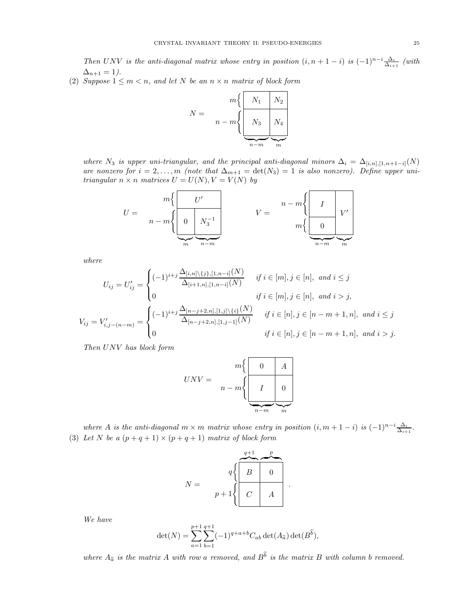Then UNV is the anti-diagonal matrix whose entry in position  $(i, n + 1 - i)$  is  $(-1)^{n-i} \frac{\Delta_i}{\Delta_{i+1}}$  (with  $\Delta_{n+1} = 1.$ 

<span id="page-24-0"></span>(2) Suppose  $1 \leq m < n$ , and let N be an  $n \times n$  matrix of block form

$$
N = \frac{m \left\{ \begin{array}{c|c} N_1 & N_2 \\ \hline & N_3 & N_4 \\ \hline & & m \end{array} \right\}}{\underbrace{N_4}_{n-m} \underbrace{N_4}_{m}}
$$

where N<sub>3</sub> is upper uni-triangular, and the principal anti-diagonal minors  $\Delta_i = \Delta_{[i,n],[1,n+1-i]}(N)$ are nonzero for  $i = 2, \ldots, m$  (note that  $\Delta_{m+1} = \det(N_3) = 1$  is also nonzero). Define upper unitriangular  $n \times n$  matrices  $U = U(N), V = V(N)$  by

$$
U = \frac{m\left\{\begin{array}{c|c} U' \\ \hline 0 & N_3^{-1} \\ \hline \end{array}\right\}}{m - m\left\{\begin{array}{c|c} 0 & N_3^{-1} \\ \hline \end{array}\right\}}
$$
 
$$
V = \frac{n - m\left\{\begin{array}{c|c} I & V' \\ \hline 0 & V' \\ \hline \end{array}\right\}}{m\left\{\begin{array}{c|c} 0 & V' \\ \hline \end{array}\right\}}
$$

where

$$
U_{ij} = U'_{ij} = \begin{cases} (-1)^{i+j} \frac{\Delta_{[i,n]} \setminus \{j\}, [1, n-i]}{(N)} & \text{if } i \in [m], j \in [n], \text{ and } i \le j\\ 0 & \text{if } i \in [m], j \in [n], \text{ and } i > j, \end{cases}
$$
\n
$$
V_{ij} = V'_{i,j-(n-m)} = \begin{cases} (-1)^{i+j} \frac{\Delta_{[n-j+2,n], [1,j] \setminus \{i\}}(N)}{\Delta_{[n-j+2,n], [1,j-1]}(N)} & \text{if } i \in [n], j \in [n-m+1, n], \text{ and } i \le j\\ 0 & \text{if } i \in [n], j \in [n-m+1, n], \text{ and } i > j. \end{cases}
$$

Then UNV has block form

$$
UNV = \begin{array}{c} m \begin{cases} 0 & A \\ \hline n - m \end{cases} \\ \hline \begin{matrix} I & 0 \\ \hline \frac{n - m}{m} & m \end{matrix} \end{array}
$$

<span id="page-24-1"></span>where A is the anti-diagonal  $m \times m$  matrix whose entry in position  $(i, m + 1 - i)$  is  $(-1)^{n-i} \frac{\Delta_i}{\Delta_{i+1}}$ . (3) Let N be a  $(p+q+1) \times (p+q+1)$  matrix of block form

$$
N = \begin{array}{c} q \left\{ \begin{array}{|c|c|} \hline & p \\ \hline B & 0 \\ \hline C & A \\ \hline \end{array} \right. \\\end{array}.
$$

We have

$$
\det(N) = \sum_{a=1}^{p+1} \sum_{b=1}^{q+1} (-1)^{q+a+b} C_{ab} \det(A_{\widehat{a}}) \det(B^{\widehat{b}}),
$$

where  $A_{\widehat{a}}$  is the matrix A with row a removed, and  $B^b$  is the matrix B with column b removed.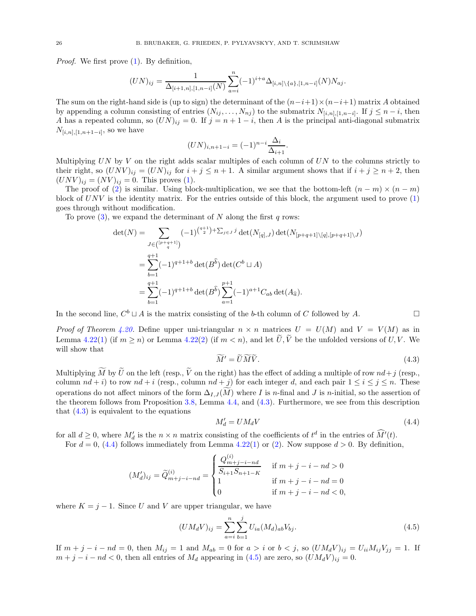Proof. We first prove [\(1\)](#page-23-1). By definition,

$$
(UN)_{ij} = \frac{1}{\Delta_{[i+1,n],[1,n-i]}(N)} \sum_{a=i}^{n} (-1)^{i+a} \Delta_{[i,n]\backslash\{a\},[1,n-i]}(N) N_{aj}.
$$

The sum on the right-hand side is (up to sign) the determinant of the  $(n-i+1)\times(n-i+1)$  matrix A obtained by appending a column consisting of entries  $(N_{ij}, \ldots, N_{nj})$  to the submatrix  $N_{[i,n],[1,n-i]}$ . If  $j \leq n-i$ , then A has a repeated column, so  $(UN)_{ij} = 0$ . If  $j = n + 1 - i$ , then A is the principal anti-diagonal submatrix  $N_{[i,n],[1,n+1-i]}$ , so we have

$$
(UN)_{i,n+1-i} = (-1)^{n-i} \frac{\Delta_i}{\Delta_{i+1}}.
$$

Multiplying  $UN$  by  $V$  on the right adds scalar multiples of each column of  $UN$  to the columns strictly to their right, so  $(UNV)_{ij} = (UN)_{ij}$  for  $i + j \leq n + 1$ . A similar argument shows that if  $i + j \geq n + 2$ , then  $(UNV)_{ij} = (NV)_{ij} = 0$ . This proves [\(1\)](#page-23-1).

The proof of [\(2\)](#page-24-0) is similar. Using block-multiplication, we see that the bottom-left  $(n - m) \times (n - m)$ block of  $UNV$  is the identity matrix. For the entries outside of this block, the argument used to prove  $(1)$ goes through without modification.

To prove  $(3)$ , we expand the determinant of N along the first q rows:

$$
\det(N) = \sum_{\substack{J \in \binom{[p+q+1]}{q}}} (-1)^{\binom{q+1}{2} + \sum_{j \in J} j} \det(N_{[q],J}) \det(N_{[p+q+1] \setminus [q], [p+q+1] \setminus J})
$$
  
\n
$$
= \sum_{b=1}^{q+1} (-1)^{q+1+b} \det(B^{\hat{b}}) \det(C^b \sqcup A)
$$
  
\n
$$
= \sum_{b=1}^{q+1} (-1)^{q+1+b} \det(B^{\hat{b}}) \sum_{a=1}^{p+1} (-1)^{a+1} C_{ab} \det(A_{\hat{a}}).
$$

In the second line,  $C^b \sqcup A$  is the matrix consisting of the b-th column of C followed by A.  $\Box$ 

*Proof of Theorem [4.20.](#page-22-0)* Define upper uni-triangular  $n \times n$  matrices  $U = U(M)$  and  $V = V(M)$  as in Lemma [4.22](#page-23-2)[\(1\)](#page-23-1) (if  $m \ge n$ ) or Lemma [4.22\(](#page-23-2)[2\)](#page-24-0) (if  $m < n$ ), and let  $\tilde{U}, \tilde{V}$  be the unfolded versions of U, V. We will show that

<span id="page-25-0"></span>
$$
\widetilde{M}' = \widetilde{U}\widetilde{M}\widetilde{V}.\tag{4.3}
$$

Multiplying  $\widetilde{M}$  by  $\widetilde{U}$  on the left (resp.,  $\widetilde{V}$  on the right) has the effect of adding a multiple of row  $nd+j$  (resp., column  $nd + i$  to row  $nd + i$  (resp., column  $nd + j$ ) for each integer d, and each pair  $1 \le i \le j \le n$ . These operations do not affect minors of the form  $\Delta_{I,J}(M)$  where I is n-final and J is n-initial, so the assertion of the theorem follows from Proposition [3.8,](#page-15-4) Lemma [4.4,](#page-18-2) and [\(4.3\)](#page-25-0). Furthermore, we see from this description that  $(4.3)$  is equivalent to the equations

<span id="page-25-1"></span>
$$
M'_d = U M_d V \tag{4.4}
$$

for all  $d \geq 0$ , where  $M'_d$  is the  $n \times n$  matrix consisting of the coefficients of  $t^d$  in the entries of  $\hat{M}'(t)$ .

For  $d = 0$ , [\(4.4\)](#page-25-1) follows immediately from Lemma [4.22](#page-23-2)[\(1\)](#page-23-1) or [\(2\)](#page-24-0). Now suppose  $d > 0$ . By definition,

$$
(M'_d)_{ij} = \widetilde{Q}_{m+j-i-nd}^{(i)} = \begin{cases} \frac{Q_{m+j-i-nd}^{(i)}}{S_{i+1}S_{n+1-K}} & \text{ if } m+j-i-nd > 0 \\ 1 & \text{ if } m+j-i-nd = 0 \\ 0 & \text{ if } m+j-i-nd < 0, \end{cases}
$$

where  $K = j - 1$ . Since U and V are upper triangular, we have

<span id="page-25-2"></span>
$$
(UM_dV)_{ij} = \sum_{a=i}^{n} \sum_{b=1}^{j} U_{ia}(M_d)_{ab} V_{bj}.
$$
\n(4.5)

If  $m + j - i - nd = 0$ , then  $M_{ij} = 1$  and  $M_{ab} = 0$  for  $a > i$  or  $b < j$ , so  $(U M_d V)_{ij} = U_{ii} M_{ij} V_{jj} = 1$ . If  $m + j - i - nd < 0$ , then all entries of  $M_d$  appearing in [\(4.5\)](#page-25-2) are zero, so  $(UM_dV)_{ij} = 0$ .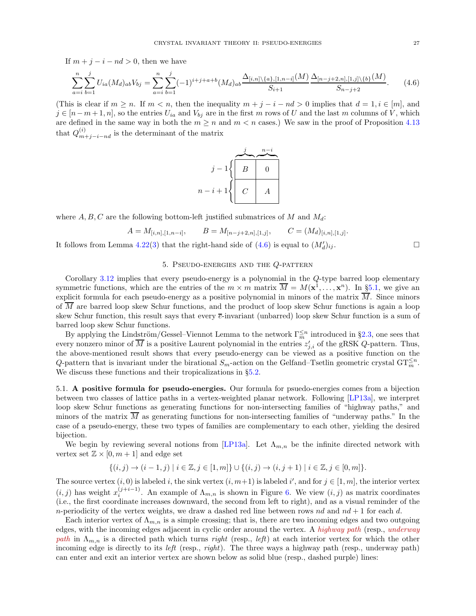If  $m + j - i - nd > 0$ , then we have

<span id="page-26-2"></span>
$$
\sum_{a=i}^{n} \sum_{b=1}^{j} U_{ia}(M_d)_{ab} V_{bj} = \sum_{a=i}^{n} \sum_{b=1}^{j} (-1)^{i+j+a+b} (M_d)_{ab} \frac{\Delta_{[i,n]} \setminus \{a\}, [1, n-i]}{S_{i+1}} \frac{\Delta_{[n-j+2,n]}, [1,j] \setminus \{b\}}(M)}{S_{n-j+2}}.
$$
 (4.6)

(This is clear if  $m \ge n$ . If  $m < n$ , then the inequality  $m + j - i - nd > 0$  implies that  $d = 1, i \in [m]$ , and  $j \in [n-m+1,n]$ , so the entries  $U_{ia}$  and  $V_{bj}$  are in the first m rows of U and the last m columns of V, which are defined in the same way in both the  $m \geq n$  and  $m < n$  cases.) We saw in the proof of Proposition [4.13](#page-20-1) that  $Q_{m+j-i-nd}^{(i)}$  is the determinant of the matrix

$$
j-1 \n\left\{\n\begin{array}{|c|c|}\n\hline\nj & n-i \\
\hline\nB & 0 \\
\hline\nn-i+1 \n\end{array}\n\right.
$$

where  $A, B, C$  are the following bottom-left justified submatrices of M and  $M_d$ :

$$
A = M_{[i,n],[1,n-i]}, \qquad B = M_{[n-j+2,n],[1,j]}, \qquad C = (M_d)_{[i,n],[1,j]}.
$$

<span id="page-26-0"></span>It follows from Lemma [4.22](#page-23-2)[\(3\)](#page-24-1) that the right-hand side of  $(4.6)$  is equal to  $(M'_d)$  $\big)_{ij}.$ 

### 5. Pseudo-energies and the Q-pattern

Corollary [3.12](#page-17-2) implies that every pseudo-energy is a polynomial in the Q-type barred loop elementary symmetric functions, which are the entries of the  $m \times m$  matrix  $\overline{M} = M(\mathbf{x}^1, \dots, \mathbf{x}^n)$ . In §[5.1,](#page-26-1) we give an explicit formula for each pseudo-energy as a positive polynomial in minors of the matrix  $\overline{M}$ . Since minors of  $\overline{M}$  are barred loop skew Schur functions, and the product of loop skew Schur functions is again a loop skew Schur function, this result says that every  $\bar{e}$ -invariant (unbarred) loop skew Schur function is a sum of barred loop skew Schur functions.

By applying the Lindström/Gessel–Viennot Lemma to the network  $\Gamma_m^{\leq n}$  introduced in §[2.3,](#page-8-0) one sees that every nonzero minor of  $\overline{M}$  is a positive Laurent polynomial in the entries  $z'_{j,i}$  of the gRSK Q-pattern. Thus, the above-mentioned result shows that every pseudo-energy can be viewed as a positive function on the Q-pattern that is invariant under the birational  $S_m$ -action on the Gelfand–Tsetlin geometric crystal  $\mathrm{GT}_m^{\leq n}$ . We discuss these functions and their tropicalizations in  $\S5.2$ .

<span id="page-26-1"></span>5.1. A positive formula for pseudo-energies. Our formula for psuedo-energies comes from a bijection between two classes of lattice paths in a vertex-weighted planar network. Following [\[LP13a\]](#page-49-23), we interpret loop skew Schur functions as generating functions for non-intersecting families of "highway paths," and minors of the matrix  $\overline{M}$  as generating functions for non-intersecting families of "underway paths." In the case of a pseudo-energy, these two types of families are complementary to each other, yielding the desired bijection.

We begin by reviewing several notions from [\[LP13a\]](#page-49-23). Let  $\Lambda_{m,n}$  be the infinite directed network with vertex set  $\mathbb{Z} \times [0, m+1]$  and edge set

$$
\{(i,j) \to (i-1,j) \mid i \in \mathbb{Z}, j \in [1,m]\} \cup \{(i,j) \to (i,j+1) \mid i \in \mathbb{Z}, j \in [0,m]\}.
$$

The source vertex  $(i, 0)$  is labeled i, the sink vertex  $(i, m+1)$  is labeled i', and for  $j \in [1, m]$ , the interior vertex  $(i, j)$  has weight  $x_i^{(j+i-1)}$  $i^{(j+i-1)}$ . An example of  $\Lambda_{m,n}$  is shown in Figure [6.](#page-28-0) We view  $(i, j)$  as matrix coordinates (i.e., the first coordinate increases downward, the second from left to right), and as a visual reminder of the n-periodicity of the vertex weights, we draw a dashed red line between rows nd and  $nd + 1$  for each d.

Each interior vertex of  $\Lambda_{m,n}$  is a simple crossing; that is, there are two incoming edges and two outgoing edges, with the incoming edges adjacent in cyclic order around the vertex. A highway path (resp., underway path in  $\Lambda_{m,n}$  is a directed path which turns right (resp., left) at each interior vertex for which the other incoming edge is directly to its *left* (resp., *right*). The three ways a highway path (resp., underway path) can enter and exit an interior vertex are shown below as solid blue (resp., dashed purple) lines: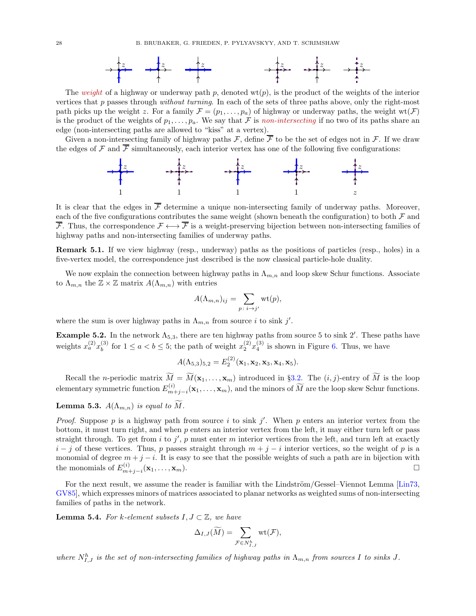

The weight of a highway or underway path p, denoted  $w(t)$ , is the product of the weights of the interior vertices that p passes through without turning. In each of the sets of three paths above, only the right-most path picks up the weight z. For a family  $\mathcal{F} = (p_1, \ldots, p_a)$  of highway or underway paths, the weight  $\text{wt}(\mathcal{F})$ is the product of the weights of  $p_1, \ldots, p_a$ . We say that F is non-intersecting if no two of its paths share an edge (non-intersecting paths are allowed to "kiss" at a vertex).

Given a non-intersecting family of highway paths F, define  $\overline{\mathcal{F}}$  to be the set of edges not in F. If we draw the edges of F and  $\overline{\mathcal{F}}$  simultaneously, each interior vertex has one of the following five configurations:



It is clear that the edges in  $\overline{\mathcal{F}}$  determine a unique non-intersecting family of underway paths. Moreover, each of the five configurations contributes the same weight (shown beneath the configuration) to both  $\mathcal F$  and  $\overline{\mathcal{F}}$ . Thus, the correspondence  $\mathcal{F} \longleftrightarrow \overline{\mathcal{F}}$  is a weight-preserving bijection between non-intersecting families of highway paths and non-intersecting families of underway paths.

Remark 5.1. If we view highway (resp., underway) paths as the positions of particles (resp., holes) in a five-vertex model, the correspondence just described is the now classical particle-hole duality.

We now explain the connection between highway paths in  $\Lambda_{m,n}$  and loop skew Schur functions. Associate to  $\Lambda_{m,n}$  the  $\mathbb{Z} \times \mathbb{Z}$  matrix  $A(\Lambda_{m,n})$  with entries

$$
A(\Lambda_{m,n})_{ij} = \sum_{p \colon i \to j'} \operatorname{wt}(p),
$$

where the sum is over highway paths in  $\Lambda_{m,n}$  from source *i* to sink j'.

**Example 5.2.** In the network  $\Lambda_{5,3}$ , there are ten highway paths from source 5 to sink 2'. These paths have weights  $x_a^{(2)}x_b^{(3)}$  $b_b^{(3)}$  for  $1 \le a < b \le 5$ ; the path of weight  $x_2^{(2)}x_4^{(3)}$  is shown in Figure [6.](#page-28-0) Thus, we have

$$
A(\Lambda_{5,3})_{5,2}=E_2^{(2)}(\mathbf{x}_1,\mathbf{x}_2,\mathbf{x}_3,\mathbf{x}_4,\mathbf{x}_5).
$$

Recall the *n*-periodic matrix  $\widetilde{M} = \widetilde{M}(\mathbf{x}_1, \dots, \mathbf{x}_m)$  introduced in §[3.2.](#page-15-3) The  $(i, j)$ -entry of  $\widetilde{M}$  is the loop elementary symmetric function  $E_{m}^{(i)}$  $\binom{n}{m+j-i}$  (**x**<sub>1</sub>, ..., **x**<sub>m</sub>), and the minors of M are the loop skew Schur functions.

<span id="page-27-1"></span>**Lemma 5.3.**  $A(\Lambda_{m,n})$  is equal to  $\widetilde{M}$ .

*Proof.* Suppose p is a highway path from source i to sink j'. When p enters an interior vertex from the bottom, it must turn right, and when  $p$  enters an interior vertex from the left, it may either turn left or pass straight through. To get from  $i$  to  $j'$ ,  $p$  must enter  $m$  interior vertices from the left, and turn left at exactly  $i - j$  of these vertices. Thus, p passes straight through  $m + j - i$  interior vertices, so the weight of p is a monomial of degree  $m + j - i$ . It is easy to see that the possible weights of such a path are in bijection with the monomials of  $E_{m+j-i}^{(i)}(\mathbf{x}_1,\ldots,\mathbf{x}_m)$ .

For the next result, we assume the reader is familiar with the Lindström/Gessel–Viennot Lemma  $\lbrack \text{Lin}73, \rbrack$ [GV85\]](#page-49-26), which expresses minors of matrices associated to planar networks as weighted sums of non-intersecting families of paths in the network.

<span id="page-27-0"></span>**Lemma 5.4.** For k-element subsets  $I, J \subset \mathbb{Z}$ , we have

$$
\Delta_{I,J}(\widetilde{M})=\sum_{\mathcal{F}\in N^h_{I,J}}\mathrm{wt}(\mathcal{F}),
$$

where  $N_{I,J}^h$  is the set of non-intersecting families of highway paths in  $\Lambda_{m,n}$  from sources I to sinks J.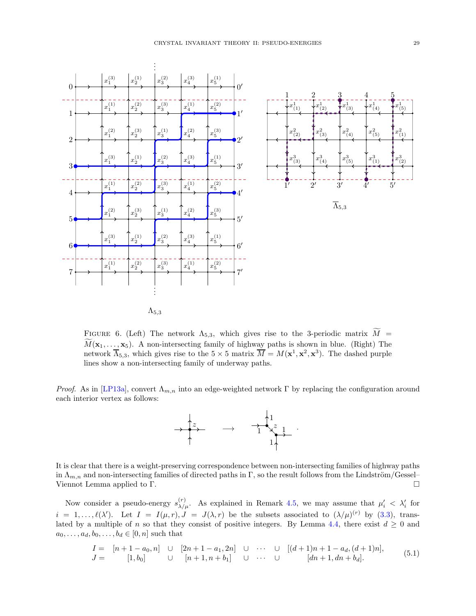

<span id="page-28-0"></span>FIGURE 6. (Left) The network  $\Lambda_{5,3}$ , which gives rise to the 3-periodic matrix  $\widetilde{M}$  =  $M(\mathbf{x}_1, \ldots, \mathbf{x}_5)$ . A non-intersecting family of highway paths is shown in blue. (Right) The network  $\overline{\Lambda}_{5,3}$ , which gives rise to the  $5 \times 5$  matrix  $\overline{M} = M(\mathbf{x}^1, \mathbf{x}^2, \mathbf{x}^3)$ . The dashed purple lines show a non-intersecting family of underway paths.

*Proof.* As in [\[LP13a\]](#page-49-23), convert  $\Lambda_{m,n}$  into an edge-weighted network  $\Gamma$  by replacing the configuration around each interior vertex as follows:



It is clear that there is a weight-preserving correspondence between non-intersecting families of highway paths in  $\Lambda_{m,n}$  and non-intersecting families of directed paths in Γ, so the result follows from the Lindström/Gessel– Viennot Lemma applied to Γ.

Now consider a pseudo-energy  $s_{\lambda/\mu}^{(r)}$ . As explained in Remark [4.5,](#page-18-3) we may assume that  $\mu'_i < \lambda'_i$  for  $i = 1, \ldots, \ell(\lambda')$ . Let  $I = I(\mu, r), J = J(\lambda, r)$  be the subsets associated to  $(\lambda/\mu)^{(r)}$  by [\(3.3\)](#page-15-5), trans-lated by a multiple of n so that they consist of positive integers. By Lemma [4.4,](#page-18-2) there exist  $d \geq 0$  and  $a_0, \ldots, a_d, b_0, \ldots, b_d \in [0, n]$  such that

<span id="page-28-1"></span>
$$
I = [n+1-a_0, n] \cup [2n+1-a_1, 2n] \cup \cdots \cup [(d+1)n+1-a_d, (d+1)n],
$$
  
\n
$$
J = [1, b_0] \cup [n+1, n+b_1] \cup \cdots \cup [dn+1, dn+b_d].
$$
\n(5.1)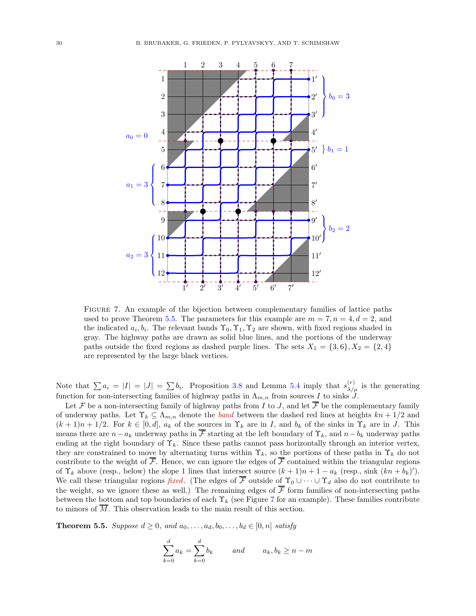

<span id="page-29-1"></span>Figure 7. An example of the bijection between complementary families of lattice paths used to prove Theorem [5.5.](#page-29-0) The parameters for this example are  $m = 7, n = 4, d = 2$ , and the indicated  $a_i, b_i$ . The relevant bands  $\Upsilon_0, \Upsilon_1, \Upsilon_2$  are shown, with fixed regions shaded in gray. The highway paths are drawn as solid blue lines, and the portions of the underway paths outside the fixed regions as dashed purple lines. The sets  $X_1 = \{3, 6\}, X_2 = \{2, 4\}$ are represented by the large black vertices.

Note that  $\sum a_i = |I| = |J| = \sum b_i$ . Proposition [3.8](#page-15-4) and Lemma [5.4](#page-27-0) imply that  $s_{\lambda/\mu}^{(r)}$  is the generating function for non-intersecting families of highway paths in  $\Lambda_{m,n}$  from sources I to sinks J.

Let F be a non-intersecting family of highway paths from I to J, and let  $\overline{\mathcal{F}}$  be the complementary family of underway paths. Let  $\Upsilon_k \subseteq \Lambda_{m,n}$  denote the *band* between the dashed red lines at heights  $kn + 1/2$  and  $(k+1)n+1/2$ . For  $k \in [0,d]$ ,  $a_k$  of the sources in  $\Upsilon_k$  are in I, and  $b_k$  of the sinks in  $\Upsilon_k$  are in J. This means there are  $n-a_k$  underway paths in  $\overline{F}$  starting at the left boundary of  $\Upsilon_k$ , and  $n-b_k$  underway paths ending at the right boundary of  $\Upsilon_k$ . Since these paths cannot pass horizontally through an interior vertex, they are constrained to move by alternating turns within  $\Upsilon_k$ , so the portions of these paths in  $\Upsilon_k$  do not contribute to the weight of  $\overline{\mathcal{F}}$ . Hence, we can ignore the edges of  $\overline{\mathcal{F}}$  contained within the triangular regions of  $\Upsilon_k$  above (resp., below) the slope 1 lines that intersect source  $(k+1)n + 1 - a_k$  (resp., sink  $(kn + b_k)'$ ). We call these triangular regions fixed. (The edges of  $\overline{\mathcal{F}}$  outside of  $\Upsilon_0 \cup \cdots \cup \Upsilon_d$  also do not contribute to the weight, so we ignore these as well.) The remaining edges of  $\overline{\mathcal{F}}$  form families of non-intersecting paths between the bottom and top boundaries of each  $\Upsilon_k$  (see Figure [7](#page-29-1) for an example). These families contribute to minors of  $\overline{M}$ . This observation leads to the main result of this section.

<span id="page-29-0"></span>**Theorem 5.5.** Suppose  $d \geq 0$ , and  $a_0, \ldots, a_d, b_0, \ldots, b_d \in [0, n]$  satisfy

$$
\sum_{k=0}^{d} a_k = \sum_{k=0}^{d} b_k \qquad and \qquad a_k, b_k \ge n - m
$$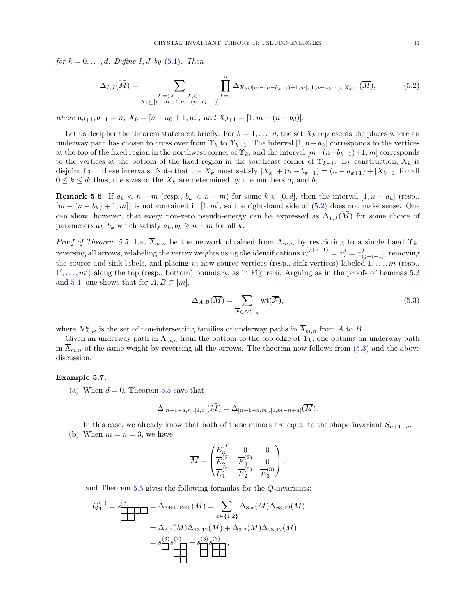for  $k = 0, \ldots, d$ . Define I, J by  $(5.1)$ . Then

<span id="page-30-0"></span>
$$
\Delta_{I,J}(\widetilde{M}) = \sum_{\substack{X = (X_1, \ldots, X_d):\\X_k \subseteq [n - a_k + 1, m - (n - b_{k-1})]}} \prod_{k=0}^d \Delta_{X_k \cup [m - (n - b_{k-1}) + 1, m], [1, n - a_{k+1}] \cup X_{k+1}}(\overline{M}),
$$
(5.2)

where  $a_{d+1}, b_{-1} = n$ ,  $X_0 = [n - a_0 + 1, m]$ , and  $X_{d+1} = [1, m - (n - b_d)]$ .

Let us decipher the theorem statement briefly. For  $k = 1, \ldots, d$ , the set  $X_k$  represents the places where an underway path has chosen to cross over from  $\Upsilon_k$  to  $\Upsilon_{k-1}$ . The interval  $[1, n-a_k]$  corresponds to the vertices at the top of the fixed region in the northwest corner of  $\Upsilon_k$ , and the interval  $[m-(n-b_{k-1})+1, m]$  corresponds to the vertices at the bottom of the fixed region in the southeast corner of  $\Upsilon_{k-1}$ . By construction,  $X_k$  is disjoint from these intervals. Note that the  $X_k$  must satisfy  $|X_k| + (n - b_{k-1}) = (n - a_{k+1}) + |X_{k+1}|$  for all  $0 \leq k \leq d$ ; thus, the sizes of the  $X_k$  are determined by the numbers  $a_i$  and  $b_i$ .

**Remark 5.6.** If  $a_k < n - m$  (resp.,  $b_k < n - m$ ) for some  $k \in [0, d]$ , then the interval  $[1, n - a_k]$  (resp.,  $[m - (n - b_k) + 1, m]$  is not contained in  $[1, m]$ , so the right-hand side of  $(5.2)$  does not make sense. One can show, however, that every non-zero pseudo-energy can be expressed as  $\Delta_{I,J}(M)$  for some choice of parameters  $a_k, b_k$  which satisfy  $a_k, b_k \geq n-m$  for all k.

Proof of Theorem [5.5.](#page-29-0) Let  $\overline{\Lambda}_{m,n}$  be the network obtained from  $\Lambda_{m,n}$  by restricting to a single band  $\Upsilon_k$ , reversing all arrows, relabeling the vertex weights using the identifications  $x_i^{(j+i-1)} = x_i^j = x_{(j+i-1)}^j$ , removing the source and sink labels, and placing m new source vertices (resp., sink vertices) labeled  $1, \ldots, m$  (resp.,  $1', \ldots, m'$  along the top (resp., bottom) boundary, as in Figure [6.](#page-28-0) Arguing as in the proofs of Lemmas [5.3](#page-27-1) and [5.4,](#page-27-0) one shows that for  $A, B \subset [m]$ ,

<span id="page-30-1"></span>
$$
\Delta_{A,B}(\overline{M}) = \sum_{\overline{\mathcal{F}} \in N_{A,B}^u} \text{wt}(\overline{\mathcal{F}}),\tag{5.3}
$$

where  $N_{A,B}^u$  is the set of non-intersecting families of underway paths in  $\overline{\Lambda}_{m,n}$  from A to B.

Given an underway path in  $\Lambda_{m,n}$  from the bottom to the top edge of  $\Upsilon_k$ , one obtains an underway path in  $\Lambda_{m,n}$  of the same weight by reversing all the arrows. The theorem now follows from [\(5.3\)](#page-30-1) and the above discussion.

# <span id="page-30-2"></span>Example 5.7.

(a) When  $d = 0$ , Theorem [5.5](#page-29-0) says that

$$
\Delta_{[n+1-a,n],[1,a]}(\widetilde{M}) = \Delta_{[n+1-a,m],[1,m-n+a]}(\overline{M}).
$$

In this case, we already know that both of these minors are equal to the shape invariant  $S_{n+1-a}$ . (b) When  $m = n = 3$ , we have

$$
\overline{M} = \begin{pmatrix} \overline{E}_3^{(1)} & 0 & 0 \\ \overline{E}_2^{(2)} & \overline{E}_3^{(2)} & 0 \\ \overline{E}_1^{(3)} & \overline{E}_2^{(3)} & \overline{E}_3^{(3)} \end{pmatrix},
$$

and Theorem [5.5](#page-29-0) gives the following formulas for the Q-invariants:

$$
Q_1^{(1)} = s_{\underbrace{\phantom{aa}}^{(3)}} = \Delta_{3456,1245}(\widetilde{M}) = \sum_{x \in \{1,2\}} \Delta_{3,x}(\overline{M}) \Delta_{x3,12}(\overline{M})
$$
  
=  $\Delta_{3,1}(\overline{M}) \Delta_{13,12}(\overline{M}) + \Delta_{3,2}(\overline{M}) \Delta_{23,12}(\overline{M})$   
=  $\overline{s}_{\underbrace{\phantom{a}}^{(3)}}^{(3)} \overline{s}_{\underbrace{\phantom{a}}^{(3)}},$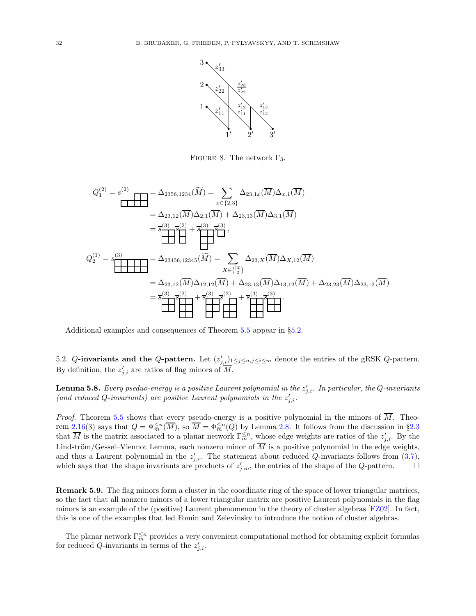

<span id="page-31-1"></span>FIGURE 8. The network  $\Gamma_3$ .

$$
Q_1^{(2)} = s^{(2)} \quad \text{where } \Delta_{2356,1234}(\widetilde{M}) = \sum_{x \in \{2,3\}} \Delta_{23,1x}(\overline{M}) \Delta_{x,1}(\overline{M})
$$
\n
$$
= \Delta_{23,12}(\overline{M}) \Delta_{2,1}(\overline{M}) + \Delta_{23,13}(\overline{M}) \Delta_{3,1}(\overline{M})
$$
\n
$$
= \overline{s}^{(3)} \overline{s}^{(2)} + \overline{s}^{(3)} \overline{s}^{(3)} \overline{M}
$$
\n
$$
Q_2^{(1)} = s \overline{\left(\prod_{i=1}^{(3)} \overline{M}\right)} = \Delta_{23456,12345}(\widetilde{M}) = \sum_{X \in \binom{[3]}{2}} \Delta_{23,X}(\overline{M}) \Delta_{X,12}(\overline{M})
$$
\n
$$
= \Delta_{23,12}(\overline{M}) \Delta_{12,12}(\overline{M}) + \Delta_{23,13}(\overline{M}) \Delta_{13,12}(\overline{M}) + \Delta_{23,23}(\overline{M}) \Delta_{23,12}(\overline{M})
$$
\n
$$
= \overline{s}^{(3)} \overline{s}^{(2)} + \overline{s}^{(3)} \overline{s}^{(2)} + \overline{s}^{(3)} \overline{s}^{(3)} \overline{s}^{(3)}.
$$

Additional examples and consequences of Theorem [5.5](#page-29-0) appear in §[5.2.](#page-31-0)

<span id="page-31-0"></span>5.2. Q-invariants and the Q-pattern. Let  $(z'_{j,i})_{1 \leq j \leq n, j \leq i \leq m}$  denote the entries of the gRSK Q-pattern. By definition, the  $z'_{j,i}$  are ratios of flag minors of  $\overline{M}$ .

<span id="page-31-2"></span>**Lemma 5.8.** Every pseduo-energy is a positive Laurent polynomial in the  $z'_{j,i}$ . In particular, the Q-invariants (and reduced Q-invariants) are positive Laurent polynomials in the  $z'_{j,i}$ .

*Proof.* Theorem [5.5](#page-29-0) shows that every pseudo-energy is a positive polynomial in the minors of  $\overline{M}$ . Theo-rem [2.16\(](#page-12-1)3) says that  $Q = \Psi_{\overline{m}}^{\leq n}(\overline{M})$ , so  $\overline{M} = \Phi_{\overline{m}}^{\leq n}(Q)$  by Lemma [2.8.](#page-10-1) It follows from the discussion in §[2.3](#page-8-0) that  $\overline{M}$  is the matrix associated to a planar network  $\Gamma_m^{\leq n}$ , whose edge weights are ratios of the  $z'_{j,i}$ . By the Lindström/Gessel–Viennot Lemma, each nonzero minor of  $\overline{M}$  is a positive polynomial in the edge weights, and thus a Laurent polynomial in the  $z'_{j,i}$ . The statement about reduced Q-invariants follows from [\(3.7\)](#page-17-4), which says that the shape invariants are products of  $z'_{j,m}$ , the entries of the shape of the Q-pattern.

Remark 5.9. The flag minors form a cluster in the coordinate ring of the space of lower triangular matrices, so the fact that all nonzero minors of a lower triangular matrix are positive Laurent polynomials in the flag minors is an example of the (positive) Laurent phenomenon in the theory of cluster algebras [\[FZ02\]](#page-49-27). In fact, this is one of the examples that led Fomin and Zelevinsky to introduce the notion of cluster algebras.

The planar network  $\Gamma_m^{\leq n}$  provides a very convenient computational method for obtaining explicit formulas for reduced Q-invariants in terms of the  $z'_{j,i}$ .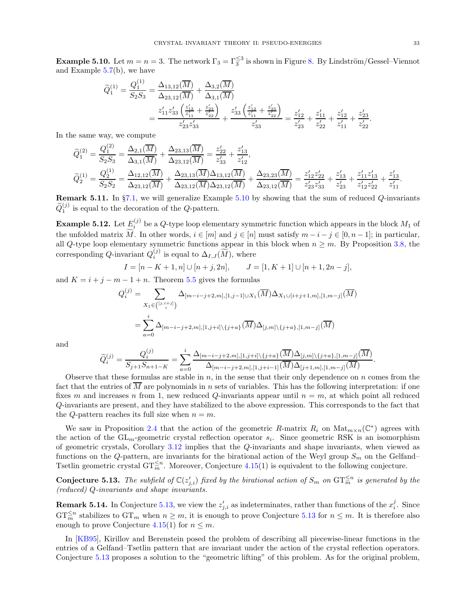<span id="page-32-0"></span>**Example 5.10.** Let  $m = n = 3$ . The network  $\Gamma_3 = \Gamma_3^{\leq 3}$  is shown in Figure [8.](#page-31-1) By Lindström/Gessel–Viennot and Example [5.7\(](#page-30-2)b), we have

$$
\begin{split} \widetilde{Q}_{1}^{(1)} &= \frac{Q_{1}^{(1)}}{S_{2}S_{3}} = \frac{\Delta_{13,12}(\overline{M})}{\Delta_{23,12}(\overline{M})} + \frac{\Delta_{3,2}(\overline{M})}{\Delta_{3,1}(\overline{M})} \\ &= \frac{z_{11}'z_{33}'\left(\frac{z_{12}'}{z_{11}} + \frac{z_{23}'}{z_{22}}\right)}{z_{23}'z_{33}'} + \frac{z_{33}'\left(\frac{z_{12}'}{z_{11}} + \frac{z_{23}'}{z_{22}}\right)}{z_{33}'} = \frac{z_{12}'}{z_{23}'} + \frac{z_{11}'}{z_{11}'} + \frac{z_{12}'}{z_{22}'} \end{split}
$$

In the same way, we compute

$$
\begin{aligned}\n\widetilde{Q}_{1}^{(2)} &= \frac{Q_{1}^{(2)}}{S_{2}S_{3}} = \frac{\Delta_{2,1}(\overline{M})}{\Delta_{3,1}(\overline{M})} + \frac{\Delta_{23,13}(\overline{M})}{\Delta_{23,12}(\overline{M})} = \frac{z'_{22}}{z'_{33}} + \frac{z'_{13}}{z'_{12}},\\
\widetilde{Q}_{2}^{(1)} &= \frac{Q_{2}^{(1)}}{S_{2}S_{2}} = \frac{\Delta_{12,12}(\overline{M})}{\Delta_{23,12}(\overline{M})} + \frac{\Delta_{23,13}(\overline{M})\Delta_{13,12}(\overline{M})}{\Delta_{23,12}(\overline{M})\Delta_{23,12}(\overline{M})} + \frac{\Delta_{23,23}(\overline{M})}{\Delta_{23,12}(\overline{M})} = \frac{z'_{12}z'_{22}}{z'_{23}z'_{33}} + \frac{z'_{13}}{z'_{12}} + \frac{z'_{11}z'_{13}}{z'_{12}z'_{22}} + \frac{z'_{13}}{z'_{11}}.\n\end{aligned}
$$

**Remark 5.11.** In §[7.1,](#page-40-1) we will generalize Example [5.10](#page-32-0) by showing that the sum of reduced  $Q$ -invariants  $\widetilde{Q}_1^{(j)}$  is equal to the decoration of the Q-pattern.

**Example 5.12.** Let  $E_i^{(j)}$  be a Q-type loop elementary symmetric function which appears in the block  $M_1$  of the unfolded matrix  $\widetilde{M}$ . In other words,  $i \in [m]$  and  $j \in [n]$  must satisfy  $m - i - j \in [0, n - 1]$ ; in particular, all Q-type loop elementary symmetric functions appear in this block when  $n \geq m$ . By Proposition [3.8,](#page-15-4) the corresponding Q-invariant  $Q_i^{(j)}$  $i^{(J)}$  is equal to  $\Delta_{I,J}(M)$ , where

$$
I = [n - K + 1, n] \cup [n + j, 2n], \qquad J = [1, K + 1] \cup [n + 1, 2n - j],
$$

and  $K = i + j - m - 1 + n$ . Theorem [5.5](#page-29-0) gives the formulas

$$
Q_i^{(j)} = \sum_{X_1 \in (j, i+j)} \Delta_{[m-i-j+2,m], [1, j-1] \cup X_1}(\overline{M}) \Delta_{X_1 \cup [i+j+1,m], [1, m-j]}(\overline{M})
$$
  
= 
$$
\sum_{a=0}^i \Delta_{[m-i-j+2,m], [1, j+i] \setminus \{j+a\}}(\overline{M}) \Delta_{[j,m] \setminus \{j+a\}, [1, m-j]}(\overline{M})
$$

and

$$
\widetilde{Q}_{i}^{(j)} = \frac{Q_{i}^{(j)}}{S_{j+1}S_{n+1-K}} = \sum_{a=0}^{i} \frac{\Delta_{[m-i-j+2,m], [1,j+i] \setminus \{j+a\}}(\overline{M}) \Delta_{[j,m] \setminus \{j+a\}, [1,m-j]}(\overline{M})}{\Delta_{[m-i-j+2,m], [1,j+i-1]}(\overline{M}) \Delta_{[j+1,m], [1,m-j]}(\overline{M})}
$$

Observe that these formulas are stable in  $n$ , in the sense that their only dependence on  $n$  comes from the fact that the entries of  $\overline{M}$  are polynomials in n sets of variables. This has the following interpretation: if one fixes m and increases n from 1, new reduced Q-invariants appear until  $n = m$ , at which point all reduced Q-invariants are present, and they have stabilized to the above expression. This corresponds to the fact that the Q-pattern reaches its full size when  $n = m$ .

We saw in Proposition [2.4](#page-7-2) that the action of the geometric R-matrix  $R_i$  on  $\text{Mat}_{m \times n}(\mathbb{C}^*)$  agrees with the action of the  $GL_m$ -geometric crystal reflection operator  $s_i$ . Since geometric RSK is an isomorphism of geometric crystals, Corollary [3.12](#page-17-2) implies that the Q-invariants and shape invariants, when viewed as functions on the Q-pattern, are invariants for the birational action of the Weyl group  $S_m$  on the Gelfand– Tsetlin geometric crystal  $\mathrm{GT}_m^{\leq n}$ . Moreover, Conjecture [4.15\(](#page-21-1)1) is equivalent to the following conjecture.

<span id="page-32-1"></span>**Conjecture 5.13.** The subfield of  $\mathbb{C}(z'_{j,i})$  fixed by the birational action of  $S_m$  on  $\mathrm{GT}_m^{\leq n}$  is generated by the (reduced) Q-invariants and shape invariants.

**Remark 5.14.** In Conjecture [5.13,](#page-32-1) we view the  $z'_{j,i}$  as indeterminates, rather than functions of the  $x_i^j$ . Since  $\mathrm{GT}_m^{\leq n}$  stabilizes to  $\mathrm{GT}_m$  when  $n \geq m$ , it is enough to prove Conjecture [5.13](#page-32-1) for  $n \leq m$ . It is therefore also enough to prove Conjecture [4.15\(](#page-21-1)1) for  $n \leq m$ .

In [\[KB95\]](#page-49-9), Kirillov and Berenstein posed the problem of describing all piecewise-linear functions in the entries of a Gelfand–Tsetlin pattern that are invariant under the action of the crystal reflection operators. Conjecture [5.13](#page-32-1) proposes a solution to the "geometric lifting" of this problem. As for the original problem,

.

.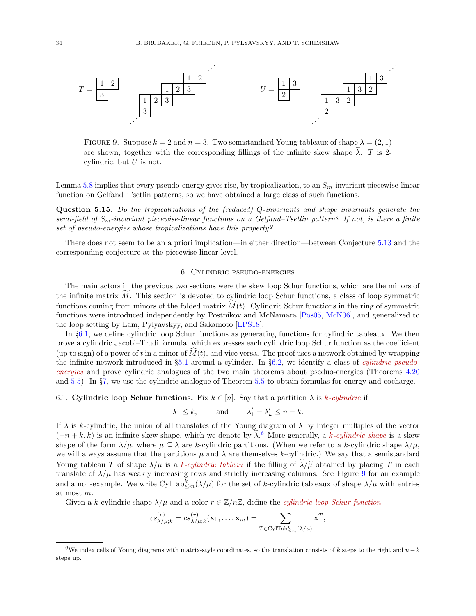

<span id="page-33-3"></span>FIGURE 9. Suppose  $k = 2$  and  $n = 3$ . Two semistandard Young tableaux of shape  $\lambda = (2, 1)$ are shown, together with the corresponding fillings of the infinite skew shape  $\tilde{\lambda}$ . T is 2cylindric, but  $U$  is not.

Lemma [5.8](#page-31-2) implies that every pseudo-energy gives rise, by tropicalization, to an  $S_m$ -invariant piecewise-linear function on Gelfand–Tsetlin patterns, so we have obtained a large class of such functions.

Question 5.15. Do the tropicalizations of the (reduced) Q-invariants and shape invariants generate the semi-field of  $S_m$ -invariant piecewise-linear functions on a Gelfand–Tsetlin pattern? If not, is there a finite set of pseudo-energies whose tropicalizations have this property?

<span id="page-33-0"></span>There does not seem to be an a priori implication—in either direction—between Conjecture [5.13](#page-32-1) and the corresponding conjecture at the piecewise-linear level.

### 6. Cylindric pseudo-energies

The main actors in the previous two sections were the skew loop Schur functions, which are the minors of the infinite matrix  $M$ . This section is devoted to cylindric loop Schur functions, a class of loop symmetric functions coming from minors of the folded matrix  $M(t)$ . Cylindric Schur functions in the ring of symmetric functions were introduced independently by Postnikov and McNamara [\[Pos05,](#page-50-13) [McN06\]](#page-50-14), and generalized to the loop setting by Lam, Pylyavskyy, and Sakamoto [\[LPS18\]](#page-49-14).

In §[6.1,](#page-33-1) we define cylindric loop Schur functions as generating functions for cylindric tableaux. We then prove a cylindric Jacobi–Trudi formula, which expresses each cylindric loop Schur function as the coefficient (up to sign) of a power of t in a minor of  $\tilde{M}(t)$ , and vice versa. The proof uses a network obtained by wrapping the infinite network introduced in  $\S5.1$  $\S5.1$  around a cylinder. In  $\S6.2$ , we identify a class of *cylindric pseudo*energies and prove cylindric analogues of the two main theorems about pseduo-energies (Theorems [4.20](#page-22-0) and [5.5\)](#page-29-0). In §[7,](#page-40-0) we use the cylindric analogue of Theorem [5.5](#page-29-0) to obtain formulas for energy and cocharge.

### <span id="page-33-1"></span>6.1. Cylindric loop Schur functions. Fix  $k \in [n]$ . Say that a partition  $\lambda$  is k-cylindric if

$$
\lambda_1 \leq k
$$
, and  $\lambda'_1 - \lambda'_k \leq n - k$ .

If  $\lambda$  is k-cylindric, the union of all translates of the Young diagram of  $\lambda$  by integer multiples of the vector  $(-n+k, k)$  is an infinite skew shape, which we denote by  $\tilde{\lambda}$ .<sup>[6](#page-33-2)</sup> More generally, a k-cylindric shape is a skew shape of the form  $\lambda/\mu$ , where  $\mu \subseteq \lambda$  are k-cylindric partitions. (When we refer to a k-cylindric shape  $\lambda/\mu$ , we will always assume that the partitions  $\mu$  and  $\lambda$  are themselves k-cylindric.) We say that a semistandard Young tableau T of shape  $\lambda/\mu$  is a k-cylindric tableau if the filling of  $\tilde{\lambda}/\tilde{\mu}$  obtained by placing T in each translate of  $\lambda/\mu$  has weakly increasing rows and strictly increasing columns. See Figure [9](#page-33-3) for an example and a non-example. We write CylTab<sup>k</sup><sub> $\leq m(\lambda/\mu)$ </sub> for the set of k-cylindric tableaux of shape  $\lambda/\mu$  with entries at most m.

Given a k-cylindric shape  $\lambda/\mu$  and a color  $r \in \mathbb{Z}/n\mathbb{Z}$ , define the *cylindric loop Schur function* 

$$
cs_{\lambda/\mu;k}^{(r)} = cs_{\lambda/\mu;k}^{(r)}(\mathbf{x}_1,\ldots,\mathbf{x}_m) = \sum_{T \in \text{CylTab}_{\leq m}^k(\lambda/\mu)} \mathbf{x}^T,
$$

<span id="page-33-2"></span><sup>&</sup>lt;sup>6</sup>We index cells of Young diagrams with matrix-style coordinates, so the translation consists of k steps to the right and  $n - k$ steps up.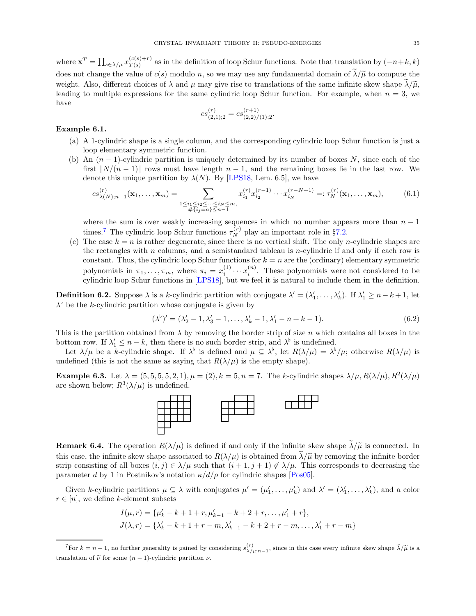where  $\mathbf{x}^T = \prod_{s \in \lambda/\mu} x_{T(s)}^{(c(s)+r)}$  $T(s)$ <sup>(c(s)+r)</sup> as in the definition of loop Schur functions. Note that translation by  $(-n+k, k)$ does not change the value of  $c(s)$  modulo n, so we may use any fundamental domain of  $\tilde{\lambda}/\tilde{\mu}$  to compute the weight. Also, different choices of  $\lambda$  and  $\mu$  may give rise to translations of the same infinite skew shape  $\tilde{\lambda}/\tilde{\mu}$ , leading to multiple expressions for the same cylindric loop Schur function. For example, when  $n = 3$ , we have

$$
cs_{(2,1);2}^{(r)} = cs_{(2,2)/(1);2}^{(r+1)}.
$$

### <span id="page-34-3"></span>Example 6.1.

- (a) A 1-cylindric shape is a single column, and the corresponding cylindric loop Schur function is just a loop elementary symmetric function.
- (b) An  $(n-1)$ -cylindric partition is uniquely determined by its number of boxes N, since each of the first  $|N/(n-1)|$  rows must have length  $n-1$ , and the remaining boxes lie in the last row. We denote this unique partition by  $\lambda(N)$ . By [\[LPS18,](#page-49-14) Lem. 6.5], we have

$$
cs_{\lambda(N);n-1}^{(r)}(\mathbf{x}_1,\ldots,\mathbf{x}_m) = \sum_{\substack{1 \le i_1 \le i_2 \le \cdots \le i_N \le m, \\ \#\{i_j = a\} \le n-1}} x_{i_1}^{(r)} x_{i_2}^{(r-1)} \cdots x_{i_N}^{(r-N+1)} =: \tau_N^{(r)}(\mathbf{x}_1,\ldots,\mathbf{x}_m),
$$
(6.1)

where the sum is over weakly increasing sequences in which no number appears more than  $n - 1$ times.<sup>[7](#page-34-0)</sup> The cylindric loop Schur functions  $\tau_N^{(r)}$  play an important role in §[7.2.](#page-42-0)

(c) The case  $k = n$  is rather degenerate, since there is no vertical shift. The only *n*-cylindric shapes are the rectangles with n columns, and a semistandard tableau is n-cylindric if and only if each row is constant. Thus, the cylindric loop Schur functions for  $k = n$  are the (ordinary) elementary symmetric polynomials in  $\pi_1, \ldots, \pi_m$ , where  $\pi_i = x_i^{(1)}$  $x_i^{(1)} \cdots x_i^{(n)}$  $i^{(n)}$ . These polynomials were not considered to be cylindric loop Schur functions in [\[LPS18\]](#page-49-14), but we feel it is natural to include them in the definition.

**Definition 6.2.** Suppose  $\lambda$  is a k-cylindric partition with conjugate  $\lambda' = (\lambda'_1, \dots, \lambda'_k)$ . If  $\lambda'_1 \ge n - k + 1$ , let  $\lambda^{\flat}$  be the k-cylindric partition whose conjugate is given by

$$
(\lambda^{\flat})' = (\lambda_2' - 1, \lambda_3' - 1, \dots, \lambda_k' - 1, \lambda_1' - n + k - 1).
$$
 (6.2)

This is the partition obtained from  $\lambda$  by removing the border strip of size n which contains all boxes in the bottom row. If  $\lambda'_1 \leq n - k$ , then there is no such border strip, and  $\lambda^{\flat}$  is undefined.

Let  $\lambda/\mu$  be a k-cylindric shape. If  $\lambda^{\flat}$  is defined and  $\mu \subseteq \lambda^{\flat}$ , let  $R(\lambda/\mu) = \lambda^{\flat}/\mu$ ; otherwise  $R(\lambda/\mu)$  is undefined (this is not the same as saying that  $R(\lambda/\mu)$  is the empty shape).

<span id="page-34-2"></span>**Example 6.3.** Let  $\lambda = (5, 5, 5, 5, 2, 1), \mu = (2), k = 5, n = 7$ . The k-cylindric shapes  $\lambda/\mu$ ,  $R(\lambda/\mu)$ ,  $R^2(\lambda/\mu)$ are shown below;  $R^3(\lambda/\mu)$  is undefined.



<span id="page-34-1"></span>**Remark 6.4.** The operation  $R(\lambda/\mu)$  is defined if and only if the infinite skew shape  $\tilde{\lambda}/\tilde{\mu}$  is connected. In this case, the infinite skew shape associated to  $R(\lambda/\mu)$  is obtained from  $\tilde{\lambda}/\tilde{\mu}$  by removing the infinite border strip consisting of all boxes  $(i, j) \in \lambda/\mu$  such that  $(i + 1, j + 1) \notin \lambda/\mu$ . This corresponds to decreasing the parameter d by 1 in Postnikov's notation  $\kappa/d/\rho$  for cylindric shapes [\[Pos05\]](#page-50-13).

Given k-cylindric partitions  $\mu \subseteq \lambda$  with conjugates  $\mu' = (\mu'_1, \dots, \mu'_k)$  and  $\lambda' = (\lambda'_1, \dots, \lambda'_k)$ , and a color  $r \in [n]$ , we define k-element subsets

$$
I(\mu, r) = \{\mu'_k - k + 1 + r, \mu'_{k-1} - k + 2 + r, \dots, \mu'_1 + r\},
$$
  

$$
J(\lambda, r) = \{\lambda'_k - k + 1 + r - m, \lambda'_{k-1} - k + 2 + r - m, \dots, \lambda'_1 + r - m\}
$$

<span id="page-34-0"></span><sup>&</sup>lt;sup>7</sup>For  $k = n - 1$ , no further generality is gained by considering  $s_{\lambda/\mu;n-1}^{(r)}$ , since in this case every infinite skew shape  $\tilde{\lambda}/\tilde{\mu}$  is a translation of  $\tilde{\nu}$  for some  $(n-1)$ -cylindric partition  $\nu$ .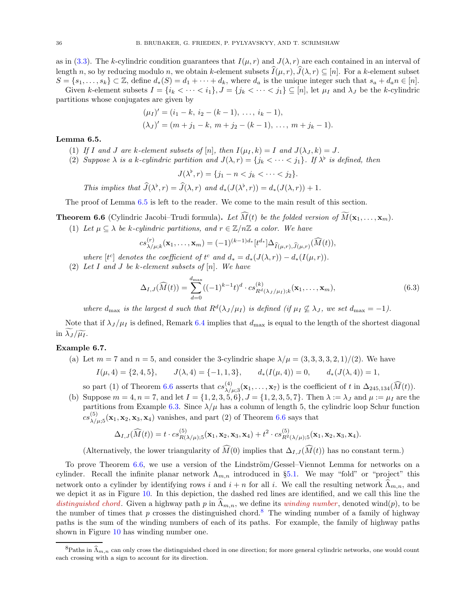as in [\(3.3\)](#page-15-5). The k-cylindric condition guarantees that  $I(\mu, r)$  and  $J(\lambda, r)$  are each contained in an interval of length n, so by reducing modulo n, we obtain k-element subsets  $\tilde{I}(\mu, r), \tilde{J}(\lambda, r) \subseteq [n]$ . For a k-element subset  $S = \{s_1, \ldots, s_k\} \subset \mathbb{Z}$ , define  $d_*(S) = d_1 + \cdots + d_k$ , where  $d_a$  is the unique integer such that  $s_a + d_a n \in [n]$ . Given k-element subsets  $I = \{i_k < \cdots < i_1\}$ ,  $J = \{j_k < \cdots < j_1\} \subseteq [n]$ , let  $\mu_I$  and  $\lambda_J$  be the k-cylindric

partitions whose conjugates are given by

$$
(\mu_I)' = (i_1 - k, i_2 - (k - 1), \dots, i_k - 1),
$$
  

$$
(\lambda_J)' = (m + j_1 - k, m + j_2 - (k - 1), \dots, m + j_k - 1).
$$

#### <span id="page-35-0"></span>Lemma 6.5.

- (1) If I and J are k-element subsets of [n], then  $I(\mu_I, k) = I$  and  $J(\lambda_J, k) = J$ .
- (2) Suppose  $\lambda$  is a k-cylindric partition and  $J(\lambda, r) = \{j_k < \cdots < j_1\}$ . If  $\lambda^{\flat}$  is defined, then

$$
J(\lambda^{\flat},r)=\{j_1-n
$$

This implies that  $\widehat{J}(\lambda^{\flat}, r) = \widehat{J}(\lambda, r)$  and  $d_*(J(\lambda^{\flat}, r)) = d_*(J(\lambda, r)) + 1$ .

The proof of Lemma [6.5](#page-35-0) is left to the reader. We come to the main result of this section.

<span id="page-35-1"></span>**Theorem 6.6** (Cylindric Jacobi–Trudi formula). Let  $\widehat{M}(t)$  be the folded version of  $\widetilde{M}(\mathbf{x}_1, \ldots, \mathbf{x}_m)$ .

(1) Let  $\mu \subset \lambda$  be k-cylindric partitions, and  $r \in \mathbb{Z}/n\mathbb{Z}$  a color. We have

$$
cs_{\lambda/\mu;k}^{(r)}(\mathbf{x}_1,\ldots,\mathbf{x}_m) = (-1)^{(k-1)d_*} [t^{d_*}] \Delta_{\widehat{I}(\mu,r),\widehat{J}(\mu,r)}(\widehat{M}(t)),
$$

- where  $[t<sup>c</sup>]$  denotes the coefficient of  $t<sup>c</sup>$  and  $d_* = d_*(J(\lambda, r)) d_*(I(\mu, r)).$
- (2) Let I and J be k-element subsets of  $[n]$ . We have

$$
\Delta_{I,J}(\widehat{M}(t)) = \sum_{d=0}^{d_{\max}} ((-1)^{k-1}t)^d \cdot cs_{R^d(\lambda_J/\mu_I);k}^{(k)}(\mathbf{x}_1,\ldots,\mathbf{x}_m),
$$
\n(6.3)

where  $d_{\text{max}}$  is the largest d such that  $R^d(\lambda_J/\mu_I)$  is defined (if  $\mu_I \not\subseteq \lambda_J$ , we set  $d_{\text{max}} = -1$ ).

Note that if  $\lambda_J/\mu_I$  is defined, Remark [6.4](#page-34-1) implies that  $d_{\text{max}}$  is equal to the length of the shortest diagonal in  $\lambda_J / \widetilde{\mu_I}$ .

#### <span id="page-35-3"></span>Example 6.7.

(a) Let  $m = 7$  and  $n = 5$ , and consider the 3-cylindric shape  $\lambda/\mu = (3, 3, 3, 3, 2, 1)/(2)$ . We have

$$
I(\mu, 4) = \{2, 4, 5\}, \qquad J(\lambda, 4) = \{-1, 1, 3\}, \qquad d_*(I(\mu, 4)) = 0, \qquad d_*(J(\lambda, 4)) = 1,
$$

so part (1) of Theorem [6.6](#page-35-1) asserts that  $cs_{\lambda/\mu;3}^{(4)}(\mathbf{x}_1,\ldots,\mathbf{x}_7)$  is the coefficient of t in  $\Delta_{245,134}(\widehat{M}(t)).$ 

(b) Suppose  $m = 4, n = 7$ , and let  $I = \{1, 2, 3, 5, 6\}, J = \{1, 2, 3, 5, 7\}.$  Then  $\lambda := \lambda_J$  and  $\mu := \mu_I$  are the partitions from Example [6.3.](#page-34-2) Since  $\lambda/\mu$  has a column of length 5, the cylindric loop Schur function  $cs_{\lambda/\mu,5}^{(5)}(\mathbf{x}_1,\mathbf{x}_2,\mathbf{x}_3,\mathbf{x}_4)$  vanishes, and part (2) of Theorem [6.6](#page-35-1) says that

$$
\Delta_{I,J}(\widehat{M}(t)) = t \cdot cs_{R(\lambda/\mu);5}^{(5)}(\mathbf{x}_1, \mathbf{x}_2, \mathbf{x}_3, \mathbf{x}_4) + t^2 \cdot cs_{R^2(\lambda/\mu);5}^{(5)}(\mathbf{x}_1, \mathbf{x}_2, \mathbf{x}_3, \mathbf{x}_4).
$$

(Alternatively, the lower triangularity of  $\widehat{M}(0)$  implies that  $\Delta_{I,J}(\widehat{M}(t))$  has no constant term.)

To prove Theorem  $6.6$ , we use a version of the Lindström/Gessel–Viennot Lemma for networks on a cylinder. Recall the infinite planar network  $\Lambda_{m,n}$  introduced in §[5.1.](#page-26-1) We may "fold" or "project" this network onto a cylinder by identifying rows i and  $i + n$  for all i. We call the resulting network  $\widehat{\Lambda}_{m,n}$ , and we depict it as in Figure [10.](#page-36-0) In this depiction, the dashed red lines are identified, and we call this line the distinguished chord. Given a highway path p in  $\Lambda_{m,n}$ , we define its winding number, denoted wind(p), to be the number of times that p crosses the distinguished chord.<sup>[8](#page-35-2)</sup> The winding number of a family of highway paths is the sum of the winding numbers of each of its paths. For example, the family of highway paths shown in Figure [10](#page-36-0) has winding number one.

<span id="page-35-2"></span><sup>&</sup>lt;sup>8</sup>Paths in  $\hat{\Lambda}_{m,n}$  can only cross the distinguished chord in one direction; for more general cylindric networks, one would count each crossing with a sign to account for its direction.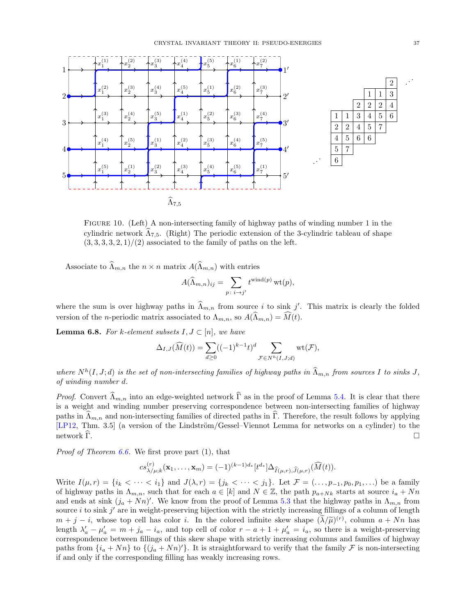

<span id="page-36-0"></span>Figure 10. (Left) A non-intersecting family of highway paths of winding number 1 in the cylindric network  $\Lambda_{7,5}$ . (Right) The periodic extension of the 3-cylindric tableau of shape  $(3, 3, 3, 3, 2, 1)/(2)$  associated to the family of paths on the left.

Associate to  $\widehat{\Lambda}_{m,n}$  the  $n \times n$  matrix  $A(\widehat{\Lambda}_{m,n})$  with entries

$$
A(\widehat{\Lambda}_{m,n})_{ij} = \sum_{p \colon i \to j'} t^{\text{wind}(p)} \operatorname{wt}(p),
$$

where the sum is over highway paths in  $\widehat{\Lambda}_{m,n}$  from source i to sink j'. This matrix is clearly the folded version of the *n*-periodic matrix associated to  $\Lambda_{m,n}$ , so  $A(\widehat{\Lambda}_{m,n}) = \widehat{M}(t)$ .

<span id="page-36-1"></span>**Lemma 6.8.** For k-element subsets  $I, J \subset [n]$ , we have

$$
\Delta_{I,J}(\widehat{M}(t)) = \sum_{d \ge 0} ((-1)^{k-1}t)^d \sum_{\mathcal{F} \in N^h(I,J;d)} \mathrm{wt}(\mathcal{F}),
$$

where  $N^h(I, J; d)$  is the set of non-intersecting families of highway paths in  $\widehat{\Lambda}_{m,n}$  from sources I to sinks J, of winding number d.

*Proof.* Convert  $\widehat{\Lambda}_{m,n}$  into an edge-weighted network  $\widehat{\Gamma}$  as in the proof of Lemma [5.4.](#page-27-0) It is clear that there is a weight and winding number preserving correspondence between non-intersecting families of highway paths in  $\hat{\Lambda}_{m,n}$  and non-intersecting families of directed paths in  $\hat{\Gamma}$ . Therefore, the result follows by applying [\[LP12,](#page-49-12) Thm. 3.5] (a version of the Lindström/Gessel–Viennot Lemma for networks on a cylinder) to the network  $\widehat{\Gamma}$ .

*Proof of Theorem [6.6.](#page-35-1)* We first prove part  $(1)$ , that

$$
cs_{\lambda/\mu;k}^{(r)}(\mathbf{x}_1,\ldots,\mathbf{x}_m) = (-1)^{(k-1)d_*}[t^{d_*}] \Delta_{\widehat{I}(\mu,r),\widehat{J}(\mu,r)}(\widehat{M}(t)).
$$

Write  $I(\mu, r) = \{i_k < \cdots < i_1\}$  and  $J(\lambda, r) = \{j_k < \cdots < j_1\}$ . Let  $\mathcal{F} = (\ldots, p_{-1}, p_0, p_1, \ldots)$  be a family of highway paths in  $\Lambda_{m,n}$ , such that for each  $a \in [k]$  and  $N \in \mathbb{Z}$ , the path  $p_{a+Nk}$  starts at source  $i_a + Nn$ and ends at sink  $(j_a + Nn)'$ . We know from the proof of Lemma [5.3](#page-27-1) that the highway paths in  $\Lambda_{m,n}$  from source *i* to sink  $j'$  are in weight-preserving bijection with the strictly increasing fillings of a column of length  $m + j - i$ , whose top cell has color i. In the colored infinite skew shape  $(\tilde{\lambda}/\tilde{\mu})^{(r)}$ , column  $a + Nn$  has length  $\lambda'_a - \mu'_a = m + j_a - i_a$ , and top cell of color  $r - a + 1 + \mu'_a = i_a$ , so there is a weight-preserving correspondence between fillings of this skew shape with strictly increasing columns and families of highway paths from  $\{i_a + Nn\}$  to  $\{(j_a + Nn)'\}$ . It is straightforward to verify that the family F is non-intersecting if and only if the corresponding filling has weakly increasing rows.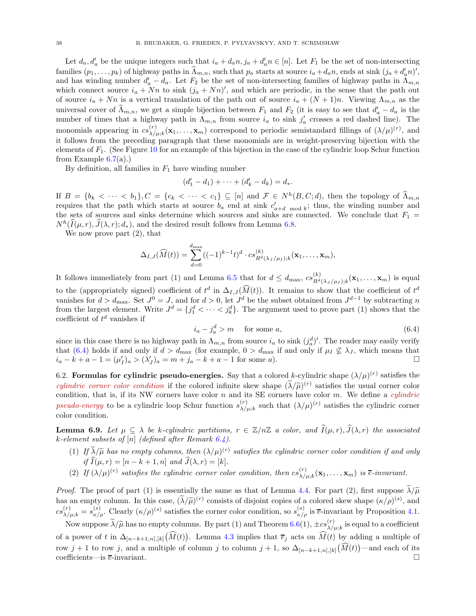Let  $d_a, d'_a$  be the unique integers such that  $i_a + d_a n, j_a + d'_a n \in [n]$ . Let  $F_1$  be the set of non-intersecting families  $(p_1, \ldots, p_k)$  of highway paths in  $\hat{\Lambda}_{m,n}$ , such that  $p_a$  starts at source  $i_a + d_a n$ , ends at sink  $(j_a + d'_a n)'$ , and has winding number  $d'_a - d_a$ . Let  $F_2$  be the set of non-intersecting families of highway paths in  $\Lambda_{m,n}$ which connect source  $i_a + Nn$  to sink  $(j_a + Nn)'$ , and which are periodic, in the sense that the path out of source  $i_a + Nn$  is a vertical translation of the path out of source  $i_a + (N + 1)n$ . Viewing  $\Lambda_{m,n}$  as the universal cover of  $\widehat{\Lambda}_{m,n}$ , we get a simple bijection between  $F_1$  and  $F_2$  (it is easy to see that  $d'_a - d_a$  is the number of times that a highway path in  $\Lambda_{m,n}$  from source  $i_a$  to sink  $j'_a$  crosses a red dashed line). The monomials appearing in  $cs_{\lambda/\lambda}^{(r)}$  $\chi_{\mu;k}^{(r)}(\mathbf{x}_1,\ldots,\mathbf{x}_m)$  correspond to periodic semistandard fillings of  $(\lambda/\mu)^{(r)}$ , and it follows from the preceding paragraph that these monomials are in weight-preserving bijection with the elements of  $F_1$ . (See Figure [10](#page-36-0) for an example of this bijection in the case of the cylindric loop Schur function from Example  $6.7(a)$  $6.7(a)$ .)

By definition, all families in  $F_1$  have winding number

$$
(d'_1 - d_1) + \cdots + (d'_k - d_k) = d_*.
$$

If  $B = \{b_k < \cdots < b_1\}$ ,  $C = \{c_k < \cdots < c_1\} \subseteq [n]$  and  $\mathcal{F} \in N^h(B, C; d)$ , then the topology of  $\widehat{\Lambda}_{m,n}$ requires that the path which starts at source  $b_a$  end at sink  $c'_{a+d \mod k}$ ; thus, the winding number and the sets of sources and sinks determine which sources and sinks are connected. We conclude that  $F_1$  =  $N^h(\tilde{I}(\mu, r), \tilde{J}(\lambda, r); d_*)$ , and the desired result follows from Lemma [6.8.](#page-36-1)

We now prove part (2), that

$$
\Delta_{I,J}(\widehat{M}(t)) = \sum_{d=0}^{d_{\max}} ((-1)^{k-1}t)^d \cdot cs_{R^d(\lambda_J/\mu_I);k}^{(k)}(\mathbf{x}_1,\ldots,\mathbf{x}_m),
$$

It follows immediately from part (1) and Lemma [6.5](#page-35-0) that for  $d \leq d_{\text{max}}$ ,  $cs_{Rd}^{(k)}$  $R^{(k)}_{R^{d}(\lambda_{J}/\mu_{I});k}(\mathbf{x}_{1},\ldots,\mathbf{x}_{m})$  is equal to the (appropriately signed) coefficient of  $t^d$  in  $\Delta_{I,J}(\tilde{M}(t))$ . It remains to show that the coefficient of  $t^d$ vanishes for  $d > d_{\text{max}}$ . Set  $J^0 = J$ , and for  $d > 0$ , let  $J^d$  be the subset obtained from  $J^{d-1}$  by subtracting n from the largest element. Write  $J^d = \{j_1^d < \cdots < j_k^d\}$ . The argument used to prove part (1) shows that the coefficient of  $t^d$  vanishes if

<span id="page-37-1"></span>
$$
i_a - j_a^d > m \quad \text{for some } a,
$$
\n<sup>(6.4)</sup>

since in this case there is no highway path in  $\Lambda_{m,n}$  from source  $i_a$  to sink  $(j_a^d)'$ . The reader may easily verify that [\(6.4\)](#page-37-1) holds if and only if  $d > d_{\text{max}}$  (for example,  $0 > d_{\text{max}}$  if and only if  $\mu_I \nsubseteq \lambda_J$ , which means that  $i_a - k + a - 1 = (\mu'_I)_a > (\lambda'_J)_a = m + j_a - k + a - 1$  for some a).

<span id="page-37-0"></span>6.2. Formulas for cylindric pseudo-energies. Say that a colored k-cylindric shape  $(\lambda/\mu)^{(r)}$  satisfies the cylindric corner color condition if the colored infinite skew shape  $({\lambda}/{\tilde{\mu}})^{(r)}$  satisfies the usual corner color condition, that is, if its NW corners have color  $n$  and its SE corners have color  $m$ . We define a *cylindric* pseudo-energy to be a cylindric loop Schur function  $s_{\lambda/\lambda}^{(r)}$  $\chi_{\mu;k}^{(r)}$  such that  $(\lambda/\mu)^{(r)}$  satisfies the cylindric corner color condition.

**Lemma 6.9.** Let  $\mu \subseteq \lambda$  be k-cylindric partitions,  $r \in \mathbb{Z}/n\mathbb{Z}$  a color, and  $\widehat{I}(\mu, r), \widehat{J}(\lambda, r)$  the associated k-element subsets of  $[n]$  (defined after Remark [6.4\)](#page-34-1).

- (1) If  $\lambda/\tilde{\mu}$  has no empty columns, then  $(\lambda/\mu)^{(r)}$  satisfies the cylindric corner color condition if and only if  $\widehat{I}(\mu, r) = [n - k + 1, n]$  and  $\widehat{J}(\lambda, r) = [k]$ .
- (2) If  $(\lambda/\mu)^{(r)}$  satisfies the cylindric corner color condition, then  $cs_{\lambda/\mu}^{(r)}$  $\chi_{\mu;k}^{(r)}(\mathbf{x}_1,\ldots,\mathbf{x}_m)$  is  $\overline{e}$ -invariant.

*Proof.* The proof of part (1) is essentially the same as that of Lemma [4.4.](#page-18-2) For part (2), first suppose  $\lambda/\tilde{\mu}$ has an empty column. In this case,  $(\lambda/\tilde{\mu})^{(r)}$  consists of disjoint copies of a colored skew shape  $(\kappa/\rho)^{(s)}$ , and  $cs_{\lambda/\mu;k}^{(r)} = s_{\kappa/\rho}^{(s)}$ . Clearly  $(\kappa/\rho)^{(s)}$  satisfies the corner color condition, so  $s_{\kappa/\rho}^{(s)}$  is  $\bar{e}$ -invariant by Proposition [4.1.](#page-18-1)

Now suppose  $\tilde{\lambda}/\tilde{\mu}$  has no empty columns. By part (1) and Theorem [6.6\(](#page-35-1)1),  $\pm cs_{\lambda/\mu}^{(r)}$  $\chi^{(r)}_{\lambda/\mu;k}$  is equal to a coefficient of a power of t in  $\Delta_{[n-k+1,n],[k]}(\widehat{M}(t))$ . Lemma [4.3](#page-18-4) implies that  $\overline{e}_j$  acts on  $\widehat{M}(t)$  by adding a multiple of row  $j + 1$  to row j, and a multiple of column j to column  $j + 1$ , so  $\Delta_{[n-k+1,n],[k]}(\widehat{M}(t))$ —and each of its coefficients—is  $\overline{e}$ -invariant.  $\Box$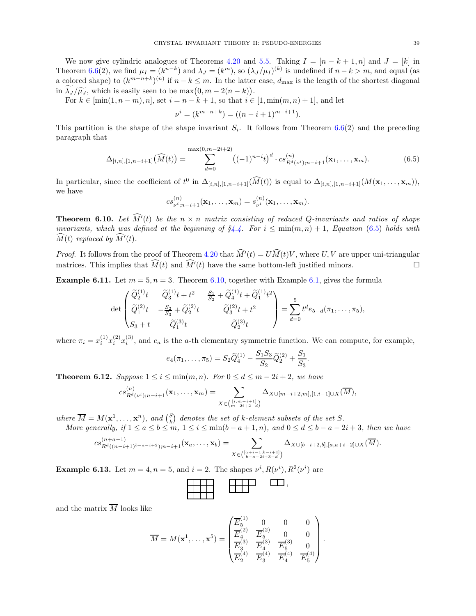We now give cylindric analogues of Theorems [4.20](#page-22-0) and [5.5.](#page-29-0) Taking  $I = [n - k + 1, n]$  and  $J = [k]$  in Theorem [6.6\(](#page-35-1)2), we find  $\mu_I = (k^{n-k})$  and  $\lambda_J = (k^m)$ , so  $(\lambda_J/\mu_I)^{(k)}$  is undefined if  $n-k > m$ , and equal (as a colored shape) to  $(k^{m-n+k})^{(n)}$  if  $n-k \leq m$ . In the latter case,  $d_{\text{max}}$  is the length of the shortest diagonal in  $\widetilde{\lambda}_J/\widetilde{\mu}_J$ , which is easily seen to be  $\max(0, m-2(n-k))$ .

For  $k \in [\min(1, n-m), n]$ , set  $i = n - k + 1$ , so that  $i \in [1, \min(m, n) + 1]$ , and let

$$
\nu^{i} = (k^{m-n+k}) = ((n-i+1)^{m-i+1}).
$$

This partition is the shape of the shape invariant  $S_i$ . It follows from Theorem [6.6\(](#page-35-1)2) and the preceding paragraph that

<span id="page-38-1"></span>
$$
\Delta_{[i,n],[1,n-i+1]}(\widehat{M}(t)) = \sum_{d=0}^{\max(0,m-2i+2)} \left( (-1)^{n-i} t \right)^d \cdot cs_{R^d(\nu^i);n-i+1}^{(n)}(\mathbf{x}_1,\ldots,\mathbf{x}_m). \tag{6.5}
$$

In particular, since the coefficient of  $t^0$  in  $\Delta_{[i,n],[1,n-i+1]}(\tilde{M}(t))$  is equal to  $\Delta_{[i,n],[1,n-i+1]}(M(\mathbf{x}_1,\ldots,\mathbf{x}_m)),$ we have

$$
cs_{\nu^{i};n-i+1}^{(n)}(\mathbf{x}_{1},\ldots,\mathbf{x}_{m})=s_{\nu^{i}}^{(n)}(\mathbf{x}_{1},\ldots,\mathbf{x}_{m}).
$$

<span id="page-38-2"></span>**Theorem 6.10.** Let  $\hat{M}'(t)$  be the  $n \times n$  matrix consisting of reduced Q-invariants and ratios of shape invariants, which was defined at the beginning of  $\S 4.4$ . For  $i \leq \min(m, n) + 1$ , Equation [\(6.5\)](#page-38-1) holds with  $\widehat{M}(t)$  replaced by  $\widehat{M}'(t)$ .

*Proof.* It follows from the proof of Theorem [4.20](#page-22-0) that  $\hat{M}'(t) = U\hat{M}(t)V$ , where U, V are upper uni-triangular matrices. This implies that  $\widehat{M}(t)$  and  $\widehat{M}'(t)$  have the same bottom-left justified minors.

**Example 6.11.** Let  $m = 5$ ,  $n = 3$ . Theorem [6.10,](#page-38-2) together with Example [6.1,](#page-34-3) gives the formula

$$
\det \begin{pmatrix} \widetilde{Q}_2^{(1)}t & \widetilde{Q}_3^{(1)}t + t^2 & \frac{S_1}{S_2} + \widetilde{Q}_4^{(1)}t + \widetilde{Q}_1^{(1)}t^2 \\ \widetilde{Q}_1^{(2)}t & -\frac{S_2}{S_3} + \widetilde{Q}_2^{(2)}t & \widetilde{Q}_3^{(2)}t + t^2 \\ S_3 + t & \widetilde{Q}_1^{(3)}t & \widetilde{Q}_2^{(3)}t \end{pmatrix} = \sum_{d=0}^5 t^d e_{5-d}(\pi_1, \dots, \pi_5),
$$

where  $\pi_i = x_i^{(1)}$  $\binom{1}{i}x_i^{(2)}$  $\binom{2}{i}x_i^{(3)}$  $i_j^{(5)}$ , and  $e_a$  is the a-th elementary symmetric function. We can compute, for example,

$$
e_4(\pi_1,\ldots,\pi_5)=S_2\widetilde{Q}_4^{(1)}-\frac{S_1S_3}{S_2}\widetilde{Q}_2^{(2)}+\frac{S_1}{S_3}.
$$

<span id="page-38-0"></span>**Theorem 6.12.** Suppose  $1 \leq i \leq \min(m, n)$ . For  $0 \leq d \leq m - 2i + 2$ , we have

$$
cs_{R^d(\nu^i);n-i+1}^{(n)}(\mathbf{x}_1,\ldots,\mathbf{x}_m)=\sum_{X\in\binom{[i,m-i+1]}{m-2i+2-d}}\Delta_{X\cup[m-i+2,m],[1,i-1]\cup X}(\overline{M}),
$$

where  $\overline{M} = M(\mathbf{x}^1, \dots, \mathbf{x}^n)$ , and  $\binom{S}{k}$  denotes the set of k-element subsets of the set S.

More generally, if  $1 \le a \le b \le m$ ,  $1 \le i \le \min(b-a+1,n)$ , and  $0 \le d \le b-a-2i+3$ , then we have

$$
cs_{R^d((n-i+1)^{b-a-i+2});n-i+1}^{(n+a-1)}(\mathbf{x}_a,\ldots,\mathbf{x}_b)=\sum_{X\in\binom{[a+i-1,b-i+1]}{b-a-2i+3-d}}\Delta_{X\cup[b-i+2,b],[a,a+i-2]\cup X}(\overline{M}).
$$

<span id="page-38-3"></span>**Example 6.13.** Let  $m = 4, n = 5$ , and  $i = 2$ . The shapes  $\nu^{i}$ ,  $R(\nu^{i})$ ,  $R^{2}(\nu^{i})$  are

$$
\begin{array}{|c|c|c|c|c|}\hline \text{HHH} & \text{HHH} & \text{GUT}, \\\hline \text{HHH} & \text{HTT} & \text{GUT}, \\\hline \end{array}
$$

and the matrix  $\overline{M}$  looks like

$$
\overline{M} = M(\mathbf{x}^1, \dots, \mathbf{x}^5) = \begin{pmatrix} \overline{E}_5^{(1)} & 0 & 0 & 0 \\ \overline{E}_4^{(2)} & \overline{E}_5^{(2)} & 0 & 0 \\ \overline{E}_3^{(3)} & \overline{E}_4^{(3)} & \overline{E}_5^{(3)} & 0 \\ \overline{E}_2^{(4)} & \overline{E}_3^{(4)} & \overline{E}_4^{(4)} & \overline{E}_5^{(4)} \end{pmatrix}.
$$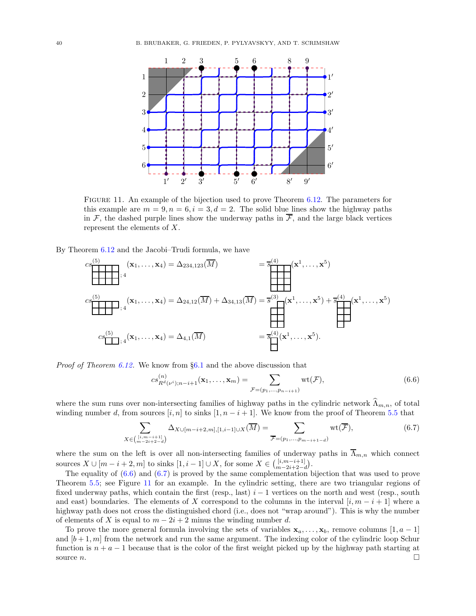

<span id="page-39-2"></span>Figure 11. An example of the bijection used to prove Theorem [6.12.](#page-38-0) The parameters for this example are  $m = 9, n = 6, i = 3, d = 2$ . The solid blue lines show the highway paths in  $\mathcal{F}$ , the dashed purple lines show the underway paths in  $\overline{\mathcal{F}}$ , and the large black vertices represent the elements of X.

By Theorem [6.12](#page-38-0) and the Jacobi–Trudi formula, we have

$$
cs_{3}^{(5)}(x_{1},...,x_{4}) = \Delta_{234,123}(\overline{M}) = \overline{s}_{3}^{(4)}(x^{1},...,x^{5})
$$
  

$$
cs_{3}^{(5)}(x_{1},...,x_{4}) = \Delta_{24,12}(\overline{M}) + \Delta_{34,13}(\overline{M}) = \overline{s}^{(3)}(x^{1},...,x^{5}) + \overline{s}^{(4)}(x^{1},...,x^{5})
$$
  

$$
cs_{1}^{(5)}(x_{1},...,x_{4}) = \Delta_{4,1}(\overline{M}) = \overline{s}^{(4)}(x^{1},...,x^{5}).
$$

*Proof of Theorem [6.12.](#page-38-0)* We know from  $\S6.1$  $\S6.1$  and the above discussion that

<span id="page-39-0"></span>
$$
cs_{R^{d}(\nu^{i});n-i+1}^{(n)}(\mathbf{x}_{1},\ldots,\mathbf{x}_{m})=\sum_{\mathcal{F}=(p_{1},\ldots,p_{n-i+1})}\mathrm{wt}(\mathcal{F}),
$$
\n(6.6)

where the sum runs over non-intersecting families of highway paths in the cylindric network  $\Lambda_{m,n}$ , of total winding number d, from sources [i, n] to sinks  $[1, n - i + 1]$ . We know from the proof of Theorem [5.5](#page-29-0) that

<span id="page-39-1"></span>
$$
\sum_{X \in \binom{[i,m-i+1]}{m-2i+2-d}} \Delta_{X \cup [m-i+2,m], [1,i-1] \cup X}(\overline{M}) = \sum_{\overline{\mathcal{F}} = (p_1, \dots, p_{m-i+1-d})} \text{wt}(\overline{\mathcal{F}}),\tag{6.7}
$$

where the sum on the left is over all non-intersecting families of underway paths in  $\overline{\Lambda}_{m,n}$  which connect sources  $X \cup [m - i + 2, m]$  to sinks  $[1, i - 1] \cup X$ , for some  $X \in \binom{[i, m - i + 1]}{m - 2i + 2 - d}$ .

The equality of [\(6.6\)](#page-39-0) and [\(6.7\)](#page-39-1) is proved by the same complementation bijection that was used to prove Theorem [5.5;](#page-29-0) see Figure [11](#page-39-2) for an example. In the cylindric setting, there are two triangular regions of fixed underway paths, which contain the first (resp., last)  $i - 1$  vertices on the north and west (resp., south and east) boundaries. The elements of X correspond to the columns in the interval  $[i, m - i + 1]$  where a highway path does not cross the distinguished chord (i.e., does not "wrap around"). This is why the number of elements of X is equal to  $m - 2i + 2$  minus the winding number d.

To prove the more general formula involving the sets of variables  $x_a, \ldots, x_b$ , remove columns [1, a – 1] and  $[b+1, m]$  from the network and run the same argument. The indexing color of the cylindric loop Schur function is  $n + a - 1$  because that is the color of the first weight picked up by the highway path starting at source  $n$ .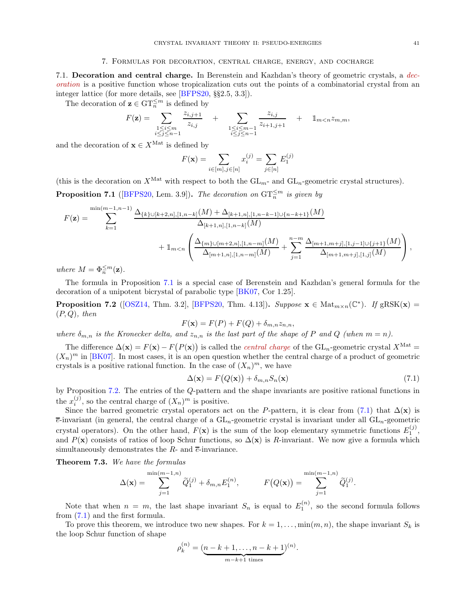#### 7. Formulas for decoration, central charge, energy, and cocharge

<span id="page-40-1"></span><span id="page-40-0"></span>7.1. Decoration and central charge. In Berenstein and Kazhdan's theory of geometric crystals, a decoration is a positive function whose tropicalization cuts out the points of a combinatorial crystal from an integer lattice (for more details, see [\[BFPS20,](#page-48-4) §§2.5, 3.3]).

The decoration of  $\mathbf{z} \in \mathrm{GT}_n^{\leq m}$  is defined by

$$
F(\mathbf{z}) = \sum_{\substack{1 \le i \le m \\ i \le j \le n-1}} \frac{z_{i,j+1}}{z_{i,j}} + \sum_{\substack{1 \le i \le m-1 \\ i \le j \le n-1}} \frac{z_{i,j}}{z_{i+1,j+1}} + \mathbb{1}_{m < n} z_{m,m},
$$

and the decoration of  $\mathbf{x} \in X^{\text{Mat}}$  is defined by

$$
F(\mathbf{x}) = \sum_{i \in [m], j \in [n]} x_i^{(j)} = \sum_{j \in [n]} E_1^{(j)}
$$

(this is the decoration on  $X^{\text{Mat}}$  with respect to both the  $GL_{m}$ - and  $GL_{n}$ -geometric crystal structures).

<span id="page-40-2"></span>**Proposition 7.1** ([\[BFPS20,](#page-48-4) Lem. 3.9]). The decoration on  $GT_n^{\leq m}$  is given by

$$
F(\mathbf{z}) = \sum_{k=1}^{\min(m-1,n-1)} \frac{\Delta_{\{k\}\cup[k+2,n],[1,n-k]}(M) + \Delta_{[k+1,n],[1,n-k-1] \cup \{n-k+1\}}(M)}{\Delta_{[k+1,n],[1,n-k]}(M)} + \mathbb{1}_{m < n} \left( \frac{\Delta_{\{m\}\cup[m+2,n],[1,n-m]}(M)}{\Delta_{[m+1,n],[1,n-m]}(M)} + \sum_{j=1}^{n-m} \frac{\Delta_{[m+1,m+j],[1,j-1] \cup \{j+1\}}(M)}{\Delta_{[m+1,m],[1,j]}(M)} \right),
$$

where  $M = \Phi_n^{\leq m}(\mathbf{z}).$ 

The formula in Proposition [7.1](#page-40-2) is a special case of Berenstein and Kazhdan's general formula for the decoration of a unipotent bicrystal of parabolic type [\[BK07,](#page-48-3) Cor 1.25].

<span id="page-40-3"></span>**Proposition 7.2** ([\[OSZ14,](#page-50-8) Thm. 3.2], [\[BFPS20,](#page-48-4) Thm. 4.13]). Suppose  $\mathbf{x} \in \text{Mat}_{m \times n}(\mathbb{C}^*)$ . If  $gRSK(\mathbf{x}) =$  $(P, Q)$ , then

$$
F(\mathbf{x}) = F(P) + F(Q) + \delta_{m,n} z_{n,n},
$$

where  $\delta_{m,n}$  is the Kronecker delta, and  $z_{n,n}$  is the last part of the shape of P and Q (when  $m = n$ ).

The difference  $\Delta(\mathbf{x}) = F(\mathbf{x}) - F(P(\mathbf{x}))$  is called the *central charge* of the  $GL_n$ -geometric crystal  $X^{\text{Mat}} =$  $(X_n)^m$  in [\[BK07\]](#page-48-3). In most cases, it is an open question whether the central charge of a product of geometric crystals is a positive rational function. In the case of  $(X_n)^m$ , we have

<span id="page-40-4"></span>
$$
\Delta(\mathbf{x}) = F(Q(\mathbf{x})) + \delta_{m,n} S_n(\mathbf{x})
$$
\n(7.1)

by Proposition [7.2.](#page-40-3) The entries of the Q-pattern and the shape invariants are positive rational functions in the  $x_i^{(j)}$ , so the central charge of  $(X_n)^m$  is positive.

Since the barred geometric crystal operators act on the P-pattern, it is clear from [\(7.1\)](#page-40-4) that  $\Delta(\mathbf{x})$  is  $\bar{e}$ -invariant (in general, the central charge of a  $GL_n$ -geometric crystal is invariant under all  $GL_n$ -geometric crystal operators). On the other hand,  $F(\mathbf{x})$  is the sum of the loop elementary symmetric functions  $E_1^{(j)}$ , and P(x) consists of ratios of loop Schur functions, so  $\Delta(x)$  is R-invariant. We now give a formula which simultaneously demonstrates the  $R$ - and  $\overline{e}$ -invariance.

<span id="page-40-5"></span>Theorem 7.3. We have the formulas

$$
\Delta(\mathbf{x}) = \sum_{j=1}^{\min(m-1,n)} \widetilde{Q}_1^{(j)} + \delta_{m,n} E_1^{(n)}, \qquad F(Q(\mathbf{x})) = \sum_{j=1}^{\min(m-1,n)} \widetilde{Q}_1^{(j)}.
$$

Note that when  $n = m$ , the last shape invariant  $S_n$  is equal to  $E_1^{(n)}$ , so the second formula follows from [\(7.1\)](#page-40-4) and the first formula.

To prove this theorem, we introduce two new shapes. For  $k = 1, \ldots, \min(m, n)$ , the shape invariant  $S_k$  is the loop Schur function of shape

$$
\rho_k^{(n)} = \underbrace{(n-k+1,\ldots,n-k+1)}^{(n)}.
$$
  

$$
m-k+1 \text{ times}
$$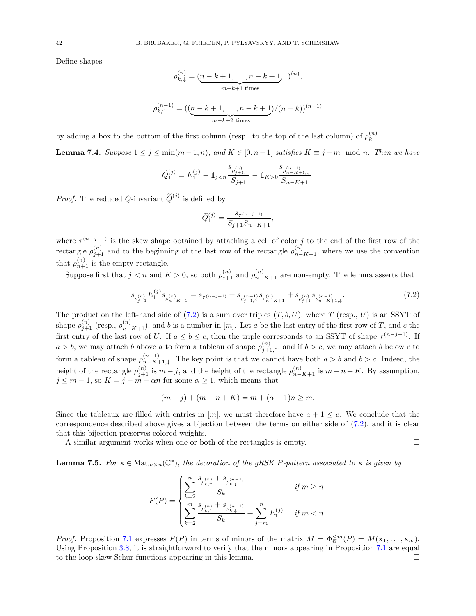Define shapes

$$
\rho_{k,\downarrow}^{(n)} = \underbrace{(n-k+1,\ldots,n-k+1}_{m-k+1 \text{ times}},1)^{(n)},
$$
\n
$$
\rho_{k,\uparrow}^{(n-1)} = \big(\underbrace{(n-k+1,\ldots,n-k+1)}_{m-k+2 \text{ times}}\big)/(n-k)\big)^{(n-1)}
$$

by adding a box to the bottom of the first column (resp., to the top of the last column) of  $\rho_k^{(n)}$  $\binom{n}{k}$ .

<span id="page-41-1"></span>**Lemma 7.4.** Suppose  $1 \leq j \leq \min(m-1, n)$ , and  $K \in [0, n-1]$  satisfies  $K \equiv j-m \mod n$ . Then we have

$$
\widetilde{Q}_1^{(j)} = E_1^{(j)} - \mathbbm{1}_{j < n} \frac{s_{\rho_{j+1,\uparrow}^{(n)}}}{S_{j+1}} - \mathbbm{1}_{K > 0} \frac{s_{\rho_{n-K+1,\downarrow}^{(n-1)}}}{S_{n-K+1}}.
$$

*Proof.* The reduced Q-invariant  $\widetilde{Q}_1^{(j)}$  is defined by

$$
\tilde{Q}_{1}^{(j)} = \frac{s_{\tau^{(n-j+1)}}}{S_{j+1}S_{n-K+1}},
$$

where  $\tau^{(n-j+1)}$  is the skew shape obtained by attaching a cell of color j to the end of the first row of the rectangle  $\rho_{j+1}^{(n)}$  and to the beginning of the last row of the rectangle  $\rho_{n-K+1}^{(n)}$ , where we use the convention that  $\rho_{n+1}^{(n)}$  is the empty rectangle.

Suppose first that  $j < n$  and  $K > 0$ , so both  $\rho_{j+1}^{(n)}$  and  $\rho_{n-K+1}^{(n)}$  are non-empty. The lemma asserts that

<span id="page-41-0"></span>
$$
s_{\rho_{j+1}^{(n)}} E_1^{(j)} s_{\rho_{n-K+1}^{(n)}} = s_{\tau^{(n-j+1)}} + s_{\rho_{j+1,\uparrow}^{(n-1)}} s_{\rho_{n-K+1}^{(n)}} + s_{\rho_{j+1}^{(n)}} s_{\rho_{n-K+1,\downarrow}^{(n-1)}}.
$$
(7.2)

The product on the left-hand side of  $(7.2)$  is a sum over triples  $(T, b, U)$ , where T (resp., U) is an SSYT of shape  $\rho_{j+1}^{(n)}$  (resp.,  $\rho_{n-K+1}^{(n)}$ ), and b is a number in [m]. Let a be the last entry of the first row of T, and c the first entry of the last row of U. If  $a \leq b \leq c$ , then the triple corresponds to an SSYT of shape  $\tau^{(n-j+1)}$ . If  $a > b$ , we may attach b above a to form a tableau of shape  $\rho_{i+1}^{(n)}$  $j+1, \uparrow$ , and if  $b > c$ , we may attach b below c to form a tableau of shape  $\rho_{n-K+1}^{(n-1)}$  $\binom{n-1}{n-K+1,\downarrow}$ . The key point is that we cannot have both  $a > b$  and  $b > c$ . Indeed, the height of the rectangle  $\rho_{j+1}^{(n)}$  is  $m-j$ , and the height of the rectangle  $\rho_{n-K+1}^{(n)}$  is  $m-n+K$ . By assumption,  $j \leq m-1$ , so  $K = j - m + \alpha n$  for some  $\alpha \geq 1$ , which means that

$$
(m - j) + (m - n + K) = m + (\alpha - 1)n \ge m.
$$

Since the tableaux are filled with entries in [m], we must therefore have  $a + 1 \leq c$ . We conclude that the correspondence described above gives a bijection between the terms on either side of [\(7.2\)](#page-41-0), and it is clear that this bijection preserves colored weights.

A similar argument works when one or both of the rectangles is empty.

<span id="page-41-2"></span>**Lemma 7.5.** For  $\mathbf{x} \in \text{Mat}_{m \times n}(\mathbb{C}^*)$ , the decoration of the gRSK P-pattern associated to  $\mathbf{x}$  is given by

$$
F(P) = \begin{cases} \displaystyle \sum_{k=2}^{n} \frac{s_{\rho_{k, \uparrow}^{(n)}} + s_{\rho_{k, \downarrow}^{(n-1)}}}{S_k} & \textit{if} \; m \geq n \\ \displaystyle \sum_{k=2}^{m} \frac{s_{\rho_{k, \uparrow}^{(n)}} + s_{\rho_{k, \downarrow}^{(n-1)}}}{S_k} + \sum_{j=m}^{n} E_1^{(j)} & \textit{if} \; m < n. \end{cases}
$$

*Proof.* Proposition [7.1](#page-40-2) expresses  $F(P)$  in terms of minors of the matrix  $M = \Phi_n^{\leq m}(P) = M(\mathbf{x}_1, \dots, \mathbf{x}_m)$ . Using Proposition [3.8,](#page-15-4) it is straightforward to verify that the minors appearing in Proposition [7.1](#page-40-2) are equal to the loop skew Schur functions appearing in this lemma.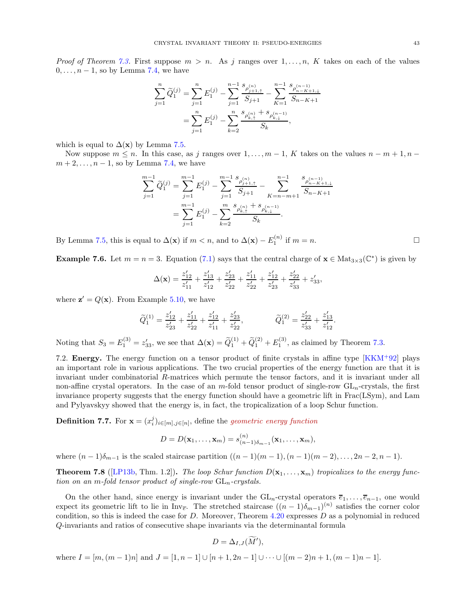*Proof of Theorem [7.3.](#page-40-5)* First suppose  $m > n$ . As j ranges over  $1, \ldots, n$ , K takes on each of the values  $0, \ldots, n-1$ , so by Lemma [7.4,](#page-41-1) we have

$$
\sum_{j=1}^{n} \widetilde{Q}_{1}^{(j)} = \sum_{j=1}^{n} E_{1}^{(j)} - \sum_{j=1}^{n-1} \frac{s_{\rho_{j+1,\uparrow}}}{S_{j+1}} - \sum_{K=1}^{n-1} \frac{s_{\rho_{n-K+1,\downarrow}}}{S_{n-K+1}}
$$

$$
= \sum_{j=1}^{n} E_{1}^{(j)} - \sum_{k=2}^{n} \frac{s_{\rho_{k,\uparrow}}^{(n)} + s_{\rho_{k,\downarrow}}^{(n-1)}}{S_{k}},
$$

which is equal to  $\Delta(\mathbf{x})$  by Lemma [7.5.](#page-41-2)

Now suppose  $m \leq n$ . In this case, as j ranges over  $1, \ldots, m-1$ , K takes on the values  $n-m+1, n-1$  $m+2,\ldots,n-1$ , so by Lemma [7.4,](#page-41-1) we have

$$
\sum_{j=1}^{m-1} \widetilde{Q}_1^{(j)} = \sum_{j=1}^{m-1} E_1^{(j)} - \sum_{j=1}^{m-1} \frac{s_{\rho_{j+1,\uparrow}}^{(n)}}{S_{j+1}} - \sum_{K=n-m+1}^{n-1} \frac{s_{\rho_{n-K+1,\downarrow}}^{(n-1)}}{S_{n-K+1}}
$$

$$
= \sum_{j=1}^{m-1} E_1^{(j)} - \sum_{k=2}^{m} \frac{s_{\rho_{k,\uparrow}}^{(n)}}{S_k}.
$$

By Lemma [7.5,](#page-41-2) this is equal to  $\Delta(\mathbf{x})$  if  $m < n$ , and to  $\Delta(\mathbf{x}) - E_1^{(n)}$  if  $m = n$ .

**Example 7.6.** Let  $m = n = 3$ . Equation [\(7.1\)](#page-40-4) says that the central charge of  $\mathbf{x} \in \text{Mat}_{3 \times 3}(\mathbb{C}^*)$  is given by

$$
\Delta(\mathbf{x}) = \frac{z'_{12}}{z'_{11}} + \frac{z'_{13}}{z'_{12}} + \frac{z'_{23}}{z'_{22}} + \frac{z'_{11}}{z'_{22}} + \frac{z'_{12}}{z'_{23}} + \frac{z'_{22}}{z'_{33}} + z'_{33},
$$

where  $\mathbf{z}' = Q(\mathbf{x})$ . From Example [5.10,](#page-32-0) we have

$$
\widetilde{Q}_{1}^{(1)}=\frac{z'_{12}}{z'_{23}}+\frac{z'_{11}}{z'_{22}}+\frac{z'_{12}}{z'_{11}}+\frac{z'_{23}}{z'_{22}}, \hspace{1.0cm} \widetilde{Q}_{1}^{(2)}=\frac{z'_{22}}{z'_{33}}+\frac{z'_{13}}{z'_{12}}
$$

Noting that  $S_3 = E_1^{(3)} = z'_{33}$ , we see that  $\Delta(\mathbf{x}) = \widetilde{Q}_1^{(1)} + \widetilde{Q}_1^{(2)} + E_1^{(3)}$ , as claimed by Theorem [7.3.](#page-40-5)

<span id="page-42-0"></span>7.2. Energy. The energy function on a tensor product of finite crystals in affine type [\[KKM](#page-49-6)<sup>+</sup>92] plays an important role in various applications. The two crucial properties of the energy function are that it is invariant under combinatorial R-matrices which permute the tensor factors, and it is invariant under all non-affine crystal operators. In the case of an m-fold tensor product of single-row  $GL_n$ -crystals, the first invariance property suggests that the energy function should have a geometric lift in Frac(LSym), and Lam and Pylyavskyy showed that the energy is, in fact, the tropicalization of a loop Schur function.

**Definition 7.7.** For  $\mathbf{x} = (x_i^j)_{i \in [m], j \in [n]}$ , define the *geometric energy function* 

$$
D=D(\mathbf{x}_1,\ldots,\mathbf{x}_m)=s_{(n-1)\delta_{m-1}}^{(n)}(\mathbf{x}_1,\ldots,\mathbf{x}_m),
$$

where  $(n-1)\delta_{m-1}$  is the scaled staircase partition  $((n-1)(m-1),(n-1)(m-2),\ldots,2n-2,n-1)$ .

<span id="page-42-1"></span>**Theorem 7.8** ([\[LP13b,](#page-49-13) Thm. 1.2]). The loop Schur function  $D(\mathbf{x}_1, \dots, \mathbf{x}_m)$  tropicalizes to the energy function on an m-fold tensor product of single-row  $GL_n$ -crystals.

On the other hand, since energy is invariant under the  $GL_n$ -crystal operators  $\overline{e}_1, \ldots, \overline{e}_{n-1}$ , one would expect its geometric lift to lie in Inv<sub>e</sub>. The stretched staircase  $((n-1)\delta_{m-1})^{(n)}$  satisfies the corner color condition, so this is indeed the case for  $D$ . Moreover, Theorem [4.20](#page-22-0) expresses  $D$  as a polynomial in reduced Q-invariants and ratios of consecutive shape invariants via the determinantal formula

$$
D=\Delta_{I,J}(\tilde{M}'),
$$

where  $I = [m,(m-1)n]$  and  $J = [1, n-1] \cup [n+1, 2n-1] \cup \cdots \cup [(m-2)n+1,(m-1)n-1]$ .

.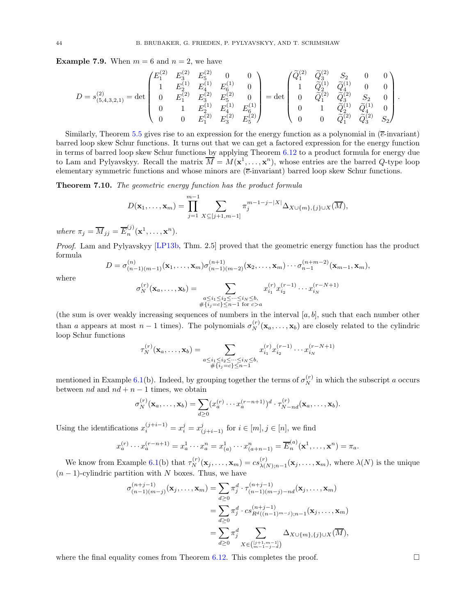**Example 7.9.** When  $m = 6$  and  $n = 2$ , we have

$$
D=s^{(2)}_{(5,4,3,2,1)}=\det \begin{pmatrix} E^{(2)}_1 & E^{(2)}_3 & E^{(2)}_5 & 0 & 0 \\ 1 & E^{(1)}_2 & E^{(1)}_4 & E^{{(1)}}_6 & 0 \\ 0 & E^{(2)}_1 & E^{(2)}_3 & E^{(2)}_5 & 0 \\ 0 & 1 & E^{(1)}_2 & E^{(1)}_4 & E^{(1)}_6 \\ 0 & 0 & E^{(2)}_1 & E^{(2)}_3 & E^{(2)}_5 \end{pmatrix}=\det \begin{pmatrix} \widetilde{Q}^{(2)}_1 & \widetilde{Q}^{(2)}_3 & S_2 & 0 & 0 \\ 1 & \widetilde{Q}^{(1)}_2 & \widetilde{Q}^{(1)}_4 & 0 & 0 \\ 0 & \widetilde{Q}^{(2)}_1 & \widetilde{Q}^{(2)}_3 & S_2 & 0 \\ 0 & 1 & \widetilde{Q}^{(1)}_2 & \widetilde{Q}^{(1)}_4 & 0 \\ 0 & 0 & \widetilde{Q}^{(2)}_1 & \widetilde{Q}^{(2)}_3 & S_2 \end{pmatrix}.
$$

Similarly, Theorem [5.5](#page-29-0) gives rise to an expression for the energy function as a polynomial in  $(\bar{e}\text{-invariant})$ barred loop skew Schur functions. It turns out that we can get a factored expression for the energy function in terms of barred loop skew Schur functions by applying Theorem [6.12](#page-38-0) to a product formula for energy due to Lam and Pylyavskyy. Recall the matrix  $\overline{M} = M(\mathbf{x}^1, \dots, \mathbf{x}^n)$ , whose entries are the barred Q-type loop elementary symmetric functions and whose minors are (e-invariant) barred loop skew Schur functions.

<span id="page-43-0"></span>Theorem 7.10. The geometric energy function has the product formula

$$
D(\mathbf{x}_1,\ldots,\mathbf{x}_m)=\prod_{j=1}^{m-1}\sum_{X\subseteq [j+1,m-1]}\pi_j^{m-1-j-|X|}\Delta_{X\cup\{m\},\{j\}\cup X}(\overline{M}),
$$

where  $\pi_j = \overline{M}_{jj} = \overline{E}_n^{(j)}$  $\binom{J}{n}(\mathbf{x}^1,\ldots,\mathbf{x}^n).$ 

Proof. Lam and Pylyavskyy [\[LP13b,](#page-49-13) Thm. 2.5] proved that the geometric energy function has the product formula

$$
D = \sigma_{(n-1)(m-1)}^{(n)}(\mathbf{x}_1,\ldots,\mathbf{x}_m)\sigma_{(n-1)(m-2)}^{(n+1)}(\mathbf{x}_2,\ldots,\mathbf{x}_m)\cdots\sigma_{n-1}^{(n+m-2)}(\mathbf{x}_{m-1},\mathbf{x}_m),
$$

where

$$
\sigma_N^{(r)}(\mathbf{x}_a, ..., \mathbf{x}_b) = \sum_{\substack{a \le i_1 \le i_2 \le ... \le i_N \le b, \\ \# \{i_j = c\} \le n-1 \text{ for } c > a}} x_{i_1}^{(r)} x_{i_2}^{(r-1)} \cdots x_{i_N}^{(r-N+1)}
$$

(the sum is over weakly increasing sequences of numbers in the interval  $[a, b]$ , such that each number other than a appears at most  $n-1$  times). The polynomials  $\sigma_N^{(r)}(\mathbf{x}_a,\ldots,\mathbf{x}_b)$  are closely related to the cylindric loop Schur functions

$$
\tau_N^{(r)}(\mathbf{x}_a, \dots, \mathbf{x}_b) = \sum_{\substack{a \le i_1 \le i_2 \le \dots \le i_N \le b, \\ \# \{i_j = c\} \le n-1}} x_{i_1}^{(r)} x_{i_2}^{(r-1)} \cdots x_{i_N}^{(r-N+1)}
$$

mentioned in Example [6.1\(](#page-34-3)b). Indeed, by grouping together the terms of  $\sigma_N^{(r)}$  in which the subscript a occurs between nd and  $nd + n - 1$  times, we obtain

$$
\sigma_N^{(r)}(\mathbf{x}_a,\ldots,\mathbf{x}_b)=\sum_{d\geq 0}(x_a^{(r)}\cdots x_a^{(r-n+1)})^d\cdot \tau_{N-nd}^{(r)}(\mathbf{x}_a,\ldots,\mathbf{x}_b).
$$

Using the identifications  $x_i^{(j+i-1)} = x_i^j = x_{(j+i-1)}^j$  for  $i \in [m], j \in [n]$ , we find

$$
x_a^{(r)} \cdots x_a^{(r-n+1)} = x_a^1 \cdots x_a^n = x_{(a)}^1 \cdots x_{(a+n-1)}^n = \overline{E}_n^{(a)}(\mathbf{x}^1, \dots, \mathbf{x}^n) = \pi_a.
$$

We know from Example [6.1\(](#page-34-3)b) that  $\tau_N^{(r)}(\mathbf{x}_j, \dots, \mathbf{x}_m) = cs_{\lambda(N)}^{(r)}$  $\lambda(N);n-1(\mathbf{x}_j,\ldots,\mathbf{x}_m)$ , where  $\lambda(N)$  is the unique  $(n-1)$ -cylindric partition with N boxes. Thus, we have

$$
\sigma_{(n-1)(m-j)}^{(n+j-1)}(\mathbf{x}_j, \dots, \mathbf{x}_m) = \sum_{d \ge 0} \pi_j^d \cdot \tau_{(n-1)(m-j)-nd}^{(n+j-1)}(\mathbf{x}_j, \dots, \mathbf{x}_m)
$$
  
\n
$$
= \sum_{d \ge 0} \pi_j^d \cdot cs_{R^d((n-1)^{m-j});n-1}^{(n+j-1)}(\mathbf{x}_j, \dots, \mathbf{x}_m)
$$
  
\n
$$
= \sum_{d \ge 0} \pi_j^d \sum_{X \in \binom{[j+1,m-1]}{m-1-j}} \Delta_{X \cup \{m\}, \{j\} \cup X}(\overline{M}),
$$

where the final equality comes from Theorem [6.12.](#page-38-0) This completes the proof.  $\square$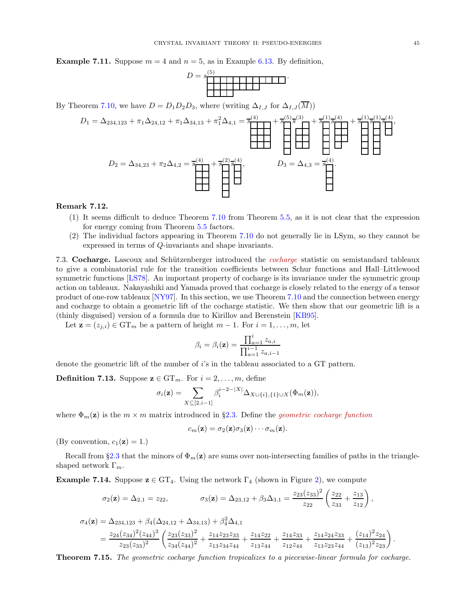**Example 7.11.** Suppose  $m = 4$  and  $n = 5$ , as in Example [6.13.](#page-38-3) By definition,

| $\overline{\phantom{a}}$<br>$=$ | ಀ |  |  |  |  |  |  |
|---------------------------------|---|--|--|--|--|--|--|
|                                 |   |  |  |  |  |  |  |
|                                 |   |  |  |  |  |  |  |
|                                 |   |  |  |  |  |  |  |

By Theorem [7.10,](#page-43-0) we have  $D = D_1D_2D_3$ , where (writing  $\Delta_{I,J}$  for  $\Delta_{I,J}(M)$ )

$$
D_1 = \Delta_{234,123} + \pi_1 \Delta_{24,12} + \pi_1 \Delta_{34,13} + \pi_1^2 \Delta_{4,1} = \frac{1}{8} + \frac{1}{8} + \frac{1}{8} + \frac{1}{8} + \frac{1}{8} + \frac{1}{8} + \frac{1}{8} + \frac{1}{8} + \frac{1}{8} + \frac{1}{8} + \frac{1}{8} + \frac{1}{8} + \frac{1}{8} + \frac{1}{8} + \frac{1}{8} + \frac{1}{8} + \frac{1}{8} + \frac{1}{8} + \frac{1}{8} + \frac{1}{8} + \frac{1}{8} + \frac{1}{8} + \frac{1}{8} + \frac{1}{8} + \frac{1}{8} + \frac{1}{8} + \frac{1}{8} + \frac{1}{8} + \frac{1}{8} + \frac{1}{8} + \frac{1}{8} + \frac{1}{8} + \frac{1}{8} + \frac{1}{8} + \frac{1}{8} + \frac{1}{8} + \frac{1}{8} + \frac{1}{8} + \frac{1}{8} + \frac{1}{8} + \frac{1}{8} + \frac{1}{8} + \frac{1}{8} + \frac{1}{8} + \frac{1}{8} + \frac{1}{8} + \frac{1}{8} + \frac{1}{8} + \frac{1}{8} + \frac{1}{8} + \frac{1}{8} + \frac{1}{8} + \frac{1}{8} + \frac{1}{8} + \frac{1}{8} + \frac{1}{8} + \frac{1}{8} + \frac{1}{8} + \frac{1}{8} + \frac{1}{8} + \frac{1}{8} + \frac{1}{8} + \frac{1}{8} + \frac{1}{8} + \frac{1}{8} + \frac{1}{8} + \frac{1}{8} + \frac{1}{8} + \frac{1}{8} + \frac{1}{8} + \frac{1}{8} + \frac{1}{8} + \frac{1}{8} + \frac{1}{8} + \frac{1}{8} + \frac{1}{8} + \frac{1}{8} + \frac{1}{8} + \frac{1}{8} + \frac{1}{8} + \frac{1}{8} + \frac{1}{8} + \frac{1}{8} + \frac{1}{8} + \frac{1}{8} + \frac{1}{8} + \frac{1}{8} + \frac{1}{
$$

### Remark 7.12.

- (1) It seems difficult to deduce Theorem [7.10](#page-43-0) from Theorem [5.5,](#page-29-0) as it is not clear that the expression for energy coming from Theorem [5.5](#page-29-0) factors.
- (2) The individual factors appearing in Theorem [7.10](#page-43-0) do not generally lie in LSym, so they cannot be expressed in terms of Q-invariants and shape invariants.

7.3. Cocharge. Lascoux and Schützenberger introduced the *cocharge* statistic on semistandard tableaux to give a combinatorial rule for the transition coefficients between Schur functions and Hall–Littlewood symmetric functions [\[LS78\]](#page-49-20). An important property of cocharge is its invariance under the symmetric group action on tableaux. Nakayashiki and Yamada proved that cocharge is closely related to the energy of a tensor product of one-row tableaux [\[NY97\]](#page-50-7). In this section, we use Theorem [7.10](#page-43-0) and the connection between energy and cocharge to obtain a geometric lift of the cocharge statistic. We then show that our geometric lift is a (thinly disguised) version of a formula due to Kirillov and Berenstein [\[KB95\]](#page-49-9).

Let  $\mathbf{z} = (z_{j,i}) \in \mathrm{GT}_m$  be a pattern of height  $m-1$ . For  $i = 1, \ldots, m$ , let

$$
\beta_i = \beta_i(\mathbf{z}) = \frac{\prod_{a=1}^{i} z_{a,i}}{\prod_{a=1}^{i-1} z_{a,i-1}}
$$

denote the geometric lift of the number of  $i$ 's in the tableau associated to a GT pattern.

**Definition 7.13.** Suppose  $\mathbf{z} \in \mathrm{GT}_m$ . For  $i = 2, \ldots, m$ , define

$$
\sigma_i(\mathbf{z}) = \sum_{X \subseteq [2,i-1]} \beta_i^{i-2-|X|} \Delta_{X \cup \{i\},\{1\} \cup X}(\Phi_m(\mathbf{z})),
$$

where  $\Phi_m(z)$  is the  $m \times m$  matrix introduced in §[2.3.](#page-8-0) Define the *geometric cocharge function* 

$$
c_m(\mathbf{z}) = \sigma_2(\mathbf{z})\sigma_3(\mathbf{z})\cdots \sigma_m(\mathbf{z}).
$$

(By convention,  $c_1(\mathbf{z}) = 1$ .)

Recall from §[2.3](#page-8-0) that the minors of  $\Phi_m(z)$  are sums over non-intersecting families of paths in the triangleshaped network  $\Gamma_m$ .

**Example 7.14.** Suppose  $z \in GT_4$ . Using the network  $\Gamma_4$  (shown in Figure [2\)](#page-9-0), we compute

$$
\sigma_2(\mathbf{z}) = \Delta_{2,1} = z_{22}, \qquad \sigma_3(\mathbf{z}) = \Delta_{23,12} + \beta_3 \Delta_{3,1} = \frac{z_{23}(z_{33})^2}{z_{22}} \left(\frac{z_{22}}{z_{33}} + \frac{z_{13}}{z_{12}}\right),
$$

$$
\sigma_4(\mathbf{z}) = \Delta_{234,123} + \beta_4(\Delta_{24,12} + \Delta_{34,13}) + \beta_4^2 \Delta_{4,1}
$$
  
= 
$$
\frac{z_{24}(z_{34})^2(z_{44})^3}{z_{23}(z_{33})^2} \left( \frac{z_{23}(z_{33})^2}{z_{34}(z_{44})^2} + \frac{z_{14}z_{23}z_{33}}{z_{13}z_{34}z_{44}} + \frac{z_{14}z_{22}}{z_{13}z_{44}} + \frac{z_{14}z_{24}z_{33}}{z_{13}z_{23}z_{44}} + \frac{z_{14}z_{24}z_{33}}{z_{13}z_{23}z_{44}} + \frac{(z_{14})^2 z_{24}}{(z_{13})^2 z_{23}} \right).
$$

<span id="page-44-0"></span>Theorem 7.15. The geometric cocharge function tropicalizes to a piecewise-linear formula for cocharge.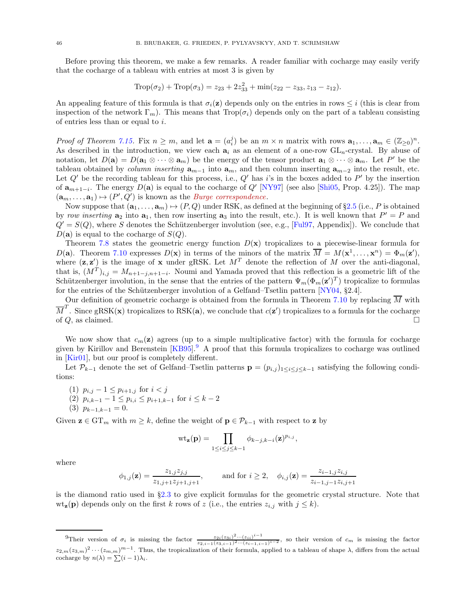Before proving this theorem, we make a few remarks. A reader familiar with cocharge may easily verify that the cocharge of a tableau with entries at most 3 is given by

$$
\text{Trop}(\sigma_2) + \text{Trop}(\sigma_3) = z_{23} + 2z_{33}^2 + \min(z_{22} - z_{33}, z_{13} - z_{12}).
$$

An appealing feature of this formula is that  $\sigma_i(z)$  depends only on the entries in rows  $\leq i$  (this is clear from inspection of the network  $\Gamma_m$ ). This means that  $\text{Top}(\sigma_i)$  depends only on the part of a tableau consisting of entries less than or equal to i.

Proof of Theorem [7.15.](#page-44-0) Fix  $n \geq m$ , and let  $\mathbf{a} = (a_i^j)$  be an  $m \times n$  matrix with rows  $\mathbf{a}_1, \ldots, \mathbf{a}_m \in (\mathbb{Z}_{\geq 0})^n$ . As described in the introduction, we view each  $a_i$  as an element of a one-row  $GL_n$ -crystal. By abuse of notation, let  $D(\mathbf{a}) = D(\mathbf{a}_1 \otimes \cdots \otimes \mathbf{a}_m)$  be the energy of the tensor product  $\mathbf{a}_1 \otimes \cdots \otimes \mathbf{a}_m$ . Let  $P'$  be the tableau obtained by *column inserting*  $\mathbf{a}_{m-1}$  into  $\mathbf{a}_m$ , and then column inserting  $\mathbf{a}_{m-2}$  into the result, etc. Let  $Q'$  be the recording tableau for this process, i.e.,  $Q'$  has i's in the boxes added to  $P'$  by the insertion of  $a_{m+1-i}$ . The energy  $D(a)$  is equal to the cocharge of  $Q'$  [\[NY97\]](#page-50-7) (see also [\[Shi05,](#page-50-15) Prop. 4.25]). The map  $(\mathbf{a}_m, \dots, \mathbf{a}_1) \mapsto (P', Q')$  is known as the *Burge correspondence*.

Now suppose that  $(\mathbf{a}_1, \ldots, \mathbf{a}_m) \mapsto (P, Q)$  under RSK, as defined at the beginning of §[2.5](#page-11-0) (i.e., P is obtained by row inserting  $a_2$  into  $a_1$ , then row inserting  $a_3$  into the result, etc.). It is well known that  $P' = P$  and  $Q' = S(Q)$ , where S denotes the Schützenberger involution (see, e.g., [\[Ful97,](#page-49-28) Appendix]). We conclude that  $D(\mathbf{a})$  is equal to the cocharge of  $S(Q)$ .

Theorem [7.8](#page-42-1) states the geometric energy function  $D(x)$  tropicalizes to a piecewise-linear formula for D(a). Theorem [7.10](#page-43-0) expresses  $D(\mathbf{x})$  in terms of the minors of the matrix  $\overline{M} = M(\mathbf{x}^1, \dots, \mathbf{x}^n) = \Phi_m(\mathbf{z}^{\prime}),$ where  $(z, z')$  is the image of x under gRSK. Let  $M<sup>T</sup>$  denote the reflection of M over the anti-diagonal, that is,  $(M^T)_{i,j} = M_{n+1-j,n+1-i}$ . Noumi and Yamada proved that this reflection is a geometric lift of the Schützenberger involution, in the sense that the entries of the pattern  $\Psi_m(\Phi_m(\mathbf{z}')^T)$  tropicalize to formulas for the entries of the Schützenberger involution of a Gelfand–Tsetlin pattern [\[NY04,](#page-50-4) §2.4].

Our definition of geometric cocharge is obtained from the formula in Theorem [7.10](#page-43-0) by replacing  $M$  with  $\overline{M}^T$ . Since gRSK(x) tropicalizes to RSK(a), we conclude that  $c(\mathbf{z}')$  tropicalizes to a formula for the cocharge of  $Q$ , as claimed.

We now show that  $c_m(z)$  agrees (up to a simple multiplicative factor) with the formula for cocharge given by Kirillov and Berenstein  $[KB95]$  $[KB95]$  $[KB95]$ <sup>9</sup>. A proof that this formula tropicalizes to cocharge was outlined in [\[Kir01\]](#page-49-10), but our proof is completely different.

Let  $\mathcal{P}_{k-1}$  denote the set of Gelfand–Tsetlin patterns  $\mathbf{p} = (p_{i,j})_{1 \leq i \leq j \leq k-1}$  satisfying the following conditions:

- (1)  $p_{i,j} 1 \leq p_{i+1,j}$  for  $i < j$
- (2)  $p_{i,k-1} 1 \le p_{i,i} \le p_{i+1,k-1}$  for  $i \le k-2$

$$
(3) p_{k-1,k-1} = 0.
$$

Given  $\mathbf{z} \in \mathrm{GT}_m$  with  $m \geq k$ , define the weight of  $\mathbf{p} \in \mathcal{P}_{k-1}$  with respect to  $\mathbf{z}$  by

$$
\mathrm{wt}_{\mathbf{z}}(\mathbf{p}) = \prod_{1 \leq i \leq j \leq k-1} \phi_{k-j,k-i}(\mathbf{z})^{p_{i,j}},
$$

where

$$
\phi_{1,j}(\mathbf{z}) = \frac{z_{1,j} z_{j,j}}{z_{1,j+1} z_{j+1,j+1}}, \quad \text{and for } i \ge 2, \quad \phi_{i,j}(\mathbf{z}) = \frac{z_{i-1,j} z_{i,j}}{z_{i-1,j-1} z_{i,j+1}}
$$

is the diamond ratio used in §[2.3](#page-8-0) to give explicit formulas for the geometric crystal structure. Note that  $\text{wt}_{\mathbf{z}}(\mathbf{p})$  depends only on the first k rows of z (i.e., the entries  $z_{i,j}$  with  $j \leq k$ ).

<span id="page-45-0"></span><sup>&</sup>lt;sup>9</sup>Their version of  $\sigma_i$  is missing the factor  $\frac{z_{2i}(z_{3i})^2 \cdots (z_{ii})^{i-1}}{z_{2,i-1}(z_{3,i-1})^2 \cdots (z_{i-1,i-1})^{i-2}}$ , so their version of  $c_m$  is missing the factor  $z_{2,m}(z_{3,m})^2\cdots(z_{m,m})^{m-1}$ . Thus, the tropicalization of their formula, applied to a tableau of shape  $\lambda$ , differs from the actual cocharge by  $n(\lambda) = \sum_{i=1}^{\infty} (i - 1)\lambda_i$ .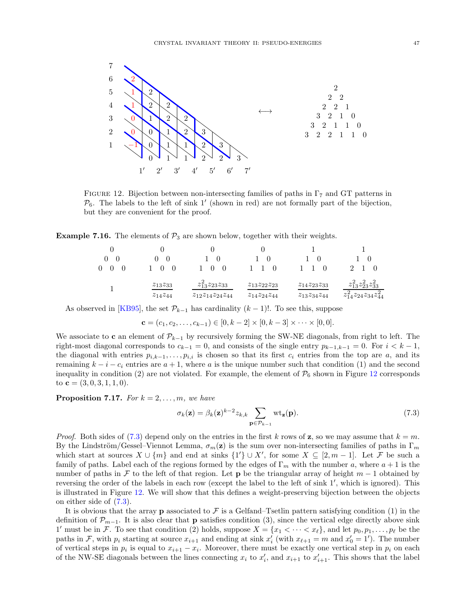

<span id="page-46-0"></span>FIGURE 12. Bijection between non-intersecting families of paths in  $\Gamma_7$  and GT patterns in  $P_6$ . The labels to the left of sink 1' (shown in red) are not formally part of the bijection, but they are convenient for the proof.

**Example 7.16.** The elements of  $\mathcal{P}_3$  are shown below, together with their weights.

| 0<br>$\theta$ |                |                            |                      |                      |                                   |
|---------------|----------------|----------------------------|----------------------|----------------------|-----------------------------------|
|               | $z_{13}z_{33}$ | $z_{13}^2 z_{23} z_{33}$   | $z_{13}z_{22}z_{23}$ | $z_{14}z_{23}z_{33}$ | $z_{13}^2 z_{23}^2 z_{33}^2$      |
|               | $z_{14}z_{44}$ | $z_{12}z_{14}z_{24}z_{44}$ | $z_{14}z_{24}z_{44}$ | $z_{13}z_{34}z_{44}$ | $z_{14}^2 z_{24} z_{34} z_{44}^2$ |

As observed in [\[KB95\]](#page-49-9), the set  $\mathcal{P}_{k-1}$  has cardinality  $(k-1)!$ . To see this, suppose

$$
\mathbf{c} = (c_1, c_2, \dots, c_{k-1}) \in [0, k-2] \times [0, k-3] \times \dots \times [0, 0].
$$

We associate to **c** an element of  $\mathcal{P}_{k-1}$  by recursively forming the SW-NE diagonals, from right to left. The right-most diagonal corresponds to  $c_{k-1} = 0$ , and consists of the single entry  $p_{k-1,k-1} = 0$ . For  $i < k-1$ , the diagonal with entries  $p_{i,k-1}, \ldots, p_{i,i}$  is chosen so that its first  $c_i$  entries from the top are a, and its remaining  $k - i - c_i$  entries are  $a + 1$ , where a is the unique number such that condition (1) and the second inequality in condition (2) are not violated. For example, the element of  $P_6$  shown in Figure [12](#page-46-0) corresponds to  ${\bf c} = (3, 0, 3, 1, 1, 0).$ 

**Proposition 7.17.** For  $k = 2, \ldots, m$ , we have

<span id="page-46-1"></span>
$$
\sigma_k(\mathbf{z}) = \beta_k(\mathbf{z})^{k-2} z_{k,k} \sum_{\mathbf{p} \in \mathcal{P}_{k-1}} \text{wt}_{\mathbf{z}}(\mathbf{p}). \tag{7.3}
$$

*Proof.* Both sides of [\(7.3\)](#page-46-1) depend only on the entries in the first k rows of z, so we may assume that  $k = m$ . By the Lindström/Gessel–Viennot Lemma,  $\sigma_m(z)$  is the sum over non-intersecting families of paths in  $\Gamma_m$ which start at sources  $X \cup \{m\}$  and end at sinks  $\{1'\} \cup X'$ , for some  $X \subseteq [2, m-1]$ . Let F be such a family of paths. Label each of the regions formed by the edges of  $\Gamma_m$  with the number a, where  $a+1$  is the number of paths in F to the left of that region. Let p be the triangular array of height  $m-1$  obtained by reversing the order of the labels in each row (except the label to the left of sink  $1'$ , which is ignored). This is illustrated in Figure [12.](#page-46-0) We will show that this defines a weight-preserving bijection between the objects on either side of [\(7.3\)](#page-46-1).

It is obvious that the array **p** associated to F is a Gelfand–Tsetlin pattern satisfying condition (1) in the definition of  $\mathcal{P}_{m-1}$ . It is also clear that **p** satisfies condition (3), since the vertical edge directly above sink 1' must be in F. To see that condition (2) holds, suppose  $X = \{x_1 < \cdots < x_\ell\}$ , and let  $p_0, p_1, \ldots, p_\ell$  be the paths in F, with  $p_i$  starting at source  $x_{i+1}$  and ending at sink  $x'_i$  (with  $x_{\ell+1} = m$  and  $x'_0 = 1'$ ). The number of vertical steps in  $p_i$  is equal to  $x_{i+1} - x_i$ . Moreover, there must be exactly one vertical step in  $p_i$  on each of the NW-SE diagonals between the lines connecting  $x_i$  to  $x'_i$ , and  $x_{i+1}$  to  $x'_{i+1}$ . This shows that the label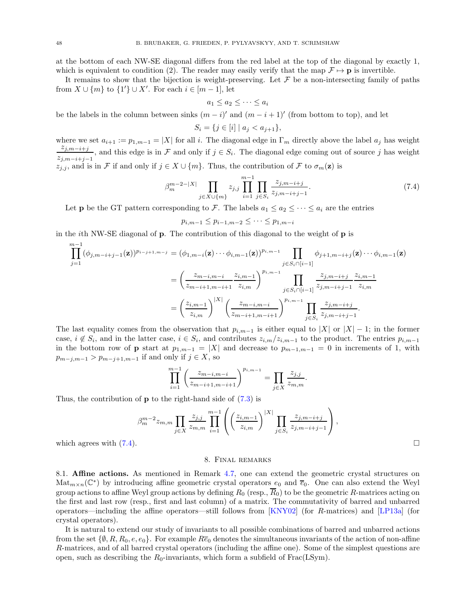at the bottom of each NW-SE diagonal differs from the red label at the top of the diagonal by exactly 1, which is equivalent to condition (2). The reader may easily verify that the map  $\mathcal{F} \mapsto \mathbf{p}$  is invertible.

It remains to show that the bijection is weight-preserving. Let  $\mathcal F$  be a non-intersecting family of paths from  $X \cup \{m\}$  to  $\{1'\} \cup X'$ . For each  $i \in [m-1]$ , let

$$
a_1 \le a_2 \le \cdots \le a_i
$$

be the labels in the column between sinks  $(m - i)'$  and  $(m - i + 1)'$  (from bottom to top), and let

$$
S_i = \{ j \in [i] \mid a_j < a_{j+1} \},
$$

where we set  $a_{i+1} := p_{1,m-1} = |X|$  for all i. The diagonal edge in  $\Gamma_m$  directly above the label  $a_j$  has weight  $z_{j,m-i+j}$ , and this edge is in F and only if  $j \in S_i$ . The diagonal edge coming out of source j has weight  $z_{j,m-i+j-1}$  $z_{j,j}$ , and is in F if and only if  $j \in X \cup \{m\}$ . Thus, the contribution of F to  $\sigma_m(z)$  is

<span id="page-47-2"></span>
$$
\beta_m^{m-2-|X|} \prod_{j \in X \cup \{m\}} z_{j,j} \prod_{i=1}^{m-1} \prod_{j \in S_i} \frac{z_{j,m-i+j}}{z_{j,m-i+j-1}}.
$$
\n(7.4)

.

Let **p** be the GT pattern corresponding to F. The labels  $a_1 \le a_2 \le \cdots \le a_i$  are the entries

 $p_{i,m-1} \leq p_{i-1,m-2} \leq \cdots \leq p_{1,m-i}$ 

in the *i*th NW-SE diagonal of **p**. The contribution of this diagonal to the weight of **p** is

$$
\prod_{j=1}^{m-1} (\phi_{j,m-i+j-1}(\mathbf{z}))^{p_{i-j+1,m-j} = (\phi_{1,m-i}(\mathbf{z}) \cdots \phi_{i,m-1}(\mathbf{z}))^{p_{i,m-1}} \prod_{j \in S_i \cap [i-1]} \phi_{j+1,m-i+j}(\mathbf{z}) \cdots \phi_{i,m-1}(\mathbf{z})
$$
\n
$$
= \left(\frac{z_{m-i,m-i}}{z_{m-i+1,m-i+1}} \frac{z_{i,m-1}}{z_{i,m}}\right)^{p_{i,m-1}} \prod_{j \in S_i \cap [i-1]} \frac{z_{j,m-i+j}}{z_{j,m-i+j-1}} \frac{z_{i,m-1}}{z_{i,m}}
$$
\n
$$
= \left(\frac{z_{i,m-1}}{z_{i,m}}\right)^{|X|} \left(\frac{z_{m-i,m-i}}{z_{m-i+1,m-i+1}}\right)^{p_{i,m-1}} \prod_{j \in S_i} \frac{z_{j,m-i+j}}{z_{j,m-i+j-1}}.
$$

The last equality comes from the observation that  $p_{i,m-1}$  is either equal to  $|X|$  or  $|X| - 1$ ; in the former case,  $i \notin S_i$ , and in the latter case,  $i \in S_i$ , and contributes  $z_{i,m}/z_{i,m-1}$  to the product. The entries  $p_{i,m-1}$ in the bottom row of **p** start at  $p_{1,m-1} = |X|$  and decrease to  $p_{m-1,m-1} = 0$  in increments of 1, with  $p_{m-j,m-1} > p_{m-j+1,m-1}$  if and only if  $j \in X$ , so

$$
\prod_{i=1}^{m-1} \left( \frac{z_{m-i,m-i}}{z_{m-i+1,m-i+1}} \right)^{p_{i,m-1}} = \prod_{j \in X} \frac{z_{j,j}}{z_{m,m}}
$$

Thus, the contribution of  $\bf{p}$  to the right-hand side of  $(7.3)$  is

$$
\beta_m^{m-2} z_{m,m} \prod_{j \in X} \frac{z_{j,j}}{z_{m,m}} \prod_{i=1}^{m-1} \left( \left( \frac{z_{i,m-1}}{z_{i,m}} \right)^{|X|} \prod_{j \in S_i} \frac{z_{j,m-i+j}}{z_{j,m-i+j-1}} \right),
$$
\nwhich agrees with (7.4).

<span id="page-47-0"></span>

#### 8. Final remarks

<span id="page-47-1"></span>8.1. Affine actions. As mentioned in Remark [4.7,](#page-19-1) one can extend the geometric crystal structures on  $\text{Mat}_{m\times n}(\mathbb{C}^*)$  by introducing affine geometric crystal operators  $e_0$  and  $\overline{e}_0$ . One can also extend the Weyl group actions to affine Weyl group actions by defining  $R_0$  (resp.,  $\overline{R}_0$ ) to be the geometric R-matrices acting on the first and last row (resp., first and last column) of a matrix. The commutativity of barred and unbarred operators—including the affine operators—still follows from [\[KNY02\]](#page-49-24) (for R-matrices) and [\[LP13a\]](#page-49-23) (for crystal operators).

It is natural to extend our study of invariants to all possible combinations of barred and unbarred actions from the set  $\{\emptyset, R, R_0, e, e_0\}$ . For example  $R\overline{e}_0$  denotes the simultaneous invariants of the action of non-affine R-matrices, and of all barred crystal operators (including the affine one). Some of the simplest questions are open, such as describing the  $R_0$ -invariants, which form a subfield of Frac(LSym).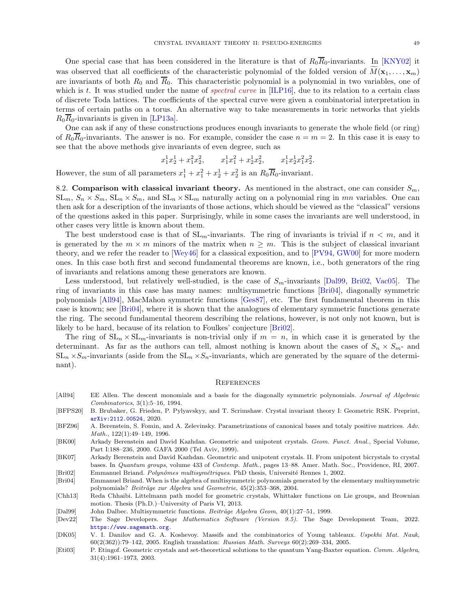One special case that has been considered in the literature is that of  $R_0\overline{R}_0$ -invariants. In [\[KNY02\]](#page-49-24) it was observed that all coefficients of the characteristic polynomial of the folded version of  $\overline{M}(\mathbf{x}_1, \dots, \mathbf{x}_m)$ are invariants of both  $R_0$  and  $\overline{R}_0$ . This characteristic polynomial is a polynomial in two variables, one of which is t. It was studied under the name of *spectral curve* in  $[ILP16]$ , due to its relation to a certain class of discrete Toda lattices. The coefficients of the spectral curve were given a combinatorial interpretation in terms of certain paths on a torus. An alternative way to take measurements in toric networks that yields  $R_0R_0$ -invariants is given in [\[LP13a\]](#page-49-23).

One can ask if any of these constructions produces enough invariants to generate the whole field (or ring) of  $R_0\overline{R}_0$ -invariants. The answer is no. For example, consider the case  $n = m = 2$ . In this case it is easy to see that the above methods give invariants of even degree, such as

$$
x_1^1x_2^1 + x_1^2x_2^2
$$
,  $x_1^1x_1^2 + x_2^1x_2^2$ ,  $x_1^1x_2^1x_1^2x_2^2$ .

However, the sum of all parameters  $x_1^1 + x_1^2 + x_2^1 + x_2^2$  is an  $R_0\overline{R}_0$ -invariant.

8.2. Comparison with classical invariant theory. As mentioned in the abstract, one can consider  $S_m$ ,  $SL_m$ ,  $S_n \times S_m$ ,  $SL_n \times S_m$ , and  $SL_n \times SL_m$  naturally acting on a polynomial ring in mn variables. One can then ask for a description of the invariants of those actions, which should be viewed as the "classical" versions of the questions asked in this paper. Surprisingly, while in some cases the invariants are well understood, in other cases very little is known about them.

The best understood case is that of  $SL_m$ -invariants. The ring of invariants is trivial if  $n < m$ , and it is generated by the  $m \times m$  minors of the matrix when  $n \geq m$ . This is the subject of classical invariant theory, and we refer the reader to [\[Wey46\]](#page-50-16) for a classical exposition, and to [\[PV94,](#page-50-17) [GW00\]](#page-49-30) for more modern ones. In this case both first and second fundamental theorems are known, i.e., both generators of the ring of invariants and relations among these generators are known.

Less understood, but relatively well-studied, is the case of  $S_m$ -invariants [\[Dal99,](#page-48-9) [Bri02,](#page-48-10) [Vac05\]](#page-50-18). The ring of invariants in this case has many names: multisymmetric functions [\[Bri04\]](#page-48-11), diagonally symmetric polynomials [\[All94\]](#page-48-12), MacMahon symmetric functions [\[Ges87\]](#page-49-31), etc. The first fundamental theorem in this case is known; see [\[Bri04\]](#page-48-11), where it is shown that the analogues of elementary symmetric functions generate the ring. The second fundamental theorem describing the relations, however, is not only not known, but is likely to be hard, because of its relation to Foulkes' conjecture [\[Bri02\]](#page-48-10).

The ring of  $SL_n \times SL_m$ -invariants is non-trivial only if  $m = n$ , in which case it is generated by the determinant. As far as the authors can tell, almost nothing is known about the cases of  $S_n \times S_{m}$ - and  $SL_n \times S_m$ -invariants (aside from the  $SL_n \times S_n$ -invariants, which are generated by the square of the determinant).

#### <span id="page-48-0"></span>**REFERENCES**

- <span id="page-48-12"></span>[All94] EE Allen. The descent monomials and a basis for the diagonally symmetric polynomials. Journal of Algebraic Combinatorics, 3(1):5–16, 1994.
- <span id="page-48-4"></span>[BFPS20] B. Brubaker, G. Frieden, P. Pylyavskyy, and T. Scrimshaw. Crystal invariant theory I: Geometric RSK. Preprint, [arXiv:2112.00524](http://arxiv.org/abs/2112.00524), 2020.
- <span id="page-48-8"></span>[BFZ96] A. Berenstein, S. Fomin, and A. Zelevinsky. Parametrizations of canonical bases and totaly positive matrices. Adv. Math., 122(1):49–149, 1996.
- <span id="page-48-2"></span>[BK00] Arkady Berenstein and David Kazhdan. Geometric and unipotent crystals. Geom. Funct. Anal., Special Volume, Part I:188–236, 2000. GAFA 2000 (Tel Aviv, 1999).

<span id="page-48-3"></span>[BK07] Arkady Berenstein and David Kazhdan. Geometric and unipotent crystals. II. From unipotent bicrystals to crystal bases. In Quantum groups, volume 433 of Contemp. Math., pages 13–88. Amer. Math. Soc., Providence, RI, 2007. [Bri02] Emmanuel Briand. Polynômes multisymétriques. PhD thesis, Université Rennes 1, 2002.

<span id="page-48-11"></span><span id="page-48-10"></span>[Bri04] Emmanuel Briand. When is the algebra of multisymmetric polynomials generated by the elementary multisymmetric polynomials? Beiträge zur Algebra und Geometrie, 45(2):353-368, 2004.

<span id="page-48-5"></span>[Chh13] Reda Chhaibi. Littelmann path model for geometric crystals, Whittaker functions on Lie groups, and Brownian motion. Thesis (Ph.D.)–University of Paris VI, 2013.

<span id="page-48-9"></span>[Dal99] John Dalbec. Multisymmetric functions. Beiträge Algebra Geom,  $40(1):27-51$ , 1999.

<span id="page-48-6"></span>[Dev22] The Sage Developers. Sage Mathematics Software (Version 9.5). The Sage Development Team, 2022. <https://www.sagemath.org>.

<span id="page-48-1"></span>[DK05] V. I. Danilov and G. A. Koshevoy. Massifs and the combinatorics of Young tableaux. Uspekhi Mat. Nauk, 60(2(362)):79–142, 2005. English translation: Russian Math. Surveys 60(2):269–334, 2005.

<span id="page-48-7"></span>[Eti03] P. Etingof. Geometric crystals and set-theoretical solutions to the quantum Yang-Baxter equation. Comm. Algebra, 31(4):1961–1973, 2003.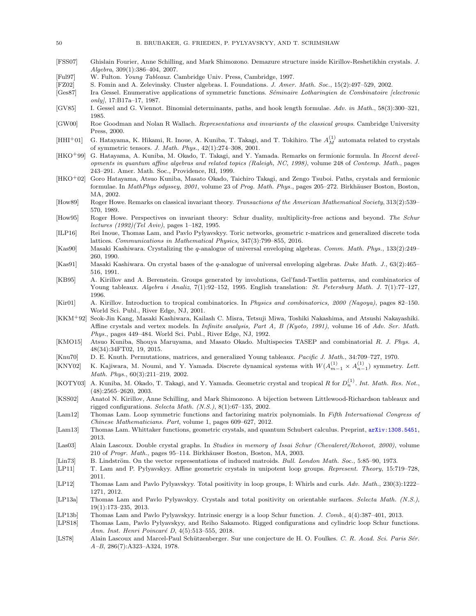- <span id="page-49-19"></span>[FSS07] Ghislain Fourier, Anne Schilling, and Mark Shimozono. Demazure structure inside Kirillov-Reshetikhin crystals. J. Algebra, 309(1):386–404, 2007.
- <span id="page-49-28"></span>[Ful97] W. Fulton. *Young Tableaux.* Cambridge Univ. Press, Cambridge, 1997.<br>[FZ02] S. Fomin and A. Zelevinsky. Cluster algebras. I. Foundations. *J. Amer*
- <span id="page-49-27"></span>S. Fomin and A. Zelevinsky. Cluster algebras. I. Foundations. J. Amer. Math. Soc., 15(2):497-529, 2002.
- <span id="page-49-31"></span>[Ges87] Ira Gessel. Enumerative applications of symmetric functions. Séminaire Lotharingien de Combinatoire [electronic only),  $17: B17a-17$ ,  $1987$ .
- <span id="page-49-26"></span>[GV85] I. Gessel and G. Viennot. Binomial determinants, paths, and hook length formulae. Adv. in Math., 58(3):300–321, 1985.
- <span id="page-49-30"></span>[GW00] Roe Goodman and Nolan R Wallach. Representations and invariants of the classical groups. Cambridge University Press, 2000.
- <span id="page-49-7"></span>[HHI<sup>+</sup>01] G. Hatayama, K. Hikami, R. Inoue, A. Kuniba, T. Takagi, and T. Tokihiro. The  $A_M^{(1)}$  automata related to crystals of symmetric tensors. J. Math. Phys., 42(1):274–308, 2001.
- <span id="page-49-16"></span>[HKO+99] G. Hatayama, A. Kuniba, M. Okado, T. Takagi, and Y. Yamada. Remarks on fermionic formula. In Recent developments in quantum affine algebras and related topics (Raleigh, NC, 1998), volume 248 of Contemp. Math., pages 243–291. Amer. Math. Soc., Providence, RI, 1999.
- <span id="page-49-17"></span>[HKO+02] Goro Hatayama, Atsuo Kuniba, Masato Okado, Taichiro Takagi, and Zengo Tsuboi. Paths, crystals and fermionic formulae. In MathPhys odyssey, 2001, volume 23 of Prog. Math. Phys., pages 205–272. Birkhäuser Boston, Boston, MA, 2002.
- <span id="page-49-3"></span>[How89] Roger Howe. Remarks on classical invariant theory. Transactions of the American Mathematical Society, 313(2):539– 570, 1989.
- <span id="page-49-4"></span>[How95] Roger Howe. Perspectives on invariant theory: Schur duality, multiplicity-free actions and beyond. The Schur lectures (1992)(Tel Aviv), pages 1–182, 1995.
- <span id="page-49-29"></span>[ILP16] Rei Inoue, Thomas Lam, and Pavlo Pylyavskyy. Toric networks, geometric r-matrices and generalized discrete toda lattices. Communications in Mathematical Physics, 347(3):799–855, 2016.
- <span id="page-49-0"></span>[Kas90] Masaki Kashiwara. Crystalizing the q-analogue of universal enveloping algebras. Comm. Math. Phys., 133(2):249– 260, 1990.
- <span id="page-49-1"></span>[Kas91] Masaki Kashiwara. On crystal bases of the q-analogue of universal enveloping algebras. Duke Math. J., 63(2):465– 516, 1991.
- <span id="page-49-9"></span>[KB95] A. Kirillov and A. Berenstein. Groups generated by involutions, Gel'fand-Tsetlin patterns, and combinatorics of Young tableaux. Algebra i Analiz, 7(1):92–152, 1995. English translation: St. Petersburg Math. J. 7(1):77–127, 1996.
- <span id="page-49-10"></span>[Kir01] A. Kirillov. Introduction to tropical combinatorics. In Physics and combinatorics, 2000 (Nagoya), pages 82–150. World Sci. Publ., River Edge, NJ, 2001.
- <span id="page-49-6"></span>[KKM+92] Seok-Jin Kang, Masaki Kashiwara, Kailash C. Misra, Tetsuji Miwa, Toshiki Nakashima, and Atsushi Nakayashiki. Affine crystals and vertex models. In Infinite analysis, Part A, B (Kyoto, 1991), volume 16 of Adv. Ser. Math. Phys., pages 449–484. World Sci. Publ., River Edge, NJ, 1992.
- <span id="page-49-8"></span>[KMO15] Atsuo Kuniba, Shouya Maruyama, and Masato Okado. Multispecies TASEP and combinatorial R. J. Phys. A, 48(34):34FT02, 19, 2015.
- <span id="page-49-2"></span>[Knu70] D. E. Knuth. Permutations, matrices, and generalized Young tableaux. Pacific J. Math., 34:709–727, 1970.
- <span id="page-49-24"></span>[KNY02] K. Kajiwara, M. Noumi, and Y. Yamada. Discrete dynamical systems with  $W(A_{m-1}^{(1)} \times A_{n-1}^{(1)})$  symmetry. Lett. Math. Phys., 60(3):211–219, 2002.
- <span id="page-49-22"></span>[KOTY03] A. Kuniba, M. Okado, T. Takagi, and Y. Yamada. Geometric crystal and tropical R for  $D_n^{(1)}$ . Int. Math. Res. Not., (48):2565–2620, 2003.
- <span id="page-49-18"></span>[KSS02] Anatol N. Kirillov, Anne Schilling, and Mark Shimozono. A bijection between Littlewood-Richardson tableaux and rigged configurations. Selecta Math. (N.S.), 8(1):67–135, 2002.
- <span id="page-49-15"></span>[Lam12] Thomas Lam. Loop symmetric functions and factorizing matrix polynomials. In Fifth International Congress of Chinese Mathematicians. Part, volume 1, pages 609–627, 2012.
- <span id="page-49-21"></span>[Lam13] Thomas Lam. Whittaker functions, geometric crystals, and quantum Schubert calculus. Preprint, [arXiv:1308.5451](http://arxiv.org/abs/1308.5451), 2013.
- <span id="page-49-5"></span>[Las03] Alain Lascoux. Double crystal graphs. In Studies in memory of Issai Schur (Chevaleret/Rehovot, 2000), volume 210 of Progr. Math., pages 95–114. Birkhäuser Boston, Boston, MA, 2003.
- <span id="page-49-25"></span>[Lin73] B. Lindström. On the vector representations of induced matroids. Bull. London Math. Soc., 5:85–90, 1973.
- <span id="page-49-11"></span>[LP11] T. Lam and P. Pylyavskyy. Affine geometric crystals in unipotent loop groups. Represent. Theory, 15:719–728, 2011.
- <span id="page-49-12"></span>[LP12] Thomas Lam and Pavlo Pylyavskyy. Total positivity in loop groups, I: Whirls and curls. Adv. Math., 230(3):1222– 1271, 2012.
- <span id="page-49-23"></span>[LP13a] Thomas Lam and Pavlo Pylyavskyy. Crystals and total positivity on orientable surfaces. Selecta Math. (N.S.), 19(1):173–235, 2013.
- <span id="page-49-13"></span>[LP13b] Thomas Lam and Pavlo Pylyavskyy. Intrinsic energy is a loop Schur function. J. Comb., 4(4):387–401, 2013.
- <span id="page-49-14"></span>[LPS18] Thomas Lam, Pavlo Pylyavskyy, and Reiho Sakamoto. Rigged configurations and cylindric loop Schur functions. Ann. Inst. Henri Poincaré D, 4(5):513–555, 2018.
- <span id="page-49-20"></span>[LS78] Alain Lascoux and Marcel-Paul Schützenberger. Sur une conjecture de H. O. Foulkes. C. R. Acad. Sci. Paris Sér. A–B, 286(7):A323–A324, 1978.